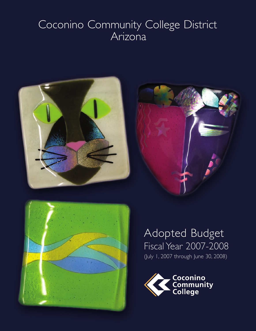# Coconino Community College District Arizona







# Adopted Budget Fiscal Year 2007-2008 (July 1, 2007 through June 30, 2008)

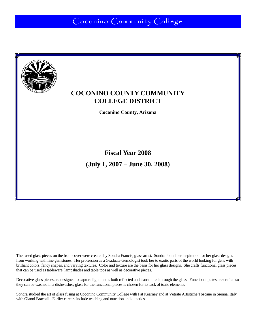Coconino Community College



### **COCONINO COUNTY COMMUNITY COLLEGE DISTRICT**

**Coconino County, Arizona** 

**Fiscal Year 2008 (July 1, 2007 – June 30, 2008)** 

The fused glass pieces on the front cover were created by Sondra Francis, glass artist. Sondra found her inspiration for her glass designs from working with fine gemstones. Her profession as a Graduate Gemologist took her to exotic parts of the world looking for gens with brilliant colors, fancy shapes, and varying textures. Color and texture are the basis for her glass designs. She crafts functional glass pieces that can be used as tableware, lampshades and table tops as well as decorative pieces.

Decorative glass pieces are designed to capture light that is both reflected and transmitted through the glass. Functional plates are crafted so they can be washed in a dishwasher; glass for the functional pieces is chosen for its lack of toxic elements.

Sondra studied the art of glass fusing at Coconino Community College with Pat Kearney and at Vetrate Artistiche Toscane in Sienna, Italy with Gianni Braccali. Earlier careers include teaching and nutrition and dietetics.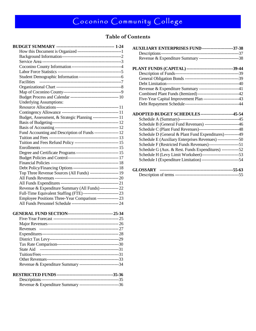### **Table of Contents**

| Coconino County Information-----------------------------------4                             |    |
|---------------------------------------------------------------------------------------------|----|
|                                                                                             |    |
|                                                                                             |    |
| <b>Facilities</b>                                                                           |    |
|                                                                                             |    |
|                                                                                             |    |
| Budget Process and Calendar ----------------------------------- 10                          |    |
| <b>Underlying Assumptions:</b>                                                              |    |
|                                                                                             |    |
|                                                                                             |    |
| Budget, Assessment, & Strategic Planning ------------------ 11                              |    |
|                                                                                             |    |
|                                                                                             |    |
| Fund Accounting and Description of Funds ----------------- 12                               |    |
|                                                                                             |    |
| Tuition and Fees Refund Policy ------------------------------- 15                           |    |
|                                                                                             |    |
| Degree and Certificate Programs ----------------------------------- 15                      |    |
|                                                                                             |    |
|                                                                                             |    |
| Debt Policy/Financing Options --------------------------------- 18                          |    |
| Top Three Revenue Sources (All Funds) -------------------- 19                               |    |
|                                                                                             |    |
|                                                                                             |    |
| Revenue & Expenditure Summary (All Funds) ------------- 22                                  |    |
| Full-Time Equivalent Staffing (FTE)-------------------------- 23                            |    |
| Employee Positions Three-Year Comparison --------------- 23                                 |    |
| All Funds Personnel Schedule --------------------------------- 24                           |    |
| GENERAL FUND SECTION---------------------------------- 25-34                                |    |
|                                                                                             |    |
|                                                                                             |    |
| $\mathbf{D}_{\mathbf{a} \mathbf{v} \mathbf{a} \mathbf{n} \mathbf{u} \mathbf{a} \mathbf{c}}$ | 27 |

| Revenue & Expenditure Summary ------------------------------34 |  |
|----------------------------------------------------------------|--|
|                                                                |  |

| AUXILIARY ENTERPRISES FUND ----------------------37-38            |  |
|-------------------------------------------------------------------|--|
|                                                                   |  |
| Revenue & Expenditure Summary ------------------------------38    |  |
| PLANT FUNDS (CAPITAL)----------------------------------39-44      |  |
|                                                                   |  |
|                                                                   |  |
|                                                                   |  |
| Revenue & Expenditure Summary ---------------------------41       |  |
| Combined Plant Funds (Itemized) -------------------------------42 |  |
| Five-Year Capital Improvement Plan ------------------------43     |  |
|                                                                   |  |
| ADOPTED BUDGET SCHEDULES -----------------------45-54             |  |
|                                                                   |  |
| Schedule B (General Fund Revenues) ------------------------46     |  |
| Schedule C (Plant Fund Revenues)-----------------------------48   |  |
| Schedule D (General & Plant Fund Expenditures)----------49        |  |
| Schedule E (Auxiliary Enterprises Revenues) ---------------50     |  |
| Schedule F (Restricted Funds Revenues)-----------------------51   |  |
| Schedule G (Aux. & Rest. Funds Expenditures) -------------52      |  |
|                                                                   |  |
| Schedule I (Expenditure Limitation) --------------------------54  |  |
|                                                                   |  |
|                                                                   |  |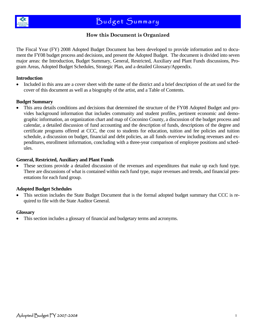

### **How this Document is Organized**

The Fiscal Year (FY) 2008 Adopted Budget Document has been developed to provide information and to document the FY08 budget process and decisions, and present the Adopted Budget. The document is divided into seven major areas: the Introduction, Budget Summary, General, Restricted, Auxiliary and Plant Funds discussions, Program Areas, Adopted Budget Schedules, Strategic Plan, and a detailed Glossary/Appendix.

#### **Introduction**

• Included in this area are a cover sheet with the name of the district and a brief description of the art used for the cover of this document as well as a biography of the artist, and a Table of Contents.

#### **Budget Summary**

• This area details conditions and decisions that determined the structure of the FY08 Adopted Budget and provides background information that includes community and student profiles, pertinent economic and demographic information, an organization chart and map of Coconino County, a discussion of the budget process and calendar, a detailed discussion of fund accounting and the description of funds, descriptions of the degree and certificate programs offered at CCC, the cost to students for education, tuition and fee policies and tuition schedule, a discussion on budget, financial and debt policies, an all funds overview including revenues and expenditures, enrollment information, concluding with a three-year comparison of employee positions and schedules.

#### **General, Restricted, Auxiliary and Plant Funds**

These sections provide a detailed discussion of the revenues and expenditures that make up each fund type. There are discussions of what is contained within each fund type, major revenues and trends, and financial presentations for each fund group.

#### **Adopted Budget Schedules**

• This section includes the State Budget Document that is the formal adopted budget summary that CCC is required to file with the State Auditor General.

#### **Glossary**

This section includes a glossary of financial and budgetary terms and acronyms.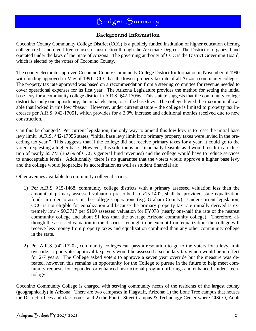### **Background Information**

Coconino County Community College District (CCC) is a publicly funded institution of higher education offering college credit and credit-free courses of instruction through the Associate Degree. The District is organized and operated under the laws of the State of Arizona. The governing authority of CCC is the District Governing Board, which is elected by the voters of Coconino County.

The county electorate approved Coconino County Community College District for formation in November of 1990 with funding approved in May of 1991. CCC has the lowest property tax rate of all Arizona community colleges. The property tax rate approved was based on a recommendation from a steering committee for revenue needed to cover operational expenses for its first year. The Arizona Legislature provides the method for setting the initial base levy for a community college district in A.R.S. §42-17056. This statute suggests that the community college district has only one opportunity, the initial election, to set the base levy. The college levied the maximum allowable that locked in this low "base." However, under current statute – the college is limited to property tax increases per A.R.S. §42-17051, which provides for a 2.0% increase and additional monies received due to new construction.

Can this be changed? Per current legislation, the only way to amend this low levy is to reset the initial base levy limit. A.R.S. §42-17056 states, "initial base levy limit if no primary property taxes were levied in the preceding tax year." This suggests that if the college did not receive primary taxes for a year, it could go to the voters requesting a higher base. However, this solution is not financially feasible as it would result in a reduction of nearly \$5.7M (36.6% of CCC's general fund revenues) and the college would have to reduce services to unacceptable levels. Additionally, there is no guarantee that the voters would approve a higher base levy and the college would jeopardize its accreditation as well as student financial aid.

Other avenues available to community college districts:

- 1) Per A.R.S. §15-1468, community college districts with a primary assessed valuation less than the amount of primary assessed valuation prescribed in §15-1402, shall be provided state equalization funds in order to assist in the college's operations (e.g. Graham County). Under current legislation, CCC is not eligible for equalization aid because the primary property tax rate initially derived is extremely low - \$0.3717 per \$100 assessed valuation for FY078 (nearly one-half the rate of the nearest community college and about \$1 less than the average Arizona community college). Therefore, although the assessed valuation in the district is enough to be exempt from equalization, the college will receive less money from property taxes and equalization combined than any other community college in the state.
- 2) Per A.R.S. §42-17202, community colleges can pass a resolution to go to the voters for a levy limit override. Upon voter approval taxpayers would be assessed a secondary tax which would be in effect for 2-7 years. The College asked voters to approve a seven year override but the measure was defeated, however, this remains an opportunity for the College to pursue in the future to help meet community requests for expanded or enhanced instructional program offerings and enhanced student technology.

Coconino Community College is charged with serving community needs of the residents of the largest county (geographically) in Arizona. There are two campuses in Flagstaff, Arizona: 1) the Lone Tree campus that houses the District offices and classrooms, and 2) the Fourth Street Campus & Technology Center where CISCO, Adult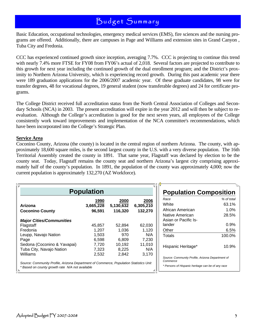Basic Education, occupational technologies, emergency medical services (EMS), fire sciences and the nursing programs are offered. Additionally, there are campuses in Page and Williams and extension sites in Grand Canyon , Tuba City and Fredonia.

CCC has experienced continued growth since inception, averaging 7.7%. CCC is projecting to continue this trend with nearly 7.4% more FTSE for FY08 from FY06's actual of 2,018. Several factors are projected to contribute to this growth for next year including the continued growth of the dual enrollment program; and the District's proximity to Northern Arizona University, which is experiencing record growth. During this past academic year there were 189 graduation applications for the 2006/2007 academic year. Of these graduate candidates, 98 were for transfer degrees, 48 for vocational degrees, 19 general student (now transferable degrees) and 24 for certificate programs.

The College District received full accreditation status from the North Central Association of Colleges and Secondary Schools (NCA) in 2003. The present accreditation will expire in the year 2012 and will then be subject to reevaluation. Although the College's accreditation is good for the next seven years, all employees of the College consistently work toward improvements and implementation of the NCA committee's recommendations, which have been incorporated into the College's Strategic Plan.

#### **Service Area**

Coconino County, Arizona (the county) is located in the central region of northern Arizona. The county, with approximately 18,600 square miles, is the second largest county in the U.S. with a very diverse population. The 16th Territorial Assembly created the county in 1891. That same year, Flagstaff was declared by election to be the county seat. Today, Flagstaff remains the county seat and northern Arizona's largest city comprising approximately half of the county's population. In 1891, the population of the county was approximately 4,000; now the current population is approximately 132,270 (AZ Workforce).

| <b>Population</b>                                                                                                                                               |                                                              |                                                             |                                                           |  |
|-----------------------------------------------------------------------------------------------------------------------------------------------------------------|--------------------------------------------------------------|-------------------------------------------------------------|-----------------------------------------------------------|--|
| 1990<br>2000<br>2006<br>3,665,228<br>5,130,632<br>Arizona<br>6,305,210<br>96,591<br>116,320<br>132,270<br><b>Coconino County</b>                                |                                                              |                                                             |                                                           |  |
| <b>Major Cities/Communities</b><br>Flagstaff<br>Fredonia<br>Leupp, Navajo Nation<br>Page<br>Sedona (Coconino & Yavapai)<br>Tuba City, Navajo Nation<br>Williams | 45,857<br>1,207<br>1,503<br>6,598<br>7,720<br>7,323<br>2,532 | 52,894<br>1,036<br>970<br>6,809<br>10,192<br>8,225<br>2,842 | 62,030<br>1,120<br>N/A<br>7,230<br>11,010<br>N/A<br>3,170 |  |

| <b>Population Composition</b>                                |            |  |
|--------------------------------------------------------------|------------|--|
| Race                                                         | % of total |  |
| White                                                        | 63.1%      |  |
| African American                                             | 1.0%       |  |
| Native American                                              | 28.5%      |  |
| Asian or Pacific Is-                                         |            |  |
| lander                                                       | 0.9%       |  |
| Other                                                        | 6.5%       |  |
| Totals                                                       | 100.0%     |  |
| Hispanic Heritage*                                           | 10.9%      |  |
| Source: Community Profile, Arizona Department of<br>Commerce |            |  |
| * Persons of Hispanic heritage can be of any race            |            |  |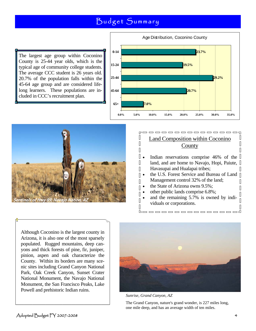D

 $\begin{bmatrix} 1 \\ 2 \end{bmatrix}$ 

 $\begin{bmatrix} 1 \\ 2 \end{bmatrix}$ 

 $\overline{\phantom{a}}$ Π  $\sqrt{2}$ 

 $\mathbb{R}$  $\begin{bmatrix} 1 \\ 2 \end{bmatrix}$ 

 $\sqrt{2}$ 

 $\begin{bmatrix} 1 \\ 2 \end{bmatrix}$  $\overline{\mathbb{R}}$ Π Ā,

The largest age group within Coconino County is 25-44 year olds, which is the typical age of community college students. The average CCC student is 26 years old. 20.7% of the population falls within the 45-64 age group and are considered lifelong learners. These populations are included in CCC's recruitment plan.





#### -----------------**DE** Land Composition within Coconino **County**

- Indian reservations comprise 46% of the  $\mathbb I$ land, and are home to Navajo, Hopi, Paiute, Havasupai and Hualapai tribes; П
- the U.S. Forest Service and Bureau of Land Management control 32% of the land;  $\mathbb{I}$
- the State of Arizona owns 9.5%;
- other public lands comprise 6.8%;
- and the remaining 5.7% is owned by individuals or corporations.

 $\blacksquare$ 

Although Coconino is the largest county in Arizona, it is also one of the most sparsely populated. Rugged mountains, deep canyons and thick forests of pine, fir, juniper, pinion, aspen and oak characterize the County. Within its borders are many scenic sites including Grand Canyon National Park, Oak Creek Canyon, Sunset Crater National Monument, the Navajo National Monument, the San Francisco Peaks, Lake Powell and prehistoric Indian ruins.



*Sunrise, Grand Canyon, AZ* 

The Grand Canyon, nature's grand wonder, is 227 miles long, one mile deep, and has an average width of ten miles.

 $\Box$ 

Л

 $\overline{\mathbb{I}}$ 

 $\mathbb{I}$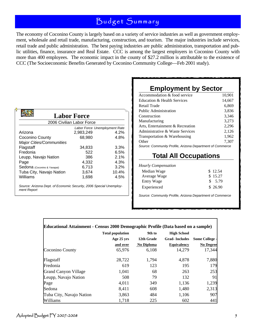The economy of Coconino County is largely based on a variety of service industries as well as government employment, wholesale and retail trade, manufacturing, construction, and tourism. The major industries include services, retail trade and public administration. The best paying industries are public administration, transportation and public utilities, finance, insurance and Real Estate. CCC is among the largest employers in Coconino County with more than 400 employees. The economic impact in the county of \$27.2 million is attributable to the existence of CCC (The Socioeconomic Benefits Generated by Coconino Community College—Feb 2001 study).

|                                 | <b>Labor Force</b>            |       |
|---------------------------------|-------------------------------|-------|
|                                 | 2006 Civilian Labor Force     |       |
|                                 | Labor Force Unemployment Rate |       |
| Arizona                         | 2,983,249                     | 4.2%  |
| Coconino County                 | 68.980                        | 4.8%  |
| <b>Major Cities/Communities</b> |                               |       |
| Flagstaff                       | 34,833                        | 3.3%  |
| Fredonia                        | 522                           | 6.5%  |
| Leupp, Navajo Nation            | 386                           | 2.1%  |
| Page                            | 4,332                         | 4.3%  |
| Sedona (Coconino & Yavapai)     | 6,713                         | 3.2%  |
| Tuba City, Navajo Nation        | 3,674                         | 10.4% |
| Williams                        | 1,698                         | 4.5%  |

# **Employment by Sector**

| Accommodation & food service                              | 10,901 |
|-----------------------------------------------------------|--------|
| Education & Health Services                               | 14,667 |
| Retail Trade                                              | 6,869  |
| <b>Public Administration</b>                              | 3,836  |
| Construction                                              | 3,346  |
| Manufacturing                                             | 3,273  |
| Arts, Entertainment & Recreation                          | 2,296  |
| Administrative & Waste Services                           | 2,126  |
| Transportation & Warehousing                              | 1,962  |
| Other                                                     | 7.307  |
| Source: Community Profile, Arizona Department of Commerce |        |

### **Total All Occupations**

*Hourly Compensation* 

| \$12.54 |
|---------|
| \$15.27 |
| \$5.79  |
| \$26.90 |
|         |

*Source: Community Profile, Arizona Department of Commerce* 

| Educational Attainment - Census 2000 Demographic Profile (Data based on a sample) |                         |                   |                      |                       |
|-----------------------------------------------------------------------------------|-------------------------|-------------------|----------------------|-----------------------|
|                                                                                   | <b>Total population</b> | 9th to            | <b>High School</b>   |                       |
|                                                                                   | Age 25 yrs              | 12th Grade        | <b>Grad-Includes</b> | <b>Some College -</b> |
|                                                                                   | and over                | <b>No Diploma</b> | <b>Equivalency</b>   | <b>No Degree</b>      |
| Coconino County                                                                   | 65,976                  | 6,108             | 14,279               | 17,344                |
| Flagstaff                                                                         | 28,722                  | 1,794             | 4,878                | 7,880                 |
| Fredonia                                                                          | 619                     | 123               | 195                  | 179                   |
| <b>Grand Canyon Village</b>                                                       | 1,041                   | 68                | 263                  | 253                   |
| Leupp, Navajo Nation                                                              | 508                     | 79                | 132                  | 91                    |
| Page                                                                              | 4,011                   | 349               | 1,136                | 1,239                 |
| Sedona                                                                            | 8,411                   | 608               | 1,480                | 2,313                 |
| Tuba City, Navajo Nation                                                          | 3,863                   | 484               | 1,106                | 907                   |
| Williams                                                                          | 1,718                   | 225               | 602                  | 441                   |

*ment Report*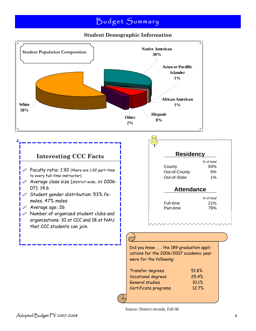### **Student Demographic Information**



Source: District records, Fall 06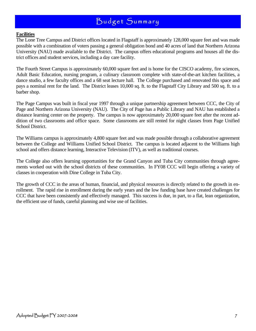#### **Facilities**

The Lone Tree Campus and District offices located in Flagstaff is approximately 128,000 square feet and was made possible with a combination of voters passing a general obligation bond and 40 acres of land that Northern Arizona University (NAU) made available to the District. The campus offers educational programs and houses all the district offices and student services, including a day care facility.

The Fourth Street Campus is approximately 60,000 square feet and is home for the CISCO academy, fire sciences, Adult Basic Education, nursing program, a culinary classroom complete with state-of-the-art kitchen facilities, a dance studio, a few faculty offices and a 68 seat lecture hall. The College purchased and renovated this space and pays a nominal rent for the land. The District leases 10,000 sq. ft. to the Flagstaff City Library and 500 sq. ft. to a barber shop.

The Page Campus was built in fiscal year 1997 through a unique partnership agreement between CCC, the City of Page and Northern Arizona University (NAU). The City of Page has a Public Library and NAU has established a distance learning center on the property. The campus is now approximately 20,000 square feet after the recent addition of two classrooms and office space. Some classrooms are still rented for night classes from Page Unified School District.

The Williams campus is approximately 4,800 square feet and was made possible through a collaborative agreement between the College and Williams Unified School District. The campus is located adjacent to the Williams high school and offers distance learning, Interactive Television (ITV), as well as traditional courses.

The College also offers learning opportunities for the Grand Canyon and Tuba City communities through agreements worked out with the school districts of these communities. In FY08 CCC will begin offering a variety of classes in cooperation with Dine College in Tuba City.

The growth of CCC in the areas of human, financial, and physical resources is directly related to the growth in enrollment. The rapid rise in enrollment during the early years and the low funding base have created challenges for CCC that have been consistently and effectively managed. This success is due, in part, to a flat, lean organization, the efficient use of funds, careful planning and wise use of facilities.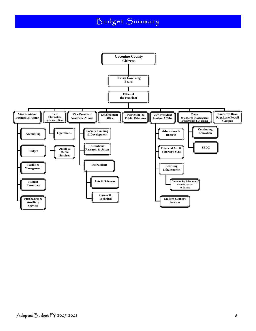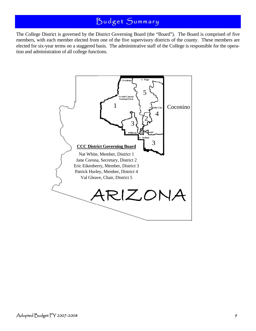The College District is governed by the District Governing Board (the "Board"). The Board is comprised of five members, with each member elected from one of the five supervisory districts of the county. These members are elected for six-year terms on a staggered basis. The administrative staff of the College is responsible for the operation and administration of all college functions.

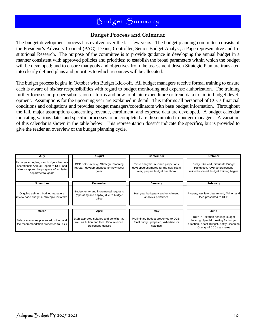#### **Budget Process and Calendar**

The budget development process has evolved over the last few years. The budget planning committee consists of the President's Advisory Council (PAC), Deans, Controller, Senior Budget Analyst, a Page representative and Institutional Research. The purpose of the committee is to provide guidance in developing the annual budget in a manner consistent with approved policies and priorities; to establish the broad parameters within which the budget will be developed; and to ensure that goals and objectives from the assessment driven Strategic Plan are translated into clearly defined plans and priorities to which resources will be allocated.

The budget process begins in October with Budget Kick-off. All budget managers receive formal training to ensure each is aware of his/her responsibilities with regard to budget monitoring and expense authorization. The training further focuses on proper submission of forms and how to obtain expenditure or trend data to aid in budget development. Assumptions for the upcoming year are explained in detail. This informs all personnel of CCCs financial conditions and obligations and provides budget managers/coordinators with base budget information. Throughout the fall, major assumptions concerning revenue, enrollment, and expense data are developed. A budget calendar indicating various dates and specific processes to be completed are disseminated to budget managers. A variation of this calendar is shown in the table below. This representation doesn't indicate the specifics, but is provided to give the reader an overview of the budget planning cycle.

| July                                                                                                                                                | <b>August</b>                                                                                            | September                                                                                                      | October                                                                                                                                         |  |
|-----------------------------------------------------------------------------------------------------------------------------------------------------|----------------------------------------------------------------------------------------------------------|----------------------------------------------------------------------------------------------------------------|-------------------------------------------------------------------------------------------------------------------------------------------------|--|
| Fiscal year begins; new budgets become<br>operational; Annual Report to DGB and<br>citizens-reports the progress of achieving<br>departmental goals | DGB sets tax lew; Strategic Planning<br>retreat - develop priorities for new fiscal<br>vear              | Trend analysis; revenue projections<br>developed/estimated for the new fiscal<br>year, prepare budget handbook | Budget Kick-off, distribute Budget<br>Handbook, revenue projections<br>refined/updated; budget training begins                                  |  |
| November                                                                                                                                            | December                                                                                                 | January                                                                                                        | February                                                                                                                                        |  |
| Ongoing training; budget managers<br>review base budgets, strategic initiatives                                                                     | Budget entry and incremental requests<br>(operating and capital) due to budget<br>office                 |                                                                                                                | Property tax levy determined; Tuition and<br>fees presented to DGB                                                                              |  |
|                                                                                                                                                     |                                                                                                          |                                                                                                                |                                                                                                                                                 |  |
| March                                                                                                                                               | April                                                                                                    | May                                                                                                            | June                                                                                                                                            |  |
| Salary scenarios presented; tuition and<br>fee recommendation presented to DGB                                                                      | DGB approves salaries and benefits, as<br>well as tuition and fees. Final revenue<br>projections derived | Preliminary budget presented to DGB;<br>Final budget prepared; Advertise for<br>hearings                       | Truth in Taxation hearing; Budget<br>hearing; Special meeting for budget<br>adoption, Adopt Budget, notify Coconino<br>County of CCCs tax rates |  |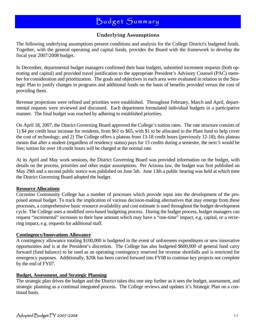### **Underlying Assumptions**

The following underlying assumptions present conditions and analysis for the College District's budgeted funds. Together, with the general operating and capital funds, provides the Board with the framework to develop the fiscal year 2007/2008 budget.

In December, departmental budget managers confirmed their base budgets, submitted increment requests (both operating and capital) and provided travel justification to the appropriate President's Advisory Counsel (PAC) member for consideration and prioritization. The goals and objectives in each area were evaluated in relation to the Strategic Plan to justify changes in programs and additional funds on the basis of benefits provided versus the cost of providing them.

Revenue projections were refined and priorities were established. Throughout February, March and April, departmental requests were reviewed and discussed. Each department formulated individual budgets in a participative manner. The final budget was reached by adhering to established priorities.

On April 18, 2007, the District Governing Board approved the College's tuition rates. The rate structure consists of 1) \$4 per credit hour increase for residents, from \$61 to \$65, with \$1 to be allocated to the Plant fund to help cover the cost of technology; and 2) The College offers a plateau from 13-18 credit hours (previously 12-18); this plateau means that after a student (regardless of residency status) pays for 13 credits during a semester, the next 5 would be free; tuition for over 18 credit hours will be charged at the normal rate.

At its April and May work sessions, the District Governing Board was provided information on the budget, with details on the process, priorities and other major assumptions. Per Arizona law, the budget was first published on May 29th and a second public notice was published on June 5th. June 13th a public hearing was held at which time the District Governing Board adopted the budget.

#### **Resource Allocations**

Coconino Community College has a number of processes which provide input into the development of the proposed annual budget. To track the implication of various decision-making alternatives that may emerge from these processes, a comprehensive basic resource availability and cost estimate is used throughout the budget development cycle. The College uses a modified zero-based budgeting process. During the budget process, budget managers can request "incremental" increases to their base amount which may have a "one-time" impact, e.g. capital, or a recurring impact, e.g. requests for additional staff.

#### **Contingency/Innovations Allowance**

A contingency allowance totaling \$100,000 is budgeted in the event of unforeseen expenditures or new innovative opportunities and is at the President's discretion. The College has also budgeted \$600,000 of general fund carry forward (fund balance) to be used as an operating contingency reserved for revenue shortfalls and is restricted for emergency purposes. Additionally, \$20k has been carried forward into FY08 to continue key projects not complete by the end of FY07.

#### **Budget, Assessment, and Strategic Planning**

The strategic plan drives the budget and the District takes this one step further as it sees the budget, assessment, and strategic planning as a continual integrated process. The College reviews and updates it's Strategic Plan on a continual basis.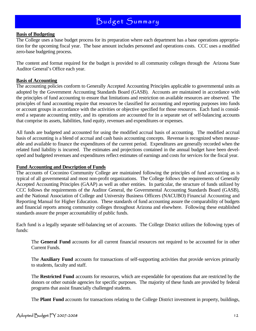#### **Basis of Budgeting**

The College uses a base budget process for its preparation where each department has a base operations appropriation for the upcoming fiscal year. The base amount includes personnel and operations costs. CCC uses a modified zero-base budgeting process.

The content and format required for the budget is provided to all community colleges through the Arizona State Auditor General's Office each year.

#### **Basis of Accounting**

The accounting policies conform to Generally Accepted Accounting Principles applicable to governmental units as adopted by the Government Accounting Standards Board (GASB). Accounts are maintained in accordance with the principles of fund accounting to ensure that limitations and restriction on available resources are observed. The principles of fund accounting require that resources be classified for accounting and reporting purposes into funds or account groups in accordance with the activities or objective specified for those resources. Each fund is considered a separate accounting entity, and its operations are accounted for in a separate set of self-balancing accounts that comprise its assets, liabilities, fund equity, revenues and expenditures or expenses.

All funds are budgeted and accounted for using the modified accrual basis of accounting. The modified accrual basis of accounting is a blend of accrual and cash basis accounting concepts. Revenue is recognized when measurable and available to finance the expenditures of the current period. Expenditures are generally recorded when the related fund liability is incurred. The estimates and projections contained in the annual budget have been developed and budgeted revenues and expenditures reflect estimates of earnings and costs for services for the fiscal year.

#### **Fund Accounting and Description of Funds**

The accounts of Coconino Community College are maintained following the principles of fund accounting as is typical of all governmental and most non-profit organizations. The College follows the requirements of Generally Accepted Accounting Principles (GAAP) as well as other entities. In particular, the structure of funds utilized by CCC follows the requirements of the Auditor General, the Governmental Accounting Standards Board (GASB), and the National Association of College and University Business Officers (NACUBO) Financial Accounting and Reporting Manual for Higher Education. These standards of fund accounting assure the comparability of budgets and financial reports among community colleges throughout Arizona and elsewhere. Following these established standards assure the proper accountability of public funds.

Each fund is a legally separate self-balancing set of accounts. The College District utilizes the following types of funds:

 The **General Fund** accounts for all current financial resources not required to be accounted for in other Current Funds.

 The **Auxiliary Fund** accounts for transactions of self-supporting activities that provide services primarily to students, faculty and staff.

 The **Restricted Fund** accounts for resources, which are expendable for operations that are restricted by the donors or other outside agencies for specific purposes. The majority of these funds are provided by federal programs that assist financially challenged students.

The **Plant Fund** accounts for transactions relating to the College District investment in property, buildings,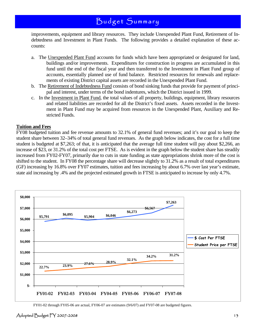improvements, equipment and library resources. They include Unexpended Plant Fund, Retirement of Indebtedness and Investment in Plant Funds. The following provides a detailed explanation of these accounts:

- a. The Unexpended Plant Fund accounts for funds which have been appropriated or designated for land, buildings and/or improvements. Expenditures for construction in progress are accumulated in this fund until the end of the fiscal year and then transferred to the Investment in Plant Fund group of accounts, essentially planned use of fund balance. Restricted resources for renewals and replacements of existing District capital assets are recorded in the Unexpended Plant Fund.
- b. The Retirement of Indebtedness Fund consists of bond sinking funds that provide for payment of principal and interest, under terms of the bond indentures, which the District issued in 1999.
- c. In the Investment in Plant Fund, the total values of all property, buildings, equipment, library resources and related liabilities are recorded for all the District's fixed assets. Assets recorded in the Investment in Plant Fund may be acquired from resources in the Unexpended Plant, Auxiliary and Restricted Funds.

#### **Tuition and Fees**

FY08 budgeted tuition and fee revenue amounts to 32.1% of general fund revenues; and it's our goal to keep the student share between 32–34% of total general fund revenues. As the graph below indicates, the cost for a full time student is budgeted at \$7,263; of that, it is anticipated that the average full time student will pay about \$2,266, an increase of \$23, or 31.2% of the total cost per FTSE. As is evident in the graph below the student share has steadily increased from FY02-FY07, primarily due to cuts in state funding as state appropriations shrink more of the cost is shifted to the student. In FY08 the percentage share will decrease slightly to 31.2% as a result of total expenditures (GF) increasing by 16.8% over FY07 estimates, tuition and fees increasing by about 6.7% over last year's estimate, state aid increasing by .4% and the projected estimated growth in FTSE is anticipated to increase by only 4.7%.



FY01-02 through FY05-06 are actual, FY06-07 are estimates (9/6/07) and FY07-08 are budgeted figures.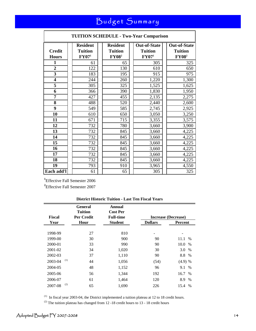| <b>TUITION SCHEDULE - Two-Year Comparison</b> |                                                                                      |                                                   |                                                       |                                                       |
|-----------------------------------------------|--------------------------------------------------------------------------------------|---------------------------------------------------|-------------------------------------------------------|-------------------------------------------------------|
| <b>Credit</b><br><b>Hours</b>                 | <b>Resident</b><br><b>Tuition</b><br>$\mathbf{F} \mathbf{Y} \mathbf{0} \mathbf{7}^1$ | <b>Resident</b><br><b>Tuition</b><br><b>FY082</b> | <b>Out-of-State</b><br><b>Tuition</b><br>$\rm FY07^1$ | <b>Out-of-State</b><br><b>Tuition</b><br><b>FY082</b> |
| $\mathbf{1}$                                  | 61                                                                                   | 65                                                | 305                                                   | 325                                                   |
| $\overline{2}$                                | 122                                                                                  | 130                                               | 610                                                   | 650                                                   |
| 3                                             | 183                                                                                  | 195                                               | 915                                                   | 975                                                   |
| $\overline{\mathbf{4}}$                       | 244                                                                                  | 260                                               | 1,220                                                 | 1,300                                                 |
| 5                                             | 305                                                                                  | 325                                               | 1,525                                                 | 1,625                                                 |
| 6                                             | 366                                                                                  | 390                                               | 1,830                                                 | 1,950                                                 |
| 7                                             | 427                                                                                  | 455                                               | 2,135                                                 | 2,275                                                 |
| 8                                             | 488                                                                                  | 520                                               | 2,440                                                 | 2,600                                                 |
| 9                                             | 549                                                                                  | 585                                               | 2,745                                                 | 2,925                                                 |
| 10                                            | 610                                                                                  | 650                                               | 3,050                                                 | 3,250                                                 |
| 11                                            | 671                                                                                  | 715                                               | 3,355                                                 | 3,575                                                 |
| 12                                            | 732                                                                                  | 780                                               | 3,660                                                 | 3,900                                                 |
| 13                                            | 732                                                                                  | 845                                               | 3,660                                                 | 4,225                                                 |
| 14                                            | 732                                                                                  | 845                                               | 3,660                                                 | 4,225                                                 |
| 15                                            | 732                                                                                  | 845                                               | 3,660                                                 | 4,225                                                 |
| 16                                            | 732                                                                                  | 845                                               | 3,660                                                 | 4,225                                                 |
| 17                                            | 732                                                                                  | 845                                               | 3,660                                                 | 4,225                                                 |
| 18                                            | 732                                                                                  | 845                                               | 3,660                                                 | 4,225                                                 |
| 19                                            | 793                                                                                  | 910                                               | 3,965                                                 | 4,550                                                 |
| Each add'l                                    | 61                                                                                   | 65                                                | 305                                                   | 325                                                   |

**1** Effective Fall Semester 2006

**2** Effective Fall Semester 2007

#### **District Historic Tuition - Last Ten Fiscal Years**

|                | General<br><b>Tuition</b> | Annual<br><b>Cost Per</b> |                |                     |
|----------------|---------------------------|---------------------------|----------------|---------------------|
| <b>Fiscal</b>  | Per Credit                | <b>Full-time</b>          |                | Increase (Decrease) |
| Year           | Hour                      | <b>Student</b>            | <b>Dollars</b> | <b>Percent</b>      |
|                |                           |                           |                |                     |
| 1998-99        | 27                        | 810                       | -              |                     |
| 1999-00        | 30                        | 900                       | 90             | 11.1<br>$\%$        |
| 2000-01        | 33                        | 990                       | 90             | 10.0<br>%           |
| 2001-02        | 34                        | 1,020                     | 30             | 3.0<br>$\%$         |
| 2002-03        | 37                        | 1,110                     | 90             | 8.8 %               |
| (1)<br>2003-04 | 44                        | 1,056                     | (54)           | $(4.9)$ %           |
| 2004-05        | 48                        | 1,152                     | 96             | 9.1 %               |
| 2005-06        | 56                        | 1,344                     | 192            | 16.7 %              |
| 2006-07        | 61                        | 1,464                     | 120            | 8.9<br>$\%$         |
| (2)<br>2007-08 | 65                        | 1,690                     | 226            | 15.4 %              |

 $(1)$  In fiscal year 2003-04, the District implemented a tuition plateau at 12 to 18 credit hours.

<sup>(2)</sup> The tuition plateau has changed from 12 -18 credit hours to 13 - 18 credit hours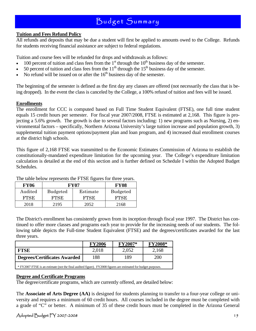#### **Tuition and Fees Refund Policy**

All refunds and deposits that may be due a student will first be applied to amounts owed to the College. Refunds for students receiving financial assistance are subject to federal regulations.

Tuition and course fees will be refunded for drops and withdrawals as follows:

- 100 percent of tuition and class fees from the  $1<sup>st</sup>$  through the  $10<sup>th</sup>$  business day of the semester.
- 50 percent of tuition and class fees from the  $11<sup>th</sup>$  through the  $15<sup>th</sup>$  business day of the semester.
- No refund will be issued on or after the  $16<sup>th</sup>$  business day of the semester.

The beginning of the semester is defined as the first day any classes are offered (not necessarily the class that is being dropped). In the event the class is canceled by the College, a 100% refund of tuition and fees will be issued.

#### **Enrollments**

The enrollment for CCC is computed based on Full Time Student Equivalent (FTSE), one full time student equals 15 credit hours per semester. For fiscal year 2007/2008, FTSE is estimated at 2,168. This figure is projecting a 5.6% growth. The growth is due to several factors including: 1) new programs such as Nursing, 2) environmental factors – specifically, Northern Arizona University's large tuition increase and population growth, 3) supplemental tuition payment options/payment plan and loan program, and 4) increased dual enrollment courses at the district high schools.

This figure of 2,168 FTSE was transmitted to the Economic Estimates Commission of Arizona to establish the constitutionally-mandated expenditure limitation for the upcoming year. The College's expenditure limitation calculation is detailed at the end of this section and is further defined on Schedule I within the Adopted Budget Schedules.

| <b>FY06</b> | FY07            | <b>FY08</b> |                 |
|-------------|-----------------|-------------|-----------------|
| Audited     | <b>Budgeted</b> | Estimate    | <b>Budgeted</b> |
| <b>FTSE</b> | <b>FTSE</b>     | FTSE        | FTSE            |
| 2018        | 2195            | 2052        | 2168            |

The table below represents the FTSE figures for three years.

The District's enrollment has consistently grown from its inception through fiscal year 1997. The District has continued to offer more classes and programs each year to provide for the increasing needs of our students. The following table depicts the Full-time Student Equivalent (FTSE) and the degrees/certificates awarded for the last three years.

|                                                                                                                | <b>FY2006</b> | <b>FY2007*</b> | <b>FY2008*</b> |  |  |  |  |  |  |
|----------------------------------------------------------------------------------------------------------------|---------------|----------------|----------------|--|--|--|--|--|--|
| <b>FTSE</b>                                                                                                    | 2,018         | 2,052          | 2,168          |  |  |  |  |  |  |
| Degrees/Certificates Awarded<br>188<br>189<br>200                                                              |               |                |                |  |  |  |  |  |  |
| * FY2007 FTSE is an estimate (not the final audited figure). FY2008 figures are estimated for budget purposes. |               |                |                |  |  |  |  |  |  |

#### **Degree and Certificate Programs**

The degree/certificate programs, which are currently offered, are detailed below:

The **Associate of Arts Degree (AA)** is designed for students planning to transfer to a four-year college or university and requires a minimum of 60 credit hours. All courses included in the degree must be completed with a grade of "C" or better. A minimum of 35 of these credit hours must be completed in the Arizona General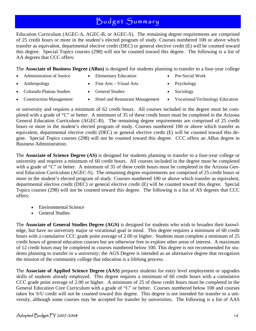Education Curriculum (AGEC-A, AGEC-B, or AGEC-S). The remaining degree requirements are comprised of 25 credit hours or more in the student's elected program of study. Courses numbered 100 or above which transfer as equivalent, departmental elective credit (DEC) or general elective credit (E) will be counted toward this degree. Special Topics courses (298) will not be counted toward this degree. The following is a list of AA degrees that CCC offers:

The **Associate of Business Degree (ABus)** is designed for students planning to transfer to a four-year college

- - Administration of Justice Elementary Education Pre-Social Work
- 
- Anthropology Fine Arts Visual Arts Psychology
- Colorado Plateau Studies General Studies Sociology
	-
	- Construction Management Hotel and Restaurant Management Vocational/Technology Education
		-

or university and requires a minimum of 62 credit hours. All courses included in the degree must be completed with a grade of "C" or better. A minimum of 35 of these credit hours must be completed in the Arizona General Education Curriculum (AGEC-B). The remaining degree requirements are comprised of 25 credit hours or more in the student's elected program of study. Courses numbered 100 or above which transfer as equivalent, departmental elective credit (DEC) or general elective credit (E) will be counted toward this degree. Special Topics courses (298) will not be counted toward this degree. CCC offers an ABus degree in Business Administration.

The **Associate of Science Degree (AS)** is designed for students planning to transfer to a four-year college or university and requires a minimum of 60 credit hours. All courses included in the degree must be completed with a grade of "C" or better. A minimum of 35 of these credit hours must be completed in the Arizona General Education Curriculum (AGEC-S). The remaining degree requirements are comprised of 25 credit hours or more in the student's elected program of study. Courses numbered 100 or above which transfer as equivalent, departmental elective credit (DEC) or general elective credit (E) will be counted toward this degree. Special Topics courses (298) will not be counted toward this degree. The following is a list of AS degrees that CCC offers:

- Environmental Science
- General Studies

The **Associate of General Studies Degree (AGS)** is designed for students who wish to broaden their knowledge, but have no university major or vocational goal in mind. This degree requires a minimum of 60 credit hours with a cumulative CCC grade point average of 2.00 or higher. Students must complete a minimum of 25 credit hours of general education courses but are otherwise free to explore other areas of interest. A maximum of 12 credit hours may be completed in courses numbered below 100. This degree is not recommended for students planning to transfer to a university; the AGS Degree is intended as an alternative degree that recognizes the mission of the community college that education is a lifelong process.

The **Associate of Applied Science Degree (AAS)** prepares students for entry level employment or upgrades skills of students already employed. This degree requires a minimum of 60 credit hours with a cumulative CCC grade point average of 2.00 or higher. A minimum of 25 of these credit hours must be completed in the General Education Core Curriculum with a grade of "C" or better. Courses numbered below 100 and courses taken for S/U credit will not be counted toward this degree. This degree is not intended for transfer to a university, although some courses may be accepted for transfer by universities. The following is a list of AAS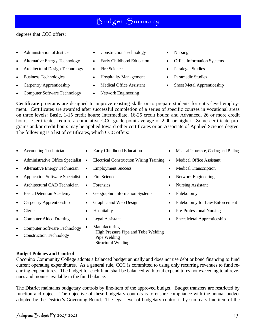degrees that CCC offers:

- 
- 
- Architectural Design Technology Fire Science Paralegal Studies
- 
- 
- Computer Software Technology Network Engineering
- Administration of Justice Construction Technology Nursing
	-
	-
- Business Technologies Hospitality Management Paramedic Studies
	-
	-
- 
- Alternative Energy Technology Early Childhood Education Office Information Systems
	-
	-
- Carpentry Apprenticeship Medical Office Assistant Sheet Metal Apprenticeship

**Certificate** programs are designed to improve existing skills or to prepare students for entry-level employment. Certificates are awarded after successful completion of a series of specific courses in vocational areas on three levels: Basic, 1-15 credit hours; Intermediate, 16-25 credit hours; and Advanced, 26 or more credit hours. Certificates require a cumulative CCC grade point average of 2.00 or higher. Some certificate programs and/or credit hours may be applied toward other certificates or an Associate of Applied Science degree. The following is a list of certificates, which CCC offers:

- 
- 
- Alternative Energy Technician Employment Success Medical Transcription
- Application Software Specialist Fire Science Network Engineering
- Architectural CAD Technician Forensics Nursing Assistant
- 
- 
- 
- 
- Computer Software Technology
- Construction Technology
- **Budget Policies and Control**

Coconino Community College adopts a balanced budget annually and does not use debt or bond financing to fund current operating expenditures. As a general rule, CCC is committed to using only recurring revenues to fund recurring expenditures. The budget for each fund shall be balanced with total expenditures not exceeding total revenues and monies available in the fund balance.

The District maintains budgetary controls by line-item of the approved budget. Budget transfers are restricted by function and object. The objective of these budgetary controls is to ensure compliance with the annual budget adopted by the District's Governing Board. The legal level of budgetary control is by summary line item of the

- 
- Administrative Office Specialist Electrical Construction Wiring Training Medical Office Assistant
	-
	-
	-
- Basic Detention Academy Geographic Information Systems Phlebotomy
	-
	-
	-
	- Manufacturing High Pressure Pipe and Tube Welding Pipe Welding Structural Welding
- Accounting Technician Early Childhood Education Medical Insurance, Coding and Billing
	-
	-
	-
	-
	-
- Carpentry Apprenticeship Graphic and Web Design Phlebotomy for Law Enforcement
- Clerical Hospitality Pre-Professional Nursing
- Computer Aided Drafting Legal Assistant Sheet Metal Apprenticeship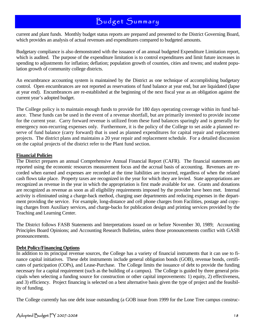current and plant funds. Monthly budget status reports are prepared and presented to the District Governing Board, which provides an analysis of actual revenues and expenditures compared to budgeted amounts.

Budgetary compliance is also demonstrated with the issuance of an annual budgeted Expenditure Limitation report, which is audited. The purpose of the expenditure limitation is to control expenditures and limit future increases in spending to adjustments for inflation; deflation; population growth of counties, cities and towns; and student population growth of community college districts.

An encumbrance accounting system is maintained by the District as one technique of accomplishing budgetary control. Open encumbrances are not reported as reservations of fund balance at year end, but are liquidated (lapse at year end). Encumbrances are re-established at the beginning of the next fiscal year as an obligation against the current year's adopted budget.

The College policy is to maintain enough funds to provide for 180 days operating coverage within its fund balance. These funds can be used in the event of a revenue shortfall, but are primarily invested to provide income for the current year. Carry forward revenue is utilized from these fund balances sparingly and is generally for emergency non-recurring expenses only. Furthermore, it is the policy of the College to set aside a planned reserve of fund balance (carry forward) that is used as planned expenditures for capital repair and replacement projects. The district plans and maintains a 20 year repair and replacement schedule. For a detailed discussion on the capital projects of the district refer to the Plant fund section.

#### **Financial Policies**

The District prepares an annual Comprehensive Annual Financial Report (CAFR). The financial statements are reported using the economic resources measurement focus and the accrual basis of accounting. Revenues are recorded when earned and expenses are recorded at the time liabilities are incurred, regardless of when the related cash flows take place. Property taxes are recognized in the year for which they are levied. State appropriations are recognized as revenue in the year in which the appropriation is first made available for use. Grants and donations are recognized as revenue as soon as all eligibility requirements imposed by the provider have been met. Internal activity is eliminated using a charge-back method, charging user departments and reducing expenses in the department providing the service. For example, long-distance and cell phone charges from Facilities, postage and copying charges from Auxiliary services, and charge-backs for publication design and printing services provided by the Teaching and Learning Center.

The District follows FASB Statements and Interpretations issued on or before November 30, 1989; Accounting Principles Board Opinions; and Accounting Research Bulletins, unless those pronouncements conflict with GASB pronouncements.

#### **Debt Policy/Financing Options**

In addition to its principal revenue sources, the College has a variety of financial instruments that it can use to finance capital initiatives. These debt instruments include general obligation bonds (GOB), revenue bonds, certificates of participation (COPs), and Lease-Purchase. The College limits the issuance of debt to provide the funding necessary for a capital requirement (such as the building of a campus). The College is guided by three general principals when selecting a funding source for construction or other capital improvements: 1) equity, 2) effectiveness, and 3) efficiency. Project financing is selected on a best alternative basis given the type of project and the feasibility of funding.

The College currently has one debt issue outstanding (a GOB issue from 1999 for the Lone Tree campus construc-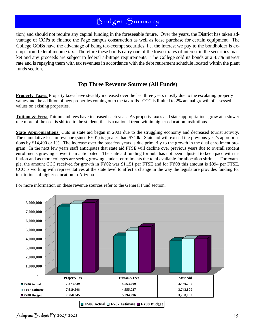tion) and should not require any capital funding in the foreseeable future. Over the years, the District has taken advantage of COPs to finance the Page campus construction as well as lease purchase for certain equipment. The College GOBs have the advantage of being tax-exempt securities, i.e. the interest we pay to the bondholder is exempt from federal income tax. Therefore these bonds carry one of the lowest rates of interest in the securities market and any proceeds are subject to federal arbitrage requirements. The College sold its bonds at a 4.7% interest rate and is repaying them with tax revenues in accordance with the debt retirement schedule located within the plant funds section.

### **Top Three Revenue Sources (All Funds)**

**Property Taxes:** Property taxes have steadily increased over the last three years mostly due to the escalating property values and the addition of new properties coming onto the tax rolls. CCC is limited to 2% annual growth of assessed values on existing properties.

**Tuition & Fees:** Tuition and fees have increased each year. As property taxes and state appropriations grow at a slower rate more of the cost is shifted to the student, this is a national trend within higher education institutions.

**State Appropriations:** Cuts in state aid began in 2001 due to the struggling economy and decreased tourist activity. The cumulative loss in revenue (since FY01) is greater than \$740k. State aid will exceed the previous year's appropriations by \$14,400 or 1%. The increase over the past few years is due primarily to the growth in the dual enrollment program. In the next few years staff anticipates that state aid FTSE will decline over previous years due to overall student enrollments growing slower than anticipated. The state aid funding formula has not been adjusted to keep pace with inflation and as more colleges are seeing growing student enrollments the total available for allocation shrinks. For example, the amount CCC received for growth in FY02 was \$1,151 per FTSE and for FY08 this amount is \$994 per FTSE. CCC is working with representatives at the state level to affect a change in the way the legislature provides funding for institutions of higher education in Arizona.

For more information on these revenue sources refer to the General Fund section.



**FY06 Actual FY07 Estimate FY08 Budget**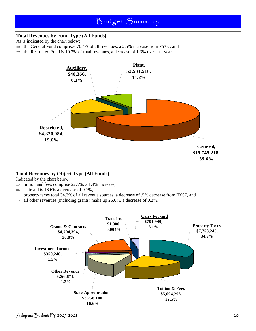### **Total Revenues by Fund Type (All Funds)**

- As is indicated by the chart below:
- $\Rightarrow$  the General Fund comprises 70.4% of all revenues, a 2.5% increase from FY07, and
- $\Rightarrow$  the Restricted Fund is 19.3% of total revenues, a decrease of 1.3% over last year.



#### **Total Revenues by Object Type (All Funds)**

Indicated by the chart below:

- $\Rightarrow$  tuition and fees comprise 22.5%, a 1.4% increase,
- $\Rightarrow$  state aid is 16.6% a decrease of 0.7%,
- ⇒ property taxes total 34.3% of all revenue sources, a decrease of .5% decrease from FY07, and
- $\Rightarrow$  all other revenues (including grants) make up 26.6%, a decrease of 0.2%.

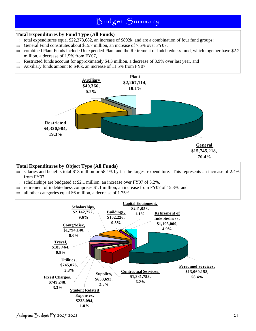### **Total Expenditures by Fund Type (All Funds)**

- $\Rightarrow$  total expenditures equal \$22,373,682, an increase of \$892k, and are a combination of four fund groups:
- $\Rightarrow$  General Fund constitutes about \$15.7 million, an increase of 7.5% over FY07,
- $\Rightarrow$  combined Plant Funds include Unexpended Plant and the Retirement of Indebtedness fund, which together have \$2.2 million, a decrease of 1.5% from FY07,
- $\Rightarrow$  Restricted funds account for approximately \$4.3 million, a decrease of 3.9% over last year, and
- $\Rightarrow$  Auxiliary funds amount to \$40k, an increase of 11.5% from FY07.



#### **Total Expenditures by Object Type (All Funds)**

- $\Rightarrow$  salaries and benefits total \$13 million or 58.4% by far the largest expenditure. This represents an increase of 2.4% from FY07,
- $\Rightarrow$  scholarships are budgeted at \$2.1 million, an increase over FY07 of 3.2%,
- $\Rightarrow$  retirement of indebtedness comprises \$1.1 million, an increase from FY07 of 15.3% and
- $\Rightarrow$  all other categories equal \$6 million, a decrease of 1.75%.

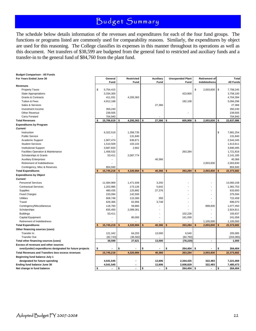The schedule below details information of the revenues and expenditures for each of the four fund groups. The functions or programs listed are commonly used for comparability reasons. Similarly, the expenditures by object are used for this reasoning. The College classifies its expenses in this manner throughout its operations as well as this document. Net transfers of \$38,599 are budgeted from the general fund to restricted and auxiliary funds and a transfer-in to the general fund of \$84,760 from the plant fund.

| <b>Budget Comparison - All Funds</b>                     |                  |              |            |              |       |                         |                      |           |                  |
|----------------------------------------------------------|------------------|--------------|------------|--------------|-------|-------------------------|----------------------|-----------|------------------|
| For Years Ended June 30                                  | General          |              | Restricted | Auxiliary    |       | <b>Unexpended Plant</b> | <b>Retirement of</b> |           | Total            |
|                                                          | Fund             |              | Fund       |              | Fund  | Fund                    | Indebtedness         |           | <b>All Funds</b> |
| <b>Revenues</b>                                          |                  |              |            |              |       |                         |                      |           |                  |
| <b>Property Taxes</b>                                    | \$<br>5,754,415  |              |            |              |       |                         | \$<br>2,003,830      | <b>\$</b> | 7,758,245        |
| <b>State Appropriations</b>                              | 3,334,300        |              |            |              |       | 423,800                 |                      |           | 3,758,100        |
| Grants & Contracts                                       | 411,031          |              | 4,293,363  |              |       |                         |                      |           | 4,704,394        |
| Tuition & Fees                                           | 4,912,188        |              |            |              |       | 182,108                 |                      |           | 5,094,296        |
| Sales & Services                                         |                  |              |            | 27,366       |       |                         |                      |           | 27,366           |
| Investment Income                                        | 350,240          |              |            |              |       |                         |                      |           | 350,240          |
| Other Revenue                                            | 239,505          |              |            |              |       |                         |                      |           | 239,505          |
| Carry Forward                                            | 704,940          |              |            |              |       |                         |                      |           | 704,940          |
| <b>Total Revenues</b>                                    | \$<br>15,706,619 | \$           | 4,293,363  | \$<br>27,366 |       | \$<br>605,908           | \$<br>2,003,830      | \$        | 22,637,086       |
| <b>Expenditures by Program</b>                           |                  |              |            |              |       |                         |                      |           |                  |
| Current:                                                 |                  |              |            |              |       |                         |                      |           |                  |
| Instruction                                              | 6,322,519        |              | 1,358,735  |              |       |                         |                      | \$        | 7,681,254        |
| <b>Public Service</b>                                    |                  |              | 131,840    |              |       |                         |                      |           | 131,840          |
| Academic Support                                         | 1,907,474        |              | 636,871    |              |       |                         |                      |           | 2,544,345        |
| <b>Student Services</b>                                  | 1,510,509        |              | 103,102    |              |       |                         |                      |           | 1,613,611        |
| <b>Institutional Support</b>                             | 3,687,833        |              | 2,662      |              |       |                         |                      |           | 3,690,495        |
| Facilities Operation & Maintenance                       | 1,458,532        |              |            |              |       | 263,284                 |                      |           | 1,721,816        |
| Scholarships & Grants                                    | 53,411           |              | 2,087,774  |              |       |                         |                      |           | 2,141,185        |
| <b>Auxiliary Enterprises</b>                             |                  |              |            | 40,366       |       |                         |                      |           | 40,366           |
| Retirement of Indebtedness                               |                  |              |            |              |       |                         | 2,003,830            |           | 2,003,830        |
| Contingency, Misc & Reserves                             | 804,940          |              |            |              |       |                         |                      |           | 804,940          |
| <b>Total Expenditures</b>                                | 15,745,218       |              | 4,320,984  | \$<br>40,366 |       | \$<br>263,284           | \$<br>2,003,830      |           | 22,373,682       |
| <b>Expenditures by Object</b>                            |                  |              |            |              |       |                         |                      |           |                  |
| Current:                                                 |                  |              |            |              |       |                         |                      |           |                  |
| <b>Personnel Services</b>                                | 11,584,969       |              | 1,471,939  |              | 3,250 |                         |                      |           | 13,060,158       |
| <b>Contractual Services</b>                              | 1,202,985        |              | 173,126    |              | 5,642 |                         |                      |           | 1,381,753        |
| Supplies                                                 | 480,435          |              | 125,882    | 27,376       |       |                         |                      |           | 633,693          |
| <b>Fixed Charges</b>                                     | 233,094          |              | 142,500    |              |       |                         |                      |           | 375,594          |
| <b>Utilities</b>                                         | 606,748          |              | 115,360    |              | 350   |                         |                      |           |                  |
|                                                          |                  |              |            |              |       |                         |                      |           | 722,458          |
| Travel                                                   | 629,366          |              | 62,956     |              | 3,748 |                         |                      |           | 696,070          |
| Contingency/Miscellaneous                                | 118,760          |              | 59,860     |              |       |                         | 898,830              |           | 1,077,450        |
| Scholarships                                             | 835,450          |              | 2,089,361  |              |       |                         |                      |           | 2,924,811        |
| <b>Buildings</b>                                         | 53,411           |              |            |              |       | 102,226                 |                      |           | 155,637          |
| Capital Equipment                                        |                  |              | 80,000     |              |       | 161,058                 |                      |           | 241,058          |
| Retirement of Indebtedness                               |                  |              |            |              |       |                         | 1,105,000            |           | 1,105,000        |
| <b>Total Expenditures</b>                                | 15,745,218       | $\mathbf{s}$ | 4,320,984  | 40,366<br>\$ |       | \$<br>263,284           | \$<br>2,003,830      |           | 22,373,682       |
| Other financing sources (uses)                           |                  |              |            |              |       |                         |                      |           |                  |
| Transfer In                                              | 121,342          |              | 64,203     | 13,000       |       | 6,540                   |                      |           | 205,085          |
| <b>Transfer Out</b>                                      | (82, 743)        |              | (36, 582)  |              |       | (84, 760)               |                      |           | (204, 085)       |
| Total other financing sources (uses)                     | 38,599           |              | 27,621     | 13,000       |       | (78, 220)               | ÷.                   |           | 1,000            |
| Excess of revenues and other sources                     |                  |              |            |              |       |                         |                      |           |                  |
| over/(under) expenditures designated for future projects | \$               | \$           |            | \$           |       | \$<br>264,404           | \$                   | \$        | 264,404          |
| <b>Total Revenues and Transfers less excess revenues</b> | 15,745,218       |              | 4,320,984  | 40,366       |       | 263,284                 | 2,003,830            |           | 22,373,682       |
| Beginning fund balance July 1                            |                  |              |            |              |       |                         |                      |           |                  |
| designated for future spending                           | 4,541,545        |              |            | 12,606       |       | 2,344,425               | 322,493              |           | 7,221,069        |
| Ending fund balance June 30                              | 4,541,545        |              |            | 12,606       |       | 2,608,829               | 322,493              |           | 7,485,473        |
| Net change in fund balance                               | \$               | \$           |            | \$           |       | $264,404$ \$<br>\$      |                      | l \$      | 264.404          |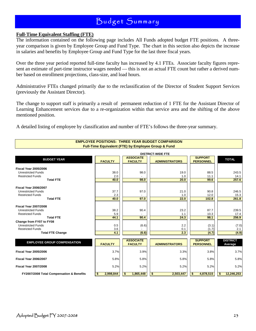#### **Full-Time Equivalent Staffing (FTE)**

The information contained on the following page includes All Funds adopted budget FTE positions. A threeyear comparison is given by Employee Group and Fund Type. The chart in this section also depicts the increase in salaries and benefits by Employee Group and Fund Type for the last three fiscal years.

Over the three year period reported full-time faculty has increased by 4.1 FTEs. Associate faculty figures represent an estimate of part-time instructor wages needed — this is not an actual FTE count but rather a derived number based on enrollment projections, class-size, and load hours.

Administrative FTEs changed primarily due to the reclassification of the Director of Student Support Services (previously the Assistant Director).

The change to support staff is primarily a result of permanent reduction of 1 FTE for the Assistant Director of Learning Enhancement services due to a re-organization within that service area and the shifting of the above mentioned position.

> **EMPLOYEE POSITIONS: THREE YEAR BUDGET COMPARISON Full-Time Equivalent (FTE) by Employee Group & Fund**

A detailed listing of employee by classification and number of FTE's follows the three-year summary.

|                                           |                 |                                    | <b>DISTRICT-WIDE FTE</b> |                                    |                            |
|-------------------------------------------|-----------------|------------------------------------|--------------------------|------------------------------------|----------------------------|
| <b>BUDGET YEAR</b>                        | <b>FACULTY</b>  | <b>ASSOCIATE</b><br><b>FACULTY</b> | <b>ADMINISTRATORS</b>    | <b>SUPPORT</b><br><b>PERSONNEL</b> | <b>TOTAL</b>               |
| <b>Fiscal Year 2005/2006</b>              |                 |                                    |                          |                                    |                            |
| <b>Unrestricted Funds</b>                 | 38.0            | 98.0                               | 19.0                     | 88.5                               | 243.5                      |
| <b>Restricted Funds</b>                   | 2.0             |                                    | 1.0                      | 11.1                               | 14.1                       |
| <b>Total FTE</b>                          | 40.0            | 98.0                               | 20.0                     | 99.6                               | 257.6                      |
| <b>Fiscal Year 2006/2007</b>              |                 |                                    |                          |                                    |                            |
| <b>Unrestricted Funds</b>                 | 37.7            | 97.0                               | 21.0                     | 90.8                               | 246.5                      |
| <b>Restricted Funds</b>                   | 2.3             |                                    | 1.0                      | 12.0                               | 15.3                       |
| <b>Total FTE</b>                          | 40.0            | 97.0                               | 22.0                     | 102.8                              | 261.8                      |
| <b>Fiscal Year 2007/2008</b>              |                 |                                    |                          |                                    |                            |
| <b>Unrestricted Funds</b>                 | 38.2            | 90.4                               | 23.2                     | 87.7                               | 239.5                      |
| <b>Restricted Funds</b>                   | 5.9             |                                    | 1.1                      | 10.3                               | 17.4                       |
| <b>Total FTE</b>                          | 44.1            | 90.4                               | 24.3                     | 98.1                               | 256.9                      |
| Change from FY07 to FY08                  |                 |                                    |                          |                                    |                            |
| <b>Unrestricted Funds</b>                 | 0.5             | (6.6)                              | 2.2                      | (3.1)                              | (7.0)                      |
| <b>Restricted Funds</b>                   | 3.6             |                                    | 0.1                      | (1.7)                              | 2.1                        |
| <b>Total FTE Change</b>                   | 4.1             | (6.6)                              | 2.3                      | (4.7)                              | (4.9)                      |
| <b>EMPLOYEE GROUP COMPENSATION</b>        | <b>FACULTY</b>  | <b>ASSOCIATE</b><br><b>FACULTY</b> | <b>ADMINISTRATORS</b>    | <b>SUPPORT</b><br><b>PERSONNEL</b> | <b>DISTRICT</b><br>Average |
| <b>Fiscal Year 2005/2006</b>              | 3.7%            | 3.9%                               | 3.3%                     | 3.8%                               | 3.7%                       |
| <b>Fiscal Year 2006/2007</b>              | 5.8%            | 5.8%                               | 5.8%                     | 5.8%                               | 5.8%                       |
| <b>Fiscal Year 2007/2008</b>              | 5.2%            | 5.2%                               | 5.2%                     | 5.2%                               | 5.2%                       |
| FY2007/2008 Total Compensation & Benefits | 2,998,844<br>\$ | \$<br>1,865,448                    | \$<br>2,503,447          | \$<br>4,878,515                    | 12,246,253<br>\$           |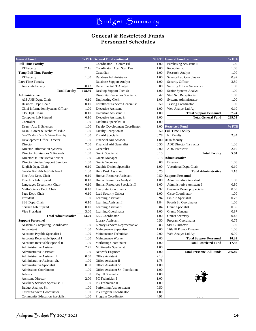### **General & Restricted Funds Personnel Schedules**

| <b>General Fund</b>                                         |              | % FTE General Fund continued            | $%$ FTE      | <b>General Fund continued</b>      | $%$ FTE |
|-------------------------------------------------------------|--------------|-----------------------------------------|--------------|------------------------------------|---------|
| <b>Full Time Faculty</b>                                    |              | Coordinator I - Comm Ed                 | 1.00         | Purchasing Assistant II            | 1.00    |
| FT Faculty                                                  | 37.16        | Coordinator, Acad Stud Dev              | 1.00         | Receptionist                       | 1.00    |
| <b>Temp Full Time Faculty</b>                               |              | Custodian                               | 1.00         | <b>Research Analyst</b>            | 1.00    |
| FT Faculty                                                  | 1.00         | Database Administrator                  | 1.00         | Science Lab Coordinator            | 0.92    |
| <b>Part Time Faculty</b>                                    |              | Database Support Analyst                | 1.00         | Security Officer                   | 3.50    |
| <b>Associate Faculty</b>                                    | 90.43        | Departmental IT Analyst                 | 3.00         | Security Officer Supervisor        | 1.00    |
| <b>Total Faculty</b>                                        | 128.59       | Desktop Support Tech Sr                 | 1.00         | Senior Systems Analyst             | 1.00    |
| Administrative                                              |              | <b>Disability Resources Specialist</b>  | 0.42         | <b>Stud Svc Receptionist</b>       | 1.00    |
| AJS-AHS Dept. Chair                                         | 0.10         | <b>Duplicating Clerk</b>                | 1.00         | Systems Administrator              | 1.00    |
| Business Dept. Chair                                        | 0.10         | <b>Enrollment Services Generalist</b>   | 0.50         | <b>Testing Coordinator</b>         | 1.00    |
| Chief Information Systems Officer                           | 1.00         | <b>Executive Assistant</b>              | 1.00         | Web Analyst Ltd Apt                | 0.10    |
| CIS Dept. Chair                                             | 0.10         | Executive Assistant II                  | 1.00         | <b>Total Support Personnel</b>     | 87.74   |
| Computer Lab Stipend                                        | 0.10         | Executive Assistant Sr.                 | 1.00         | <b>Total General Fund</b>          | 239.53  |
| Controller                                                  | 1.00         | Facilities Specialist II                | 1.00         |                                    |         |
| Dean - Arts & Sciences                                      | 1.00         | <b>Faculty Development Coordinator</b>  | 1.00         | <b>Restricted Fund</b>             | $%$ FTE |
| Dean - Career & Technical Educ                              | 1.00         | <b>Faculty Receptionist</b>             | 0.50         | <b>Full Time Faculty</b>           |         |
| Dean Workforce Devel & Extended Learning                    | 1.00         | Fin Aid Specialist                      | 0.78         | FT Faculty                         | 2.84    |
| Development Office Director                                 | 1.00         | Financial Aid Advisor                   | 1.00         | <b>ADE</b> faculty                 |         |
| Director                                                    | 7.00         | Financial Aid Generalist                | 0.50         | ADE Director/Instructor            | 1.00    |
| Director Information Systems                                | 1.00         | Generalist                              | 2.00         | ADE Instructor                     | 2.10    |
| Director Admissions & Records                               | 1.00         | Grant Specialist                        | 0.15         | <b>Total Faculty</b>               | 5.94    |
| Director On-line Media Service                              | 1.00         | <b>Grants Manager</b>                   | 0.13         | Administrative                     |         |
| Director Student Support Services                           | 1.00         | <b>Grants Secretary</b>                 | 0.08         | Director                           | 1.00    |
| English Dept. Chair                                         | 0.10         | Graphic Design Specialist               | 1.00         | Vocational Dept. Chair             | 0.10    |
| Executive Dean of the Page/Lake Powell                      | 1.00         | Help Desk Assistant                     | 0.75         | <b>Total Administrative</b>        | 1.10    |
| Fine Arts Dept. Chair                                       | 0.10         | Human Resource Assistant                | 0.50         | <b>Support Personnel</b>           |         |
| Fine Arts Lab Stipend                                       | 0.10         | Human Resources Analyst                 | 1.00         | <b>Administrative Assistant</b>    | 1.00    |
| Languages Department Chair                                  | 0.10         | Human Resources Specialist II           | 1.00         | Administrative Assistant I         | 0.80    |
| Math-Science Dept. Chair                                    | 0.10         | Interpreter Coordinator                 | 0.92         | <b>Business Develop Specialist</b> | 0.50    |
| Page Dept. Chair                                            | 0.10         | Lead Security Officer                   | 1.00         | Cisco Coordinator                  | 1.00    |
| President                                                   | 1.00         | Learning Assistant                      | 0.94         | Fin Aid Specialist                 | 0.22    |
| SBS Dept. Chair                                             | 0.10         | Learning Assistant I                    | 1.84         | Fourth St. Coordinator             | 1.00    |
| Science Lab Stipend                                         | 0.10         | Learning Assistant II                   | 0.84         | Grant Specialist                   | 0.85    |
| Vice President                                              | 3.00         | Learning Coordinator                    | 1.00         | <b>Grants Manager</b>              | 0.87    |
| <b>Total Administrative</b>                                 | 23.20        | LEC Coordinator                         | 1.00         | <b>Grants Secretary</b>            | 0.43    |
| <b>Support Personnel</b>                                    |              | Library Assistant                       | 0.50         | Program Coordinator                | 0.75    |
| Academic Computing Coordinator                              | 1.00         | Library Services Representative         | 0.83         | <b>SBDC</b> Director               | 1.00    |
| Accountant                                                  | 1.00         | Maintenance Supervisor                  | 1.00         | Title III Project Director         | 1.00    |
| Accounts Payable Specialist I                               | 1.00         | Maintenance Technician                  | 2.00         | Web Analyst Ltd Apt                | 0.90    |
| Accounts Receivable Special I                               | 1.00         | Maintenance Worker                      | 1.00         | <b>Total Support Personnel</b>     | 10.32   |
| Accounts Receivable Special II                              | 1.00         | <b>Marketing Coordinator</b>            | 1.00         | <b>Total Restricted Fund</b>       | 17.36   |
| <b>Administrative Assistant</b>                             | 2.75         | Multimedia Specialist                   | 1.00         |                                    |         |
| <b>Administrative Assistant I</b>                           | 1.00         | Network Engineer                        | 1.00         | <b>Total Personnel All Funds</b>   | 256.89  |
| Administrative Assistant II<br>Administrative Assistant Sr. | 0.50         | Office Assistant<br>Office Assistant II | 2.13         |                                    |         |
|                                                             | 1.00<br>0.50 | Office Assistant Sr                     | 1.75<br>1.00 |                                    |         |
| Administrative Specialist<br><b>Admissions Coordinator</b>  |              | Office Assistant Sr.-Foundation         |              |                                    |         |
| Advisor                                                     | 1.00<br>1.00 | Payroll Specialist II                   | 1.00<br>1.00 |                                    |         |
| <b>Assistant Director</b>                                   | 2.00         | PC Technician I                         | 1.00         |                                    |         |
| Auxiliary Services Specialist II                            | 1.00         | PC Technician II                        | 1.00         |                                    |         |
| Budget Analyst, Sr.                                         | 1.00         | Performing Arts Assistant               | 0.50         |                                    |         |
| Career Services Coordinator                                 | 1.00         | PG Program Coordinator                  | 1.00         |                                    |         |
| <b>Community Education Specialist</b>                       | 1.00         | Program Coordinator                     | 4.91         | $\sim$ $\sim$                      |         |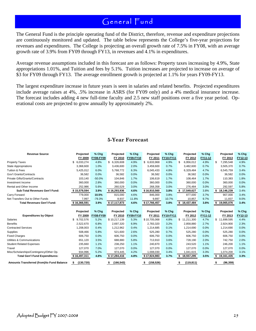The General Fund is the principle operating fund of the District, therefore, revenue and expenditure projections are continuously monitored and updated. The table below represents the College's five-year projections for revenues and expenditures. The College is projecting an overall growth rate of 7.5% in FY08, with an average growth rate of 3.9% from FY09 through FY13, in revenues and 4.1% in expenditures.

Average revenue assumptions included in this forecast are as follows: Property taxes increasing by 4.9%, State appropriations 1.01%, and Tuition and fees by 5.1%. Tuition increases are projected to increase on average of \$3 for FY09 through FY13. The average enrollment growth is projected at 1.1% for years FY09-FY13.

The largest expenditure increase in future years is seen in salaries and related benefits. Projected expenditures include average raises at 4%, .5% increase in ASRS (for FY09 only) and a 4% medical insurance increase. The forecast includes adding 4 new full-time faculty and 2.5 new staff positions over a five year period. Operational costs are projected to grow annually by approximately 2%.

### **5-Year Forecast**

| <b>Revenue Source</b>                   | Projected       | $%$ Chg          | Projected    | % Chg     | Projected    | % Chg     | Projected        | $%$ Chg | Projected        | % Chg   |
|-----------------------------------------|-----------------|------------------|--------------|-----------|--------------|-----------|------------------|---------|------------------|---------|
|                                         | FY 2009         | <b>FY08-FY09</b> | FY 2010      | FY09-FY10 | FY 2011      | FY10-FY11 | FY 2012          | FY11-12 | FY 2013          | FY12-13 |
| <b>Property Taxes</b>                   | \$<br>6,033,274 | 4.8%             | \$ 6,326,608 | 4.9%      | \$ 6,633,968 | 4.9%      | \$<br>6,956,012  | 4.9%    | \$<br>7,295,548  | 4.9%    |
| <b>State Appropriations</b>             | 3,368,600       | 1.0%             | 3,436,600    | 2.0%      | 3,459,600    | 0.7%      | 3,482,600        | 0.7%    | 3,505,370        | 0.7%    |
| <b>Tuition &amp; Fees</b>               | 5,425,012       | 6.0%             | 5,768,772    | 6.3%      | 6,045,433    | 4.8%      | 6,329,484        | 4.7%    | 6,545,759        | 3.4%    |
| Gov't Grants/Contracts                  | 36.582          | 0.0%             | 36,582       | 0.0%      | 36.582       | 0.0%      | 36,582           | 0.0%    | 36,582           | 0.0%    |
| Private Gifts/Grants/Contracts          | 103,140         | $-50.0%$         | 104,846      | 1.7%      | 106,619      | 1.7%      | 108,464          | 1.7%    | 110,383          | 1.8%    |
| Investment Income                       | 360,000         | 2.8%             | 360,000      | 0.0%      | 360,000      | 0.0%      | 360,000          | 0.0%    | 360,000          | 0.0%    |
| Rental and Other Income                 | 252,986         | 5.6%             | 260,529      | 3.0%      | 268,358      | 3.0%      | 276,484          | 3.0%    | 292,597          | 5.8%    |
| <b>Sub-Total Revenues Gen'l Fund:</b>   | \$15,579,594    | 3.9%             | \$16,293,936 | 4.6%      | \$16,910,560 | 3.8%      | \$17,549,627     | 3.8%    | \$18,146,239     | 3.4%    |
| Carry Forward                           | 779,000         | 10.5%            | 815,000      | 4.6%      | 846,000      | 3.8%      | 877,000          | 3.7%    | 907,000          | 3.4%    |
| Net Transfers Out to Other Funds        | 7,997           | $-79.3%$         | 8,937        | 11.8%     | 9,897        | 10.7%     | 10,857           | 9.7%    | 11,837           | 9.0%    |
| <b>Total Revenues Gen'l Fund:</b>       | \$16,366,591    | 3.9%             | \$17,117,873 | 4.6%      | \$17,766,457 | 3.8%      | \$18,437,484     | 3.8%    | 19,065,076<br>S  | 3.4%    |
|                                         |                 |                  |              |           |              |           |                  |         |                  |         |
|                                         | Projected       | % Chg            | Projected    | % Chg     | Projected    | % Chg     | Projected        | % Chg   | Projected        | % Chg   |
| <b>Expenditures by Object</b>           | FY 2009         | <b>FY08-FY09</b> | FY 2010      | FY09-FY10 | FY 2011      | FY10-FY11 | FY 2012          | FY11-12 | FY 2013          | FY12-13 |
| Salaries                                | 9,702,576       | 5.2%             | \$10,217,139 | 5.3%      | \$10,705,068 | 4.8%      | \$11,211,300     | 4.7%    | \$11,699,595     | 4.4%    |
| <b>Benefits</b>                         | 2,522,670       | 6.8%             | 2,697,320    | 6.9%      | 2,783,320    | 3.2%      | 2,858,880        | 2.7%    | 2,924,900        | 2.3%    |
| <b>Contracted Services</b>              | 1,208,003       | 0.4%             | 1,212,962    | 0.4%      | 1,214,685    | 0.1%      | 1,214,690        | 0.0%    | 1,214,690        | 0.0%    |
| Supplies                                | 508,466         | 5.8%             | 521,600      | 2.6%      | 525,280      | 0.7%      | 525,280          | 0.0%    | 525,280          | 0.0%    |
| <b>Fixed Charges</b>                    | 606.750         | 0.0%             | 606,750      | 0.0%      | 606.750      | 0.0%      | 606,750          | 0.0%    | 606,750          | 0.0%    |
| Utilities & Communications              | 651,120         | 3.5%             | 688,880      | 5.8%      | 713,910      | 3.6%      | 728,190          | 2.0%    | 742,750          | 2.0%    |
| <b>Student Related Expenses</b>         | 235,660         | 1.1%             | 238,250      | 1.1%      | 240,870      | 1.1%      | 243,520          | 1.1%    | 246,200          | 1.1%    |
| Travel                                  | 127,070         | 7.0%             | 127,070      | 0.0%      | 127,070      | 0.0%      | 127,070          | 0.0%    | 127,070          | 0.0%    |
| Misc/Scholarships/Contingency/Other Op. | 934,996         | 5.2%             | 974,445      | 4.2%      | 1,008,030    | 3.4%      | 1,041,615        | 3.3%    | 1,074,200        | 3.1%    |
| <b>Total Gen'l Fund Expenditures:</b>   |                 |                  |              |           |              | 3.7%      | 18,557,295<br>s. | 3.5%    | 19,161,435<br>s. | 3.3%    |
|                                         | \$16,497,311    | 4.8%             | \$17,284,416 | 4.8%      | \$17,924,983 |           |                  |         |                  |         |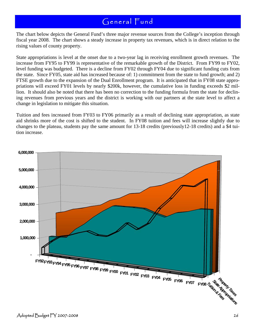The chart below depicts the General Fund's three major revenue sources from the College's inception through fiscal year 2008. The chart shows a steady increase in property tax revenues, which is in direct relation to the rising values of county property.

State appropriations is level at the onset due to a two-year lag in receiving enrollment growth revenues. The increase from FY95 to FY99 is representative of the remarkable growth of the District. From FY99 to FY02, level funding was budgeted. There is a decline from FY02 through FY04 due to significant funding cuts from the state. Since FY05, state aid has increased because of: 1) commitment from the state to fund growth; and 2) FTSE growth due to the expansion of the Dual Enrollment program. It is anticipated that in FY08 state appropriations will exceed FY01 levels by nearly \$200k, however, the cumulative loss in funding exceeds \$2 million. It should also be noted that there has been no correction to the funding formula from the state for declining revenues from previous years and the district is working with our partners at the state level to affect a change in legislation to mitigate this situation.

Tuition and fees increased from FY03 to FY06 primarily as a result of declining state appropriation, as state aid shrinks more of the cost is shifted to the student. In FY08 tuition and fees will increase slightly due to changes to the plateau, students pay the same amount for 13-18 credits (previously12-18 credits) and a \$4 tuition increase.

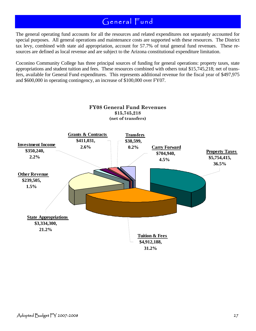The general operating fund accounts for all the resources and related expenditures not separately accounted for special purposes. All general operations and maintenance costs are supported with these resources. The District tax levy, combined with state aid appropriation, account for 57.7% of total general fund revenues. These resources are defined as local revenue and are subject to the Arizona constitutional expenditure limitation.

Coconino Community College has three principal sources of funding for general operations: property taxes, state appropriations and student tuition and fees. These resources combined with others total \$15,745,218; net of transfers, available for General Fund expenditures. This represents additional revenue for the fiscal year of \$497,975 and \$600,000 in operating contingency, an increase of \$100,000 over FY07.

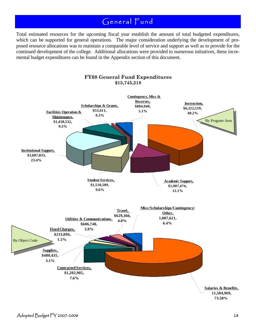Total estimated resources for the upcoming fiscal year establish the amount of total budgeted expenditures, which can be supported for general operations. The major consideration underlying the development of proposed resource allocations was to maintain a comparable level of service and support as well as to provide for the continued development of the college. Additional allocations were provided to numerous initiatives, these incremental budget expenditures can be found in the Appendix section of this document.

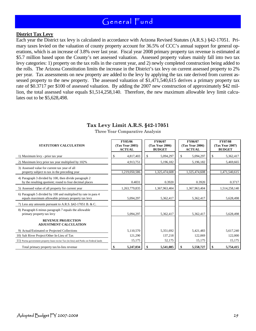#### **District Tax Levy**

Each year the District tax levy is calculated in accordance with Arizona Revised Statutes (A.R.S.) §42-17051. Primary taxes levied on the valuation of county property account for 36.5% of CCC's annual support for general operations, which is an increase of 3.8% over last year. Fiscal year 2008 primary property tax revenue is estimated at \$5.7 million based upon the County's net assessed valuation. Assessed property values mainly fall into two tax levy categories: 1) property on the tax rolls in the current year, and 2) newly completed construction being added to the rolls. The Arizona Constitution limits the increase in the District's tax levy on current assessed property to 2% per year. Tax assessments on new property are added to the levy by applying the tax rate derived from current assessed property to the new property. The assessed valuation of \$1,471,540,615 derives a primary property tax rate of \$0.3717 per \$100 of assessed valuation. By adding the 2007 new construction of approximately \$42 million, the total assessed value equals \$1,514,258,140. Therefore, the new maximum allowable levy limit calculates out to be \$5,628,498.

### **Tax Levy Limit A.R.S. §42-17051**

Three Year Comparative Analysis

| <b>STATUTORY CALCULATION</b>                                                                                         | FY05/06<br>(Tax Year 2005)<br><b>ACTUAL</b> | FY06/07<br>(Tax Year 2006)<br><b>BUDGET</b> | FY06/07<br>(Tax Year 2006)<br><b>ACTUAL</b> | <b>FY07/08</b><br>(Tax Year 2007)<br><b>BUDGET</b> |
|----------------------------------------------------------------------------------------------------------------------|---------------------------------------------|---------------------------------------------|---------------------------------------------|----------------------------------------------------|
| 1) Maximum levy - prior tax year                                                                                     | 4,817,403                                   | 5,094,297<br>S                              | \$<br>5,094,297                             | \$.<br>5,362,417                                   |
| 2) Maximum levy prior tax year multiplied by 102%                                                                    | 4,913,751                                   | 5,196,182                                   | 5,196,182                                   | 5,469,665                                          |
| 3) Assessed value for current tax year of all<br>property subject to tax in the preceding year                       | 1,219,050,586                               | 1,325,474,608                               | 1,325,474,608                               | 1,471,540,615                                      |
| 4) Paragraph 3 divided by 100, then divide paragraph 2<br>by the resulting quotient; round to four decimal places    | 0.4031                                      | 0.3920                                      | 0.3920                                      | 0.3717                                             |
| 5) Assessed value of all property for current year                                                                   | 1,263,779,835                               | 1,367,963,404                               | 1,367,963,404                               | 1,514,258,140                                      |
| 6) Paragraph 5 divided by 100 and multiplied by rate in para 4<br>equals maximum allowable primary property tax levy | 5,094,297                                   | 5,362,417                                   | 5,362,417                                   | 5,628,498                                          |
| 7) Less any amounts pursuant to A.R.S. §42-17051 B. & C.                                                             |                                             |                                             |                                             |                                                    |
| 8) Paragraph 6 minus paragraph 7 equals the allowable<br>primary property tax levy                                   | 5,094,297                                   | 5,362,417                                   | 5,362,417                                   | 5,628,498                                          |
| <b>REVENUE PROJECTION</b><br><b>ADJUSTMENT CALCULATION</b>                                                           |                                             |                                             |                                             |                                                    |
| 9) Actual/Estimated or Projected Collections                                                                         | 5,110,570                                   | 5,351,692                                   | 5,421,483                                   | 5,617,240                                          |
| 10) Salt River Project/Other In-Lieu of Tax                                                                          | 121,290                                     | 137,218                                     | 122,069                                     | 122,000                                            |
| 11) Purina government property lease excise Tax (in-lieu) and Parks on Federal lands                                 | 15,175                                      | 52,175                                      | 15,175                                      | 15,175                                             |
| Total primary property tax/in-lieu revenue                                                                           | 5,247,034                                   | 5,541,085                                   | 5,558,727<br>\$                             | 5,754,415                                          |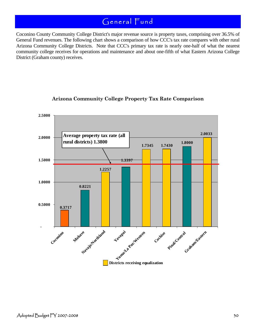Coconino County Community College District's major revenue source is property taxes, comprising over 36.5% of General Fund revenues. The following chart shows a comparison of how CCC's tax rate compares with other rural Arizona Community College Districts. Note that CCC's primary tax rate is nearly one-half of what the nearest community college receives for operations and maintenance and about one-fifth of what Eastern Arizona College District (Graham county) receives.



### **Arizona Community College Property Tax Rate Comparison**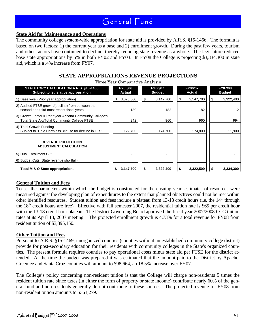#### **State Aid for Maintenance and Operations**

The community college system-wide appropriation for state aid is provided by A.R.S. §15-1466. The formula is based on two factors: 1) the current year as a base and 2) enrollment growth. During the past few years, tourism and other factors have continued to decline, thereby reducing state revenue as a whole. The legislature reduced base state appropriations by 5% in both FY02 and FY03. In FY08 the College is projecting \$3,334,300 in state aid, which is a .4% increase from FY07.

### **STATE APPROPRIATIONS REVENUE PROJECTIONS**

Three Year Comparative Analysis

| Three Tear Comparagive Hindly Sho                                                                                |                          |           |                          |           |    |                          |                                 |        |
|------------------------------------------------------------------------------------------------------------------|--------------------------|-----------|--------------------------|-----------|----|--------------------------|---------------------------------|--------|
| <b>STATUTORY CALCULATION A.R.S. §15-1466</b><br>Subject to legislative appropriation                             | <b>FY05/06</b><br>Actual |           | FY06/07<br><b>Budget</b> |           |    | <b>FY06/07</b><br>Actual | <b>FY07/08</b><br><b>Budget</b> |        |
| 1) Base level (Prior year appropriation)                                                                         | \$                       | 3,025,000 | \$                       | 3,147,700 | \$ | 3,147,700                | 3,322,400<br>S                  |        |
| 2) Audited FTSE growth/(decline) from between the<br>second and third most recent fiscal years                   |                          | 130       |                          | 182       |    | 182                      |                                 | 12     |
| 3) Growth Factor = Prior year Arizona Community College's<br><b>Total State Aid/Total Community College FTSE</b> |                          | 942       |                          | 960       |    | 960                      |                                 | 994    |
| 4) Total Growth Funding<br>Subject to "Hold Harmless" clause for decline in FTSE                                 |                          | 122,700   |                          | 174,700   |    | 174,800                  |                                 | 11,900 |
| <b>REVENUE PROJECTION</b><br><b>ADJUSTMENT CALCULATION</b><br>5) Dual Enrollment Cut                             |                          |           |                          |           |    |                          |                                 |        |
| 6) Budget Cuts (State revenue shortfall)                                                                         |                          |           |                          |           |    |                          |                                 |        |
| Total M & O State appropriations                                                                                 |                          | 3,147,700 |                          | 3,322,400 |    | 3,322,500                | 3,334,300                       |        |

#### **General Tuition and Fees**

To set the parameters within which the budget is constructed for the ensuing year, estimates of resources were measured against the developing plan of expenditures to the extent that planned objectives could not be met within other identified resources. Student tuition and fees include a plateau from 13-18 credit hours (i.e. the  $14<sup>th</sup>$  through the  $18<sup>th</sup>$  credit hours are free). Effective with fall semester 2007, the residential tuition rate is \$65 per credit hour with the 13-18 credit hour plateau. The District Governing Board approved the fiscal year 2007/2008 CCC tuition rates at its April 13, 2007 meeting. The projected enrollment growth is 4.73% for a total revenue for FY08 from resident tuition of \$3,895,150.

#### **Other Tuition and Fees**

Pursuant to A.R.S. §15-1469, unorganized counties (counties without an established community college district) provide for post-secondary education for their residents with community colleges in the State's organized counties. The present formula requires counties to pay operational costs minus state aid per FTSE for the district attended. At the time the budget was prepared it was estimated that the amount paid to the District by Apache, Greenlee and Santa Cruz counties will amount to \$98,664, an 18.5% increase over FY07.

The College's policy concerning non-resident tuition is that the College will charge non-residents 5 times the resident tuition rate since taxes (in either the form of property or state income) contribute nearly 60% of the general fund and non-residents generally do not contribute to these sources. The projected revenue for FY08 from non-resident tuition amounts to \$361,279.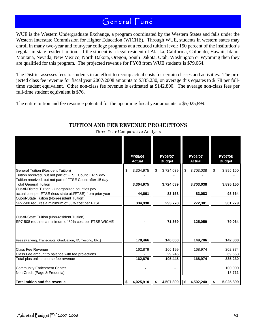WUE is the Western Undergraduate Exchange, a program coordinated by the Western States and falls under the Western Interstate Commission for Higher Education (WICHE). Through WUE, students in western states may enroll in many two-year and four-year college programs at a reduced tuition level: 150 percent of the institution's regular in-state resident tuition. If the student is a legal resident of Alaska, California, Colorado, Hawaii, Idaho, Montana, Nevada, New Mexico, North Dakota, Oregon, South Dakota, Utah, Washington or Wyoming then they are qualified for this program. The projected revenue for FY08 from WUE students is \$79,064.

The District assesses fees to students in an effort to recoup actual costs for certain classes and activities. The projected class fee revenue for fiscal year 2007/2008 amounts to \$335,230, on average this equates to \$178 per fulltime student equivalent. Other non-class fee revenue is estimated at \$142,800. The average non-class fees per full-time student equivalent is \$76.

The entire tuition and fee resource potential for the upcoming fiscal year amounts to \$5,025,899.

|                                                                                                      | <b>FY05/06</b><br><b>Actual</b> | FY06/07<br><b>Budget</b> | <b>FY06/07</b><br><b>Actual</b> | <b>FY07/08</b><br><b>Budget</b> |
|------------------------------------------------------------------------------------------------------|---------------------------------|--------------------------|---------------------------------|---------------------------------|
|                                                                                                      |                                 |                          |                                 |                                 |
| <b>General Tuition (Resident Tuition)</b><br>Tuition received, but not part of FTSE Count 10-15 day  | \$<br>3,304,975                 | 3,724,039<br>\$          | \$<br>3,703,038                 | \$<br>3,895,150                 |
| Tuition received, but not part of FTSE Count after 15 day                                            |                                 |                          |                                 |                                 |
| <b>Total General Tuition</b>                                                                         | 3,304,975                       | 3,724,039                | 3,703,038                       | 3,895,150                       |
| Out-of-District Tuition - Unorganized counties pay                                                   |                                 |                          |                                 |                                 |
| actual cost per FTSE (less state aid/FTSE) from prior year                                           | 44,661                          | 83,168                   | 83,083                          | 98,664                          |
| Out-of-State Tuition (Non-resident Tuition)                                                          |                                 |                          |                                 |                                 |
| SP7-508 requires a minimum of 80% cost per FTSE                                                      | 334,930                         | 293,778                  | 272,381                         | 361,279                         |
|                                                                                                      |                                 |                          |                                 |                                 |
| Out-of-State Tuition (Non-resident Tuition)<br>SP7-508 requires a minimum of 80% cost per FTSE WICHE |                                 | 71,369                   | 125,059                         | 79,064                          |
| Fees (Parking, Transcripts, Graduation, ID, Testing, Etc.)                                           | 178,466                         | 140,000                  | 149,706                         | 142,800                         |
| Class Fee Revenue                                                                                    | 162,879                         | 166,199                  | 168,974                         | 202,374                         |
| Class Fee amount to balance with fee projections                                                     |                                 | 29,246                   |                                 | 69,663                          |
| Total plus online course fee revenue                                                                 | 162,879                         | 195,445                  | 168,974                         | 335,230                         |
|                                                                                                      |                                 |                          |                                 |                                 |
| <b>Community Enrichment Center</b>                                                                   |                                 |                          |                                 | 100,000                         |
| Non-Credit (Page & Fredonia)                                                                         |                                 |                          |                                 | 13,711                          |
| <b>Total tuition and fee revenue</b>                                                                 | 4,025,910<br>\$                 | 4,507,800<br>\$          | 4,502,240<br>\$                 | \$<br>5,025,899                 |

### **TUITION AND FEE REVENUE PROJECTIONS**

Three Year Comparative Analysis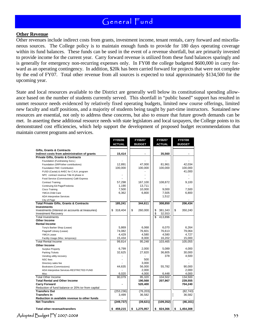#### **Other Revenue**

Other revenues include indirect costs from grants, investment income, tenant rentals, carry forward and miscellaneous sources. The College policy is to maintain enough funds to provide for 180 days operating coverage within its fund balances. These funds can be used in the event of a revenue shortfall, but are primarily invested to provide income for the current year. Carry forward revenue is utilized from these fund balances sparingly and is generally for emergency non-recurring expenses only. In FY08 the college budgeted \$600,000 in carry forward as an operating contingency. In addition, \$20k has been carried forward for projects that were not complete by the end of FY07. Total other revenue from all sources is expected to total approximately \$134,500 for the upcoming year.

State and local resources available to the District are generally well below its constitutional spending allowance based on the number of students currently served. This shortfall in "public based" support has resulted in unmet resource needs evidenced by relatively fixed operating budgets, limited new course offerings, limited new faculty and staff positions, and a majority of students being taught by part-time instructors. Sustained new resources are essential, not only to address these concerns, but also to ensure that future growth demands can be met. In asserting these additional resource needs with state legislators and local taxpayers, the College points to its demonstrated cost efficiencies, which help support the development of proposed budget recommendations that maintain current programs and services.

|                                                    | FY05/06<br><b>ACTUAL</b> | FY06/07<br><b>BUDGET</b> | FY06/07<br><b>ACTUAL</b>           | FY07/08<br><b>BUDGET</b> |
|----------------------------------------------------|--------------------------|--------------------------|------------------------------------|--------------------------|
|                                                    |                          |                          |                                    |                          |
| Gifts, Grants & Contracts                          |                          |                          |                                    |                          |
| Indirect costs from administration of grants       | 15,414                   |                          | 35,560                             |                          |
| <b>Private Gifts, Grants &amp; Contracts</b>       |                          |                          |                                    |                          |
| Foundation (Fundraising Svcs.)                     |                          |                          |                                    |                          |
| Foundation (SRP/other contributions)               | 12.891                   | 47.000                   | 81.961                             | 42.034                   |
| Foundation FMC Contribution                        | 100,000                  | 100,000                  | 100,000                            | 100,000                  |
| FUSD (Caviat) & AHEC for C.N.A. program            |                          |                          |                                    | 41,000                   |
| NPC contract revenue Title III phase in            |                          |                          |                                    |                          |
| Food Service (Commissions) Café Express            |                          |                          |                                    |                          |
| <b>Contract Training</b>                           | 57,298                   | 167,100                  | 108,872                            | 9,100                    |
| Continuing Ed-Page/Fredonia                        | 1,190                    | 13,711                   |                                    |                          |
| Cisco Training                                     | 7,500                    | 10,000                   | 9,000                              | 7,500                    |
| YMCA-Child Care                                    | 6,362                    | 6,800                    | 7,505                              | 6,800                    |
| <b>ADA Interpretive Services</b>                   |                          |                          | 1,512                              |                          |
| City of Page                                       |                          |                          |                                    |                          |
| <b>Total Private Gifts, Grants &amp; Contracts</b> | 185,241                  | 344,611                  | 308,850                            | 206,434                  |
| <b>Investments</b>                                 |                          |                          |                                    |                          |
| Investments (Interest on accounts at treasuries)   | \$318,404                | \$<br>260,000            | 381,343<br>\$                      | \$<br>350,240            |
| <b>Investment Recovery</b>                         |                          |                          | \$<br>32,553                       |                          |
| <b>Total Investments</b>                           |                          |                          | $\overline{\mathbb{s}}$<br>413.896 |                          |
| <b>Other Income</b>                                |                          |                          |                                    |                          |
| <b>Rental Income</b>                               |                          |                          |                                    |                          |
| Tony's Barber Shop (Lease)                         | 5,869                    | 6,068                    | 6,070                              | 6,264                    |
| Flagstaff Library (Lease)                          | 74,082                   | 76,601                   | 76,613                             | 79,064                   |
| <b>YMCA Lease</b>                                  | 4,429                    | 4,580                    | 4,580                              | 4,727                    |
| Facility Usage (Misc. temporary)                   | 15,434                   | 8,000                    | 16,202                             | 15,000                   |
| <b>Total Rental Income</b>                         | 99,814                   | 95,248                   | 103,465                            | 105,055                  |
| <b>Other Income</b>                                |                          |                          |                                    |                          |
| <b>Surplus Property</b>                            | 6,799                    | 2,000                    | 5,089                              | 4,000                    |
| <b>Parking Tickets</b>                             | 32,625                   | 27,820                   | 36,805                             | 30,000                   |
| Vending utility recovery                           |                          |                          | 378                                | 4,500                    |
| NSC fees                                           |                          | 500                      |                                    |                          |
|                                                    |                          | 3,000                    |                                    |                          |
| Directory sales fee                                | 44,635                   | 56,000                   | 55,782                             | 90,000                   |
| Bookstore (Commissions)                            |                          |                          |                                    |                          |
| ADA Interpretive Services-RESTRICTED FUND          |                          | 2,000                    |                                    | 2,000                    |
| Misc                                               | 6,020                    | 4,000                    | 6,448                              | 4,000                    |
| <b>Total Other Income</b>                          | 90,079                   | 95,320                   | 104,502                            | 134,500                  |
| <b>Total Rental and Other Income</b>               |                          | 190,568                  | 207,967                            | 239,555                  |
| <b>Carry Forward</b>                               |                          | 520,400                  |                                    | 704,240                  |
| Reduction of fund balance or 20% txr from capital  |                          |                          |                                    |                          |
| <b>Transfers Out</b>                               | (253, 236)               | (76, 203)                |                                    | (82, 743)                |
| <b>Transfers In</b>                                | 3,499                    | 36,582                   |                                    | 36,582                   |
| Reduction in available revenue to other funds      |                          |                          |                                    |                          |
| <b>Net Transfers</b>                               | (249, 737)               | (39, 621)                | (109, 352)                         | (46, 161)                |
| <b>Total other revenue/transfers</b>               | 459,215<br>\$            | \$<br>1,275,957          | \$<br>824,366                      | \$<br>1,454,308          |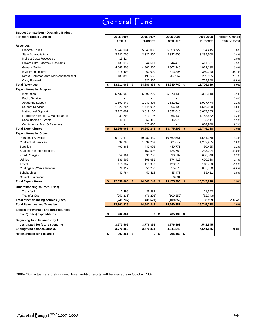### **Budget Comparison - Operating Budget**

| For Years Ended June 30              | 2005-2006        | 2006-2007            | 2006-2007        | 2007-2008        | <b>Percent Change</b> |
|--------------------------------------|------------------|----------------------|------------------|------------------|-----------------------|
|                                      | <b>ACTUAL</b>    | <b>BUDGET</b>        | <b>ACTUAL*</b>   | <b>BUDGET</b>    | FY07 to FY08          |
| <b>Revenues</b>                      |                  |                      |                  |                  |                       |
| <b>Property Taxes</b>                | 5,247,034        | 5,541,085            | 5,558,727        | 5,754,415        | 3.8%                  |
| <b>State Appropriations</b>          | 3,147,700        | 3,322,400            | 3,322,500        | 3,334,300        | 0.4%                  |
| <b>Indirect Costs Recovered</b>      | 15,414           |                      |                  |                  | 0.0%                  |
| Private Gifts, Grants & Contracts    | 130,012          | 344,611              | 344,410          | 411,031          | 19.3%                 |
| <b>General Tuition</b>               | 4,063,209        | 4,507,800            | 4,502,240        | 4,912,188        | 9.0%                  |
| Investment Income                    | 318,404          | 260,000              | 413,896          | 350,240          | 34.7%                 |
| Rental/Common Area Maintenance/Other | 189,893          | 190,569              | 207,967          | 239,505          | 25.7%                 |
| Carry Forward                        |                  | 520,400              |                  | 704,940          | 35.5%                 |
| <b>Total Revenues</b>                | \$<br>13,111,666 | \$<br>14,686,864     | \$<br>14,349,740 | \$<br>15,706,619 | 6.9%                  |
| <b>Expenditures by Program</b>       |                  |                      |                  |                  |                       |
| Instruction                          | 5,437,059        | 5,590,209            | 5,573,139        | 6,322,519        | 13.1%                 |
| <b>Public Service</b>                |                  |                      |                  |                  | 0.0%                  |
| Academic Support                     | 1,592,547        | 1,949,804            | 1,631,614        | 1,907,474        | $-2.2%$               |
| <b>Student Services</b>              | 1,222,284        | 1,444,057            | 1,366,406        | 1,510,509        | 4.6%                  |
| <b>Institutional Support</b>         | 3,127,007        | 3,619,160            | 3,592,840        | 3,687,833        | 1.9%                  |
| Facilities Operation & Maintenance   | 1,231,294        | 1,373,197            | 1,266,132        | 1,458,532        | 6.2%                  |
| Scholarships & Grants                | 48,879           | 50,416               | 45,076           | 53,411           | 5.9%                  |
| Contingency, Misc & Reserves         |                  | 620,400              |                  | 804,940          | 29.7%                 |
| <b>Total Expenditures</b>            | \$<br>12,659,068 | \$<br>14,647,243     | \$<br>13,475,206 | \$<br>15,745,218 | 7.5%                  |
| <b>Expenditures by Object</b>        |                  |                      |                  |                  |                       |
| <b>Personnel Services</b>            | 9,977,672        | 10,987,439           | 10,562,551       | 11,584,969       | 5.4%                  |
| <b>Contractual Services</b>          | 839,285          | 1,039,269            | 1,001,642        | 1,202,985        | 15.8%                 |
| Supplies                             | 499,366          | 443,998              | 449,771          | 480,435          | 8.2%                  |
| <b>Student Related Expenses</b>      |                  | 157,502              | 125,782          | 233,094          | 48.0%                 |
| <b>Fixed Charges</b>                 | 559,361          | 590,708              | 530,589          | 606,748          | 2.7%                  |
| <b>Utilities</b>                     | 539,593          | 608,662              | 574,413          | 629,366          | 3.4%                  |
| Travel                               | 115,687          | 118,999              | 123,278          | 118,760          | $-0.2%$               |
| Contingency/Miscellaneous            | 78,319           | 650,250              | 55,673           | 835,450          | 28.5%                 |
| Scholarships                         | 49,784           | 50,416               | 45,476           | 53,411           | 5.9%                  |
| Capital Equipment                    |                  |                      | 6,031            |                  |                       |
| <b>Total Expenditures</b>            | \$<br>12,659,068 | \$<br>14,647,243     | \$<br>13,475,206 | \$<br>15,745,218 | 7.5%                  |
| Other financing sources (uses)       |                  |                      |                  |                  |                       |
| Transfer In                          | 3,499            | 36,582               |                  | 121,342          |                       |
| <b>Transfer Out</b>                  | (253, 236)       | (76, 203)            | (109, 352)       | (82, 743)        |                       |
| Total other financing sources (uses) | (249, 737)       | (39, 621)            | (109, 352)       | 38,599           | $-197.4%$             |
| <b>Total Revenues and Transfers</b>  | 12,861,929       | 14,647,243           | 14,240,387       | 15,745,218       | 7.5%                  |
| Excess of revenues and other sources |                  |                      |                  |                  |                       |
| over/(under) expenditures            | \$<br>202,861    | 0                    | \$<br>765,182    | \$               |                       |
|                                      |                  |                      |                  |                  |                       |
| <b>Beginning fund balance July 1</b> |                  |                      |                  |                  |                       |
| designated for future spending       | 3,573,502        | 3,776,363            | 3,776,363        | 4,541,545        |                       |
| Ending fund balance June 30          | 3,776,363        | 3,776,364            | 4,541,545        | 4,541,545        | 20.3%                 |
| Net change in fund balance           | \$<br>202,861    | \$<br>0 <sup>5</sup> | 765,182   \$     |                  |                       |

2006-2007 actuals are preliminary. Final audited results will be available in October 2007.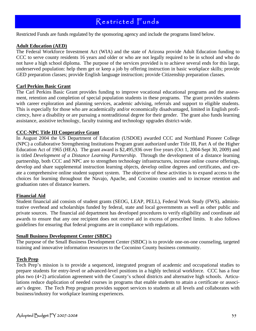### Restricted Funds

Restricted Funds are funds regulated by the sponsoring agency and include the programs listed below.

#### **Adult Education (AED)**

The Federal Workforce Investment Act (WIA) and the state of Arizona provide Adult Education funding to CCC to serve county residents 16 years and older or who are not legally required to be in school and who do not have a high school diploma. The purpose of the services provided is to achieve several ends for this large, underserved population: help them get or keep a job by offering instruction in basic workplace skills; provide GED preparation classes; provide English language instruction; provide Citizenship preparation classes.

#### **Carl Perkins Basic Grant**

The Carl Perkins Basic Grant provides funding to improve vocational educational programs and the assessment, retention and completion of special population students in these programs. The grant provides students with career exploration and planning services, academic advising, referrals and support to eligible students. This is especially for those who are academically and/or economically disadvantaged, limited in English proficiency, have a disability or are pursuing a nontraditional degree for their gender. The grant also funds learning assistance, assistive technology, faculty training and technology upgrades district-wide.

#### **CCC-NPC Title III Cooperative Grant**

In August 2004 the US Department of Education (USDOE) awarded CCC and Northland Pioneer College (NPC) a collaborative Strengthening Institutions Program grant authorized under Title III, Part A of the Higher Education Act of 1965 (HEA). The grant award is \$2,495,936 over five years (Oct 1, 2004-Sept 30, 2009) and is titled *Development of a Distance Learning Partnership*. Through the development of a distance learning partnership, both CCC and NPC are to strengthen technology infrastructures, increase online course offerings, develop and share supplemental instruction learning objects, develop online degrees and certificates, and create a comprehensive online student support system. The objective of these activities is to expand access to the choices for learning throughout the Navajo, Apache, and Coconino counties and to increase retention and graduation rates of distance learners.

#### **Financial Aid**

Student financial aid consists of student grants (SEOG, LEAP, PELL), Federal Work Study (FWS), administrative overhead and scholarships funded by federal, state and local governments as well as other public and private sources. The financial aid department has developed procedures to verify eligibility and coordinate aid awards to ensure that any one recipient does not receive aid in excess of prescribed limits. It also follows guidelines for ensuring that federal programs are in compliance with regulations.

#### **Small Business Development Center (SBDC)**

The purpose of the Small Business Development Center (SBDC) is to provide one-on-one counseling, targeted training and innovative information resources to the Coconino County business community.

#### **Tech Prep**

Tech Prep's mission is to provide a sequenced, integrated program of academic and occupational studies to prepare students for entry-level or advanced-level positions in a highly technical workforce. CCC has a four plus two (4+2) articulation agreement with the County's school districts and alternative high schools. Articulations reduce duplication of needed courses in programs that enable students to attain a certificate or associate's degree. The Tech Prep program provides support services to students at all levels and collaborates with business/industry for workplace learning experiences.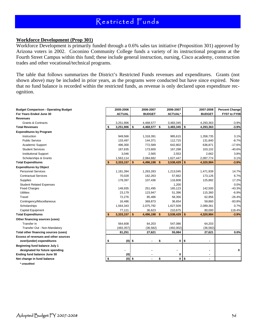### Restricted Funds

#### **Workforce Development (Prop 301)**

Workforce Development is primarily funded through a 0.6% sales tax initiative (Proposition 301) approved by Arizona voters in 2002. Coconino Community College funds a variety of its instructional programs at the Fourth Street Campus within this fund; these include general instruction, nursing, Cisco academy, construction trades and other vocational/technical programs.

The table that follows summarizes the District's Restricted Funds revenues and expenditures. Grants (not shown above) may be included in prior years, as the programs were conducted but have since expired. Note that no fund balance is recorded within the restricted funds, as revenue is only declared upon expenditure recognition.

| <b>Budget Comparison - Operating Budget</b> |    | 2005-2006     |          | 2006-2007     | 2006-2007      |            | 2007-2008      | <b>Percent Change</b> |
|---------------------------------------------|----|---------------|----------|---------------|----------------|------------|----------------|-----------------------|
| For Years Ended June 30                     |    | <b>ACTUAL</b> |          | <b>BUDGET</b> | <b>ACTUAL*</b> |            | <b>BUDGET</b>  | <b>FY07 to FY08</b>   |
| Revenues                                    |    |               |          |               |                |            |                |                       |
| <b>Grants &amp; Contracts</b>               |    | 3,251,906     |          | 4,468,577     | 3,483,345      |            | 4,293,363      | $-3.9%$               |
| <b>Total Revenues</b>                       | \$ | 3,251,906     | \$       | 4,468,577 \$  | 3,483,345      | $\sqrt{3}$ | 4,293,363      | $-3.9%$               |
| <b>Expenditures by Program</b>              |    |               |          |               |                |            |                |                       |
| Instruction                                 |    | 949,566       |          | 1,318,391     | 985,615        |            | 1,358,735      | 3.1%                  |
| <b>Public Service</b>                       |    | 133,497       |          | 144,371       | 112,715        |            | 131,840        | $-8.7%$               |
| Academic Support                            |    | 496,300       |          | 772,589       | 642,802        |            | 636,871        | $-17.6%$              |
| <b>Student Services</b>                     |    | 187,635       |          | 173,600       | 167,298        |            | 103,102        | $-40.6%$              |
| <b>Institutional Support</b>                |    | 3,046         |          | 2,565         | 2,553          |            | 2,662          | 3.8%                  |
| Scholarships & Grants                       |    | 1,563,114     |          | 2,084,682     | 1,627,447      |            | 2,087,774      | 0.1%                  |
| <b>Total Expenditures</b>                   | \$ | 3,333,157     | \$       | 4,496,198 \$  | 3,538,429      | \$         | 4,320,984      | $-3.9%$               |
| <b>Expenditures by Object</b>               |    |               |          |               |                |            |                |                       |
| <b>Personnel Services</b>                   |    | 1,181,394     |          | 1,283,283     | 1,213,045      |            | 1,471,939      | 14.7%                 |
| <b>Contractual Services</b>                 |    | 70,028        |          | 162,263       | 57,662         |            | 173,126        | 6.7%                  |
| Supplies                                    |    | 178,397       |          | 107,436       | 116,808        |            | 125,882        | 17.2%                 |
| <b>Student Related Expenses</b>             |    |               |          |               | 1,200          |            |                | 0.0%                  |
| <b>Fixed Charges</b>                        |    | 149,935       |          | 251,495       | 165,123        |            | 142,500        | $-43.3%$              |
| <b>Utilities</b>                            |    | 23,179        |          | 123,947       | 51,396         |            | 115,360        | $-6.9%$               |
| Travel                                      |    | 72,276        |          | 85,486        | 58,356         |            | 62,956         | $-26.4%$              |
| Contingency/Miscellaneous                   |    | 16,486        |          | 369,873       | 36,654         |            | 59,860         | $-83.8%$              |
| Scholarships                                |    | 1,564,343     |          | 2,075,792     | 1,627,509      |            | 2,089,361      | 0.7%                  |
| Capital Equipment                           |    | 77,121        |          | 36,623        | 210,675        |            | 80,000         | 118.4%                |
| <b>Total Expenditures</b>                   | \$ | 3,333,157     | \$       | 4,496,198 \$  | 3,538,429      | \$         | 4,320,984      | $-3.9%$               |
| Other financing sources (uses)              |    |               |          |               |                |            |                |                       |
| Transfer In                                 |    | 564,608       |          | 64,203        | 547,086        |            | 64,203         |                       |
| Transfer Out - Non-Mandatory                |    | (483, 357)    |          | (36, 582)     | (492,002)      |            | (36, 582)      |                       |
| Total other financing sources (uses)        |    | 81,251        |          | 27,621        | 55,084         |            | 27,621         | 0.0%                  |
| Excess of revenues and other sources        |    |               |          |               |                |            |                |                       |
| over/(under) expenditures                   | S  |               | $(0)$ \$ |               | 0              | \$         |                |                       |
| Beginning fund balance July 1               |    |               |          |               |                |            |                |                       |
| designated for future spending              |    |               |          |               |                |            | ٠              | 0                     |
| Ending fund balance June 30                 |    | (0)           |          |               | 0              |            | $\blacksquare$ |                       |
| Net change in fund balance                  | \$ |               | $(0)$ \$ |               | \$<br>0        | \$         | $\overline{a}$ |                       |
| * unaudited                                 |    |               |          |               |                |            |                |                       |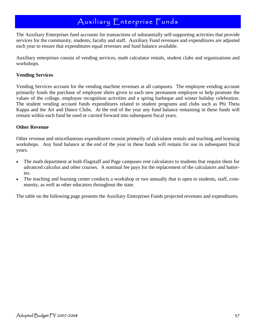### Auxiliary Enterprise Funds

The Auxiliary Enterprises fund accounts for transactions of substantially self-supporting activities that provide services for the community, students, faculty and staff. Auxiliary Fund revenues and expenditures are adjusted each year to ensure that expenditures equal revenues and fund balance available.

Auxiliary enterprises consist of vending services, math calculator rentals, student clubs and organizations and workshops.

#### **Vending Services**

Vending Services account for the vending machine revenues at all campuses. The employee vending account primarily funds the purchase of employee shirts given to each new permanent employee to help promote the values of the college, employee recognition activities and a spring barbeque and winter holiday celebration. The student vending account funds expenditures related to student programs and clubs such as Phi Theta Kappa and the Art and Dance Clubs. At the end of the year any fund balance remaining in these funds will remain within each fund be used or carried forward into subsequent fiscal years.

#### **Other Revenue**

Other revenue and miscellaneous expenditures consist primarily of calculator rentals and teaching and learning workshops. Any fund balance at the end of the year in these funds will remain for use in subsequent fiscal years.

- The math department at both Flagstaff and Page campuses rent calculators to students that require them for advanced calculus and other courses. A nominal fee pays for the replacement of the calculators and batteries.
- The teaching and learning center conducts a workshop or two annually that is open to students, staff, community, as well as other educators throughout the state.

The table on the following page presents the Auxiliary Enterprises Funds projected revenues and expenditures.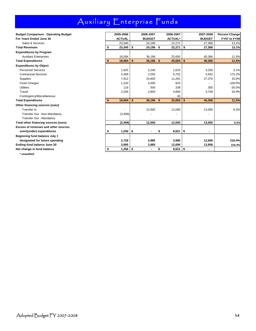# Auxiliary Enterprise Funds

| <b>Budget Comparison - Operating Budget</b> |    | 2005-2006     | 2006-2007       | 2006-2007          | 2007-2008      | <b>Percent Change</b> |
|---------------------------------------------|----|---------------|-----------------|--------------------|----------------|-----------------------|
| For Years Ended June 30                     |    | <b>ACTUAL</b> | <b>BUDGET</b>   | <b>ACTUAL*</b>     | <b>BUDGET</b>  | FY07 to FY08          |
| Sales & Services                            |    | 23,340        | 24,196          | 22,271             | 27.366         | 13.1%                 |
| <b>Total Revenues</b>                       | \$ | 23,340        | \$<br>24,196 \$ | 22,271             | \$<br>27,366   | 13.1%                 |
| <b>Expenditures by Program</b>              |    |               |                 |                    |                |                       |
| <b>Auxiliary Enterprises</b>                |    | 18,584        | 36,196          | 25,650             | 40,366         | 11.5%                 |
| <b>Total Expenditures</b>                   | S. | 18,584        | \$<br>36,196 \$ | 25,650             | \$<br>40,366   | 11.5%                 |
| <b>Expenditures by Object</b>               |    |               |                 |                    |                |                       |
| <b>Personnel Services</b>                   |    | 1,625         | 3,246           | 1,624              | 3,250          | 0.1%                  |
| <b>Contractual Services</b>                 |    | 5,499         | 2,050           | 6,752              | 5,642          | 175.2%                |
| Supplies                                    |    | 7,912         | 23,600          | 11,261             | 27,376         | 16.0%                 |
| <b>Fixed Charges</b>                        |    | 1,220         | 4,000           | 823                |                | $-100.0%$             |
| <b>Utilities</b>                            |    | 119           | 500             | 339                | 350            | $-30.0%$              |
| Travel                                      |    | 2,209         | 2,800           | 4,805              | 3,748          | 33.9%                 |
| Contingency/Miscellaneous                   |    |               |                 | 45                 |                |                       |
| <b>Total Expenditures</b>                   | \$ | 18,584        | \$<br>36,196 \$ | 25,650             | \$<br>40,366   | 11.5%                 |
| Other financing sources (uses)              |    |               |                 |                    |                |                       |
| Transfer In                                 |    |               | 12,000          | 12,000             | 13,000         | 8.3%                  |
| Transfer Out - Non-Mandatory                |    | (3,499)       |                 |                    |                |                       |
| Transfer Out - Mandatory                    |    |               |                 |                    |                |                       |
| Total other financing sources (uses)        |    | (3, 499)      | 12,000          | 12,000             | 13,000         | 8.3%                  |
| Excess of revenues and other sources        |    |               |                 |                    |                |                       |
| over/(under) expenditures                   | S. | $1,256$   \$  |                 | \$<br>$8,621$   \$ | $\blacksquare$ |                       |
| Beginning fund balance July 1               |    |               |                 |                    |                |                       |
| designated for future spending              |    | 2,728         | 3,985           | 3,985              | 12,606         | 216.4%                |
| Ending fund balance June 30                 |    | 3,985         | 3,985           | 12,606             | 12,606         | 216.4%                |
| Net change in fund balance                  | \$ |               | ٠               | \$<br>$8,621$ \$   | $\blacksquare$ |                       |
| * unaudited                                 |    |               |                 |                    |                |                       |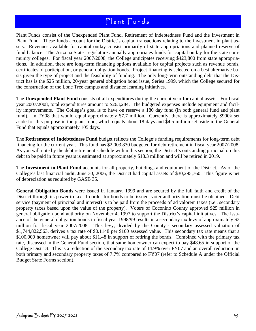Plant Funds consist of the Unexpended Plant Fund, Retirement of Indebtedness Fund and the Investment in Plant Fund. These funds account for the District's capital transactions relating to the investment in plant assets. Revenues available for capital outlay consist primarily of state appropriations and planned reserve of fund balance. The Arizona State Legislature annually appropriates funds for capital outlay for the state community colleges. For fiscal year 2007/2008, the College anticipates receiving \$423,800 from state appropriations. In addition, there are long-term financing options available for capital projects such as revenue bonds, certificates of participation, or general obligation bonds. Project financing is selected on a best alternative basis given the type of project and the feasibility of funding. The only long-term outstanding debt that the District has is the \$25 million, 20-year general obligation bond issue, Series 1999, which the College secured for the construction of the Lone Tree campus and distance learning initiatives.

The **Unexpended Plant Fund** consists of all expenditures during the current year for capital assets. For fiscal year 2007/2008, total expenditures amount to \$263,284. The budgeted expenses include equipment and facility improvements. The College's goal is to have on reserve a 180 day fund (in both general fund and plant fund). In FY08 that would equal approximately \$7.7 million. Currently, there is approximately \$900k set aside for this purpose in the plant fund, which equals about 18 days and \$4.5 million set aside in the General Fund that equals approximately 105 days.

The **Retirement of Indebtedness Fund** budget reflects the College's funding requirements for long-term debt financing for the current year. This fund has \$2,003,830 budgeted for debt retirement in fiscal year 2007/2008. As you will note by the debt retirement schedule within this section, the District's outstanding principal on this debt to be paid in future years is estimated at approximately \$18.3 million and will be retired in 2019.

The **Investment in Plant Fund** accounts for all property, buildings and equipment of the District. As of the College's last financial audit, June 30, 2006, the District had capital assets of \$30,295,760. This figure is net of depreciation as required by GASB 35.

**General Obligation Bonds** were issued in January, 1999 and are secured by the full faith and credit of the District through its power to tax. In order for bonds to be issued, voter authorization must be obtained. Debt service (payment of principal and interest) is to be paid from the proceeds of ad valorem taxes (i.e., secondary property taxes based upon the value of the property). Voters of Coconino County approved \$25 million in general obligation bond authority on November 4, 1997 to support the District's capital initiatives. The issuance of the general obligation bonds in fiscal year 1998/99 results in a secondary tax levy of approximately \$2 million for fiscal year 2007/2008. This levy, divided by the County's secondary assessed valuation of \$1,744,822,563, derives a tax rate of \$0.1148 per \$100 assessed value. This secondary tax rate means that a \$100,000 homeowner will pay about \$11.48 in support of retiring the bonds. Combined with the primary tax rate, discussed in the General Fund section, that same homeowner can expect to pay \$48.65 in support of the College District. This is a reduction of the secondary tax rate of 14.9% over FY07 and an overall reduction in both primary and secondary property taxes of 7.7% compared to FY07 (refer to Schedule A under the Official Budget State Forms section).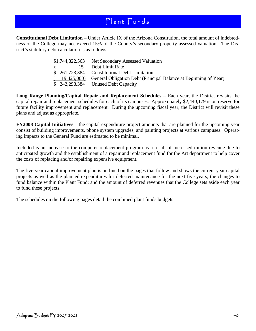**Constitutional Debt Limitation** – Under Article IX of the Arizona Constitution, the total amount of indebtedness of the College may not exceed 15% of the County's secondary property assessed valuation. The District's statutory debt calculation is as follows:

|  | \$1,744,822,563 Net Secondary Assessed Valuation                              |
|--|-------------------------------------------------------------------------------|
|  |                                                                               |
|  | \$ 261,723,384 Constitutional Debt Limitation                                 |
|  | (19,425,000) General Obligation Debt (Principal Balance at Beginning of Year) |
|  | $$242,298,384$ Unused Debt Capacity                                           |

**Long Range Planning/Capital Repair and Replacement Schedules** – Each year, the District revisits the capital repair and replacement schedules for each of its campuses. Approximately \$2,440,179 is on reserve for future facility improvement and replacement. During the upcoming fiscal year, the District will revisit these plans and adjust as appropriate.

**FY2008 Capital Initiatives** – the capital expenditure project amounts that are planned for the upcoming year consist of building improvements, phone system upgrades, and painting projects at various campuses. Operating impacts to the General Fund are estimated to be minimal.

Included is an increase to the computer replacement program as a result of increased tuition revenue due to anticipated growth and the establishment of a repair and replacement fund for the Art department to help cover the costs of replacing and/or repairing expensive equipment.

The five-year capital improvement plan is outlined on the pages that follow and shows the current year capital projects as well as the planned expenditures for deferred maintenance for the next five years; the changes to fund balance within the Plant Fund; and the amount of deferred revenues that the College sets aside each year to fund these projects.

The schedules on the following pages detail the combined plant funds budgets.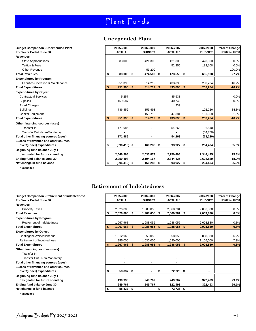### **Unexpended Plant**

| <b>Budget Comparison - Unexpended Plant</b>   |    | 2005-2006       | 2006-2007          | 2006-2007      | 2007-2008     | <b>Percent Change</b> |
|-----------------------------------------------|----|-----------------|--------------------|----------------|---------------|-----------------------|
| For Years Ended June 30                       |    | <b>ACTUAL</b>   | <b>BUDGET</b>      | <b>ACTUAL*</b> | <b>BUDGET</b> | FY07 to FY08          |
| <b>Revenues</b>                               |    |                 |                    |                |               |                       |
| <b>State Appropriations</b>                   |    | 383,000         | 421,300            | 421,300        | 423,800       | 0.6%                  |
| <b>Tuition &amp; Fees</b>                     |    |                 |                    | 52,255         | 182,108       | 0.0%                  |
| Other Revenue                                 |    |                 | 53,200             |                |               | $-100.0%$             |
| <b>Total Revenues</b>                         | \$ | 383,000         | \$<br>474,500 \$   | 473,555        | \$<br>605,908 | 27.7%                 |
| <b>Expenditures by Program</b>                |    |                 |                    |                |               |                       |
| <b>Facilities Operation &amp; Maintenance</b> |    | 951,396         | 314.212            | 433,896        | 263,284       | $-16.2%$              |
| <b>Total Expenditures</b>                     | S  | 951,396         | \$<br>$314,212$ \$ | 433,896        | \$<br>263,284 | $-16.2%$              |
| <b>Expenditures by Object</b>                 |    |                 |                    |                |               |                       |
| <b>Contractual Services</b>                   |    | 5,257           |                    | 45,531         |               | 0.0%                  |
| Supplies                                      |    | 159,687         |                    | 40,742         |               | 0.0%                  |
| <b>Fixed Charges</b>                          |    |                 |                    | 239            |               |                       |
| <b>Buildings</b>                              |    | 786,452         | 155,493            |                | 102,226       | $-34.3%$              |
| <b>Capital Equipment</b>                      |    |                 | 158,719            | 347,384        | 161,058       | 1.5%                  |
| <b>Total Expenditures</b>                     |    | 951,396         | \$<br>$314,212$ \$ | 433,896        | \$<br>263,284 | $-16.2%$              |
| Other financing sources (uses)                |    |                 |                    |                |               |                       |
| Transfer In                                   |    | 171,986         |                    | 54,268         | 6,540         |                       |
| Transfer Out - Non-Mandatory                  |    |                 |                    |                | (84, 760)     |                       |
| Total other financing sources (uses)          |    | 171,986         | ٠                  | 54,268         | (78, 220)     |                       |
| Excess of revenues and other sources          |    |                 |                    |                |               |                       |
| over/(under) expenditures                     | \$ | $(396, 410)$ \$ | 160,288 \$         | $93,927$ \$    | 264,404       | 65.0%                 |
| Beginning fund balance July 1                 |    |                 |                    |                |               |                       |
| designated for future spending                |    | 2,646,908       | 2,033,879          | 2,250,498      | 2,344,425     | 15.3%                 |
| Ending fund balance June 30                   |    | 2,250,498       | 2,194,167          | 2,344,425      | 2,608,829     | 18.9%                 |
| Net change in fund balance                    | \$ | $(396, 410)$ \$ | 160,288 \$         | $93,927$   \$  | 264,404       | 65.0%                 |
|                                               |    |                 |                    |                |               |                       |

**\* unaudited**

**\* unaudited**

#### **Retirement of Indebtedness**

| For Years Ended June 30<br><b>ACTUAL</b><br><b>BUDGET</b><br><b>ACTUAL*</b><br><b>BUDGET</b><br>FY07 to FY08<br><b>Revenues</b><br>2,026,805<br>0.8%<br><b>Property Taxes</b><br>1,988,055<br>2,060,781<br>2,003,830<br>\$<br>2,026,805<br>0.8%<br>1,988,055<br>2,060,781<br>2,003,830<br><b>Total Revenues</b><br>\$<br>\$<br>S<br><b>Expenditures by Program</b><br>Retirement of Indebtedness<br>1,967,968<br>2,003,830<br>0.8%<br>1,988,055<br>1,988,055<br>\$<br>\$<br>1,988,055<br>0.8%<br><b>Total Expenditures</b><br>1,967,968<br>2,003,830<br>1,988,055<br>S.<br>S<br><b>Expenditures by Object</b><br>$-6.2%$<br>Contingency/Miscellaneous<br>1,012,968<br>958,055<br>898,830<br>958,055<br>Retirement of Indebtedness<br>1,030,000<br>1,105,000<br>7.3%<br>955,000<br>1,030,000<br>1,967,968<br>1,988,055<br>1,988,055<br>\$<br>2,003,830<br>0.8%<br><b>Total Expenditures</b><br>S<br>\$.<br>s.<br>Other financing sources (uses)<br>Transfer In<br>Transfer Out - Non-Mandatory<br>Total other financing sources (uses)<br>٠<br>Excess of revenues and other sources<br>58,837<br>72,726 \$<br>\$<br>over/(under) expenditures<br>Beginning fund balance July 1<br>designated for future spending<br>190,930<br>249,767<br>249,767<br>29.1%<br>322,493 | <b>Budget Comparison - Retirement of Indebtedness</b> | 2005-2006 | 2006-2007 | 2006-2007 | 2007-2008 | <b>Percent Change</b> |
|----------------------------------------------------------------------------------------------------------------------------------------------------------------------------------------------------------------------------------------------------------------------------------------------------------------------------------------------------------------------------------------------------------------------------------------------------------------------------------------------------------------------------------------------------------------------------------------------------------------------------------------------------------------------------------------------------------------------------------------------------------------------------------------------------------------------------------------------------------------------------------------------------------------------------------------------------------------------------------------------------------------------------------------------------------------------------------------------------------------------------------------------------------------------------------------------------------------------------------------------------------------------|-------------------------------------------------------|-----------|-----------|-----------|-----------|-----------------------|
|                                                                                                                                                                                                                                                                                                                                                                                                                                                                                                                                                                                                                                                                                                                                                                                                                                                                                                                                                                                                                                                                                                                                                                                                                                                                      |                                                       |           |           |           |           |                       |
|                                                                                                                                                                                                                                                                                                                                                                                                                                                                                                                                                                                                                                                                                                                                                                                                                                                                                                                                                                                                                                                                                                                                                                                                                                                                      |                                                       |           |           |           |           |                       |
|                                                                                                                                                                                                                                                                                                                                                                                                                                                                                                                                                                                                                                                                                                                                                                                                                                                                                                                                                                                                                                                                                                                                                                                                                                                                      |                                                       |           |           |           |           |                       |
|                                                                                                                                                                                                                                                                                                                                                                                                                                                                                                                                                                                                                                                                                                                                                                                                                                                                                                                                                                                                                                                                                                                                                                                                                                                                      |                                                       |           |           |           |           |                       |
|                                                                                                                                                                                                                                                                                                                                                                                                                                                                                                                                                                                                                                                                                                                                                                                                                                                                                                                                                                                                                                                                                                                                                                                                                                                                      |                                                       |           |           |           |           |                       |
|                                                                                                                                                                                                                                                                                                                                                                                                                                                                                                                                                                                                                                                                                                                                                                                                                                                                                                                                                                                                                                                                                                                                                                                                                                                                      |                                                       |           |           |           |           |                       |
|                                                                                                                                                                                                                                                                                                                                                                                                                                                                                                                                                                                                                                                                                                                                                                                                                                                                                                                                                                                                                                                                                                                                                                                                                                                                      |                                                       |           |           |           |           |                       |
|                                                                                                                                                                                                                                                                                                                                                                                                                                                                                                                                                                                                                                                                                                                                                                                                                                                                                                                                                                                                                                                                                                                                                                                                                                                                      |                                                       |           |           |           |           |                       |
|                                                                                                                                                                                                                                                                                                                                                                                                                                                                                                                                                                                                                                                                                                                                                                                                                                                                                                                                                                                                                                                                                                                                                                                                                                                                      |                                                       |           |           |           |           |                       |
|                                                                                                                                                                                                                                                                                                                                                                                                                                                                                                                                                                                                                                                                                                                                                                                                                                                                                                                                                                                                                                                                                                                                                                                                                                                                      |                                                       |           |           |           |           |                       |
|                                                                                                                                                                                                                                                                                                                                                                                                                                                                                                                                                                                                                                                                                                                                                                                                                                                                                                                                                                                                                                                                                                                                                                                                                                                                      |                                                       |           |           |           |           |                       |
|                                                                                                                                                                                                                                                                                                                                                                                                                                                                                                                                                                                                                                                                                                                                                                                                                                                                                                                                                                                                                                                                                                                                                                                                                                                                      |                                                       |           |           |           |           |                       |
|                                                                                                                                                                                                                                                                                                                                                                                                                                                                                                                                                                                                                                                                                                                                                                                                                                                                                                                                                                                                                                                                                                                                                                                                                                                                      |                                                       |           |           |           |           |                       |
|                                                                                                                                                                                                                                                                                                                                                                                                                                                                                                                                                                                                                                                                                                                                                                                                                                                                                                                                                                                                                                                                                                                                                                                                                                                                      |                                                       |           |           |           |           |                       |
|                                                                                                                                                                                                                                                                                                                                                                                                                                                                                                                                                                                                                                                                                                                                                                                                                                                                                                                                                                                                                                                                                                                                                                                                                                                                      |                                                       |           |           |           |           |                       |
|                                                                                                                                                                                                                                                                                                                                                                                                                                                                                                                                                                                                                                                                                                                                                                                                                                                                                                                                                                                                                                                                                                                                                                                                                                                                      |                                                       |           |           |           |           |                       |
|                                                                                                                                                                                                                                                                                                                                                                                                                                                                                                                                                                                                                                                                                                                                                                                                                                                                                                                                                                                                                                                                                                                                                                                                                                                                      |                                                       |           |           |           |           |                       |
|                                                                                                                                                                                                                                                                                                                                                                                                                                                                                                                                                                                                                                                                                                                                                                                                                                                                                                                                                                                                                                                                                                                                                                                                                                                                      |                                                       |           |           |           |           |                       |
|                                                                                                                                                                                                                                                                                                                                                                                                                                                                                                                                                                                                                                                                                                                                                                                                                                                                                                                                                                                                                                                                                                                                                                                                                                                                      |                                                       |           |           |           |           |                       |
| 249,767<br>Ending fund balance June 30<br>249,767<br>322,493<br>322,493<br>29.1%                                                                                                                                                                                                                                                                                                                                                                                                                                                                                                                                                                                                                                                                                                                                                                                                                                                                                                                                                                                                                                                                                                                                                                                     |                                                       |           |           |           |           |                       |
| 58,837<br>72,726   \$<br>Net change in fund balance<br>\$                                                                                                                                                                                                                                                                                                                                                                                                                                                                                                                                                                                                                                                                                                                                                                                                                                                                                                                                                                                                                                                                                                                                                                                                            |                                                       |           |           |           |           |                       |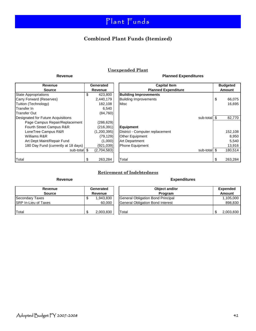### **Combined Plant Funds (Itemized)**

#### **Unexpended Plant**

#### Revenue **Planned Expenditures**

| Revenue                             | Generated         | Cа                           |
|-------------------------------------|-------------------|------------------------------|
| <b>Source</b>                       | <b>Revenue</b>    | <b>Planne</b>                |
| <b>State Appropriations</b>         | \$<br>423,800     | <b>Building Improvements</b> |
| Carry Forward (Reserves)            | 2,440,179         | <b>Building Improvements</b> |
| Tuition (Technology)                | 182,108           | Misc                         |
| Transfer In                         | 6,540             |                              |
| <b>Transfer Out</b>                 | (84, 760)         |                              |
| Designated for Future Acquisitions  |                   |                              |
| Page Campus Repair/Replacement      | (286, 629)        |                              |
| Fourth Street Campus R&R            | (216, 391)        | <b>Equipment</b>             |
| LoneTree Campus R&R                 | (1,200,395)       | District - Computer replac   |
| Williams R&R                        | (79, 129)         | <b>Other Equipment</b>       |
| Art Dept Maint/Repair Fund          | (1,000)           | Art Department               |
| 180 Day Fund (currently at 18 days) | (921,039)         | <b>Phone Equipment</b>       |
| sub-total                           | \$<br>(2,704,583) |                              |
|                                     |                   |                              |
| Total                               | \$<br>263,284     | Total                        |

| Revenue                             | Generated     | <b>Capital Item</b>             | <b>Budgeted</b> |
|-------------------------------------|---------------|---------------------------------|-----------------|
| <b>Source</b>                       | Revenue       | <b>Planned Expenditure</b>      | Amount          |
| State Appropriations                | \$<br>423,800 | <b>Building Improvements</b>    |                 |
| Carry Forward (Reserves)            | 2,440,179     | <b>Building Improvements</b>    | \$<br>66,075    |
| Tuition (Technology)                | 182,108       | Misc                            | 16,695          |
| Transfer In                         | 6,540         |                                 |                 |
| Transfer Out                        | (84, 760)     |                                 |                 |
| Designated for Future Acquisitions  |               | sub-total \$                    | 82,770          |
| Page Campus Repair/Replacement      | (286, 629)    |                                 |                 |
| Fourth Street Campus R&R            | (216, 391)    | <b>Equipment</b>                |                 |
| LoneTree Campus R&R                 | (1,200,395)   | District - Computer replacement | 152,108         |
| Williams R&R                        | (79, 129)     | Other Equipment                 | 8,950           |
| Art Dept Maint/Repair Fund          | (1,000)       | Art Department                  | 5,540           |
| 180 Day Fund (currently at 18 days) | (921, 039)    | Phone Equipment                 | 13,916          |
| sub-total \$                        | (2,704,583)   | sub-total \$                    | 180,514         |
|                                     |               |                                 |                 |
| Total                               | 263,284       | Total                           | 263,284<br>S    |

### **RETIREMENT OF INDEBTEDNESS Retirement of Indebtedness**

#### Revenue **Expenditures**

| Revenue                      | Generated | Object and/or                     | <b>Expended</b> |
|------------------------------|-----------|-----------------------------------|-----------------|
| <b>Source</b>                | Revenue   | Program                           | Amount          |
| Secondary Taxes              | 1,943,830 | General Obligation Bond Principal | 1,105,000       |
| <b>ISRP In-Lieu of Taxes</b> | 60,000    | General Obligation Bond Interest  | 898,830         |
| Total                        | 2,003,830 | Total                             | 2,003,830       |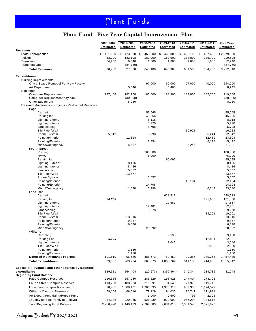### **Plant Fund - Five Year Capital Improvement Plan**

|                                                                         | 2006-2007<br><b>Estimated</b> | 2007-2008<br>Estimated | 2008-2009<br><b>Estimated</b> | 2009-2010<br><b>Estimated</b> | 2010-2011<br><b>Estimated</b> | 2011-2012<br><b>Estimated</b> | <b>Five Year</b><br><b>Estimated</b> |
|-------------------------------------------------------------------------|-------------------------------|------------------------|-------------------------------|-------------------------------|-------------------------------|-------------------------------|--------------------------------------|
| <b>Revenues</b><br><b>State Appropriation</b>                           | \$<br>421,300                 | \$<br>423,800          | \$<br>460,500                 | \$<br>462,800                 | \$<br>465,100                 | \$<br>467,400                 | \$2,279,600                          |
| Tuition                                                                 | 53,200                        | 182,108                | 183,000                       | 183,900                       | 184,800                       | 185,700                       | 919,508                              |
| Transfers In                                                            | 54,268                        | 6,540                  | 1,600                         | 1,600                         | 1,600                         | 1,600                         | 12,940                               |
| <b>Transfers Out</b>                                                    |                               | (84, 760)              |                               |                               |                               |                               | (84, 760)                            |
| <b>Total Revenues</b>                                                   | 528,768                       | 527,688                | 645,100                       | 648,300                       | 651,500                       | 654,700                       | 3,212,048                            |
| <b>Expenditures</b>                                                     |                               |                        |                               |                               |                               |                               |                                      |
| <b>Building Improvements</b>                                            |                               |                        |                               |                               |                               |                               |                                      |
| Office Space Remodel For New Faculty                                    |                               |                        | 97,000                        | 60,000                        | 97,000                        | 40,000                        | 294,000                              |
| <b>Art Department</b>                                                   |                               | 5,540                  |                               | 3,405                         |                               |                               | 8,945                                |
| Equipment                                                               |                               |                        |                               |                               |                               |                               |                                      |
| <b>Computer Replacement</b>                                             | 237,468                       | 182,108                | 183,000                       | 183,900                       | 184,800                       | 185,700                       | 919,508                              |
| Computer Replacement-pay back                                           |                               | (30,000)               |                               |                               |                               |                               | (30,000)                             |
| Other Equipment<br>Deferred Maintenance Projects - Paid out of Reserves |                               | 8,950                  |                               |                               |                               |                               | 8,950                                |
| Page                                                                    |                               |                        |                               |                               |                               |                               |                                      |
| Carpeting                                                               |                               |                        | 55,665                        |                               |                               |                               | 55,665                               |
| Parking lot                                                             |                               |                        | 45,256                        |                               |                               |                               | 45,256                               |
| <b>Lighting Exterior</b>                                                |                               |                        | 8,118                         |                               |                               |                               | 8,118                                |
| Lighting Interior                                                       |                               |                        | 5,770                         |                               |                               |                               | 5,770                                |
| Landscaping                                                             |                               |                        | 5,798                         |                               |                               |                               | 5,798                                |
| Tile Floor/Wall                                                         |                               |                        |                               |                               | 10,928                        |                               | 10,928                               |
| <b>Phone System</b><br>Painting/Interior                                | 5,519                         | 11,314                 | 5,798                         |                               |                               | 6,244<br>12,489               | 12,042<br>23,803                     |
| Painting/Exterior                                                       |                               |                        | 7,354                         |                               |                               | 8,118                         | 15,472                               |
| Misc./Contingency                                                       |                               | 5,657                  |                               |                               | 6,244                         |                               | 11,901                               |
| <b>Fourth Street</b>                                                    |                               |                        |                               |                               |                               |                               |                                      |
| Roofing                                                                 |                               |                        | 100,000                       |                               |                               |                               | 100,000                              |
| <b>HVAC</b>                                                             |                               |                        | 75,000                        |                               |                               |                               | 75,000                               |
| Parking lot                                                             |                               |                        |                               | 95,095                        |                               |                               | 95,095                               |
| <b>Lighting Exterior</b>                                                |                               | 8,486<br>8,486         |                               |                               |                               |                               | 8,486<br>8,486                       |
| Lighting Interior<br>Landscaping                                        |                               | 5,657                  |                               |                               |                               |                               | 5,657                                |
| Tile Floor/Wall                                                         |                               | 13,577                 |                               |                               |                               |                               | 13,577                               |
| <b>Phone System</b>                                                     |                               |                        | 5,657                         |                               |                               |                               | 5,657                                |
| Painting/Interior                                                       |                               |                        |                               |                               | 12,184                        |                               | 12,184                               |
| Painting/Exterior                                                       |                               |                        | 14,708                        |                               |                               |                               | 14,708                               |
| Misc./Contingency                                                       |                               | 11,038                 | 5,798                         |                               |                               | 6,244                         | 23,080                               |
| Lone Tree                                                               |                               |                        |                               |                               |                               |                               |                                      |
| Carpeting<br>Parking lot                                                | 90,000                        |                        |                               | 628,513                       |                               | 121,608                       | 628,513<br>121,608                   |
| <b>Lighting Exterior</b>                                                |                               |                        |                               | 17,667                        |                               |                               | 17,667                               |
| Lighting Interior                                                       |                               |                        | 12,481                        |                               |                               |                               | 12,481                               |
| Landscaping                                                             |                               |                        | 9,278                         |                               |                               |                               | 9,278                                |
| Tile Floor/Wall                                                         |                               |                        |                               |                               |                               | 19,201                        | 19,201                               |
| Phone System                                                            |                               | 13,916                 |                               |                               |                               |                               | 13,916                               |
| Painting/Interior                                                       |                               | 9,857                  |                               |                               |                               |                               | 9,857                                |
| Painting/Exterior<br>Misc./Contingency                                  |                               | 6,378                  | 28,992                        |                               |                               |                               | 6,378<br>28,992                      |
| Williams                                                                |                               |                        |                               |                               |                               |                               |                                      |
| Carpeting                                                               |                               |                        |                               | 9,138                         |                               |                               | 9,138                                |
| Parking Lot                                                             | 6,100                         |                        |                               |                               |                               | 12,801                        | 12,801                               |
| Lighting Interior                                                       |                               |                        |                               | 3,046                         |                               |                               | 3,046                                |
| Tile Floor/Wall                                                         |                               |                        |                               |                               |                               | 2,560                         | 2,560                                |
| Painting/Interior                                                       |                               | 1,160                  |                               |                               |                               |                               | 1,160                                |
| Painting/Exterior                                                       |                               | 1,160                  |                               |                               |                               |                               | 1,160                                |
| <b>Deferred Maintenance Projects</b>                                    | 101,619                       | 96,686                 | 385,673                       | 753,459                       | 29,356                        | 189,265                       | 1,454,439                            |
| <b>Total Expenditures</b>                                               | 339,087                       | 263,284                | 665,673                       | 1,000,764                     | 311,156                       | 414,965                       | 2,655,842                            |
| Excess of Revenues and other sources over/(under)                       |                               |                        |                               |                               |                               |                               |                                      |
| expenditures                                                            | 189,681                       | 264,404                | (20, 573)                     | (352, 464)                    | 340,344                       | 239,735                       | 81,048                               |
| <b>Beginning Fund Balance</b>                                           |                               |                        |                               |                               |                               |                               |                                      |
| Page Campus Reserves                                                    | 216,365                       | 257,080                | 286,629                       | 198,928                       | 247,404                       | 278,708                       |                                      |
| <b>Fourth Street Campus Reserves</b>                                    | 113,298                       | 188,323                | 216,391                       | 91,640                        | 77,973                        | 149,716                       |                                      |
| Lone Tree Campus Reserves                                               | 878,481                       | 1,008,101              | 1,200,395                     | 1,373,910                     | 952,333                       | 1,194,577                     |                                      |
| Williams Campus Reserves                                                | 58,168                        | 66,610                 | 79,129                        | 94,030                        | 96,747                        | 111,981                       |                                      |
| Art Department Maint./Repair Fund                                       |                               |                        | 1,000                         | 2,600                         | 795                           | 2,395                         |                                      |
| 180 day fund (currently at __days)                                      | 984,186                       | 920,065                | 921,039                       | 922,902                       | 956,294                       | 934,513                       |                                      |
| <b>Total Beginning Fund Balance</b>                                     | 2,250,498                     | 2,440,179              | 2,704,583                     | 2,684,010                     | 2,331,546                     | 2,671,890                     |                                      |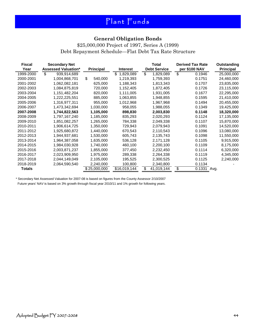### **General Obligation Bonds**

\$25,000,000 Project of 1997, Series A (1999) Debt Repayment Schedule—Flat Debt Tax Rate Structure

| <b>Fiscal</b> | <b>Secondary Net</b>       |                  |                 | Total               | <b>Derived Tax Rate</b> |      | Outstanding      |
|---------------|----------------------------|------------------|-----------------|---------------------|-------------------------|------|------------------|
| Year          | <b>Assessed Valuation*</b> | <b>Principal</b> | <b>Interest</b> | <b>Debt Service</b> | per \$100 NAV           |      | <b>Principal</b> |
| 1999-2000     | \$<br>939,914,689          |                  | \$<br>1,829,089 | \$<br>1,829,089     | \$<br>0.1946            |      | 25,000,000       |
| 2000-2001     | 1,004,868,701              | \$<br>540,000    | 1,219,393       | 1,759,393           | 0.1751                  |      | 24,460,000       |
| 2001-2002     | 1,062,082,181              | 625,000          | 1,188,343       | 1,813,343           | 0.1707                  |      | 23,835,000       |
| 2002-2003     | 1,084,875,819              | 720,000          | 1,152,405       | 1,872,405           | 0.1726                  |      | 23,115,000       |
| 2003-2004     | 1,151,482,204              | 820,000          | 1,111,005       | 1,931,005           | 0.1677                  |      | 22,295,000       |
| 2004-2005     | 1,222,225,551              | 885,000          | 1,063,855       | 1,948,855           | 0.1595                  |      | 21,410,000       |
| 2005-2006     | 1,316,977,311              | 955,000          | 1,012,968       | 1,967,968           | 0.1494                  |      | 20,455,000       |
| 2006-2007     | 1,473,342,694              | 1,030,000        | 958,055         | 1,988,055           | 0.1349                  |      | 19,425,000       |
| 2007-2008     | 1,744,822,563              | 1,105,000        | 898,830         | 2,003,830           | 0.1148                  |      | 18,320,000       |
| 2008-2009     | 1,797,167,240              | 1,185,000        | 835,293         | 2,020,293           | 0.1124                  |      | 17,135,000       |
| 2009-2010     | 1,851,082,257              | 1,265,000        | 784,338         | 2,049,338           | 0.1107                  |      | 15,870,000       |
| 2010-2011     | 1,906,614,725              | 1,350,000        | 729,943         | 2,079,943           | 0.1091                  |      | 14,520,000       |
| 2011-2012     | 1,925,680,872              | 1,440,000        | 670,543         | 2,110,543           | 0.1096                  |      | 13,080,000       |
| 2012-2013     | 1,944,937,681              | 1,530,000        | 605,743         | 2,135,743           | 0.1098                  |      | 11,550,000       |
| 2013-2014     | 1,964,387,058              | 1,635,000        | 536,128         | 2,171,128           | 0.1105                  |      | 9,915,000        |
| 2014-2015     | 1,984,030,928              | 1,740,000        | 460,100         | 2,200,100           | 0.1109                  |      | 8,175,000        |
| 2015-2016     | 2,003,871,237              | 1,855,000        | 377,450         | 2,232,450           | 0.1114                  |      | 6,320,000        |
| 2016-2017     | 2,023,909,950              | 1,975,000        | 289,338         | 2,264,338           | 0.1119                  |      | 4,345,000        |
| 2017-2018     | 2,044,149,049              | 2,105,000        | 195,525         | 2,300,525           | 0.1125                  |      | 2,240,000        |
| 2018-2019     | 2,064,590,540              | 2,240,000        | 100,800         | 2,340,800           | 0.1134                  |      |                  |
| Totals        |                            | \$25,000,000     | \$16,019,144    | \$<br>41,019,144    | \$<br>0.1331            | Avg. |                  |

\* Secondary Net Assessed Valuation for 2007-08 is based on figures from the County Assessor 2/10/2007

Future years' NAV is based on 3% growth through fiscal year 2010/11 and 1% growth for following years.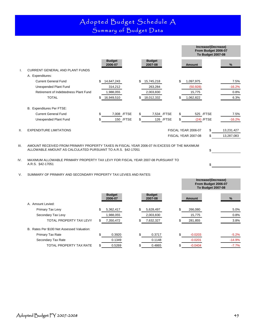### Adopted Budget Schedule A Summary of Budget Data

|      |                                                                                                                                                            |     |                          |              |     |                          |             |     |                     | Increase/(Decrease)<br>From Budget 2006-07<br><b>To Budget 2007-08</b> |            |
|------|------------------------------------------------------------------------------------------------------------------------------------------------------------|-----|--------------------------|--------------|-----|--------------------------|-------------|-----|---------------------|------------------------------------------------------------------------|------------|
|      |                                                                                                                                                            |     | <b>Budget</b><br>2006-07 |              |     | <b>Budget</b><br>2007-08 |             |     | <b>Amount</b>       |                                                                        | $\%$       |
| Ι.   | <b>CURRENT GENERAL AND PLANT FUNDS</b>                                                                                                                     |     |                          |              |     |                          |             |     |                     |                                                                        |            |
|      | A. Expenditures:                                                                                                                                           |     |                          |              |     |                          |             |     |                     |                                                                        |            |
|      | <b>Current General Fund</b>                                                                                                                                | \$. | 14,647,243               |              |     | 15,745,218               |             | \$. | 1,097,975           |                                                                        | 7.5%       |
|      | Unexpended Plant Fund                                                                                                                                      |     | 314,212                  |              |     | 263,284                  |             |     | (50, 928)           |                                                                        | $-16.2%$   |
|      | Retirement of Indebtedness Plant Fund                                                                                                                      |     | 1,988,055                |              |     | 2,003,830                |             |     | 15,775              |                                                                        | 0.8%       |
|      | <b>TOTAL</b>                                                                                                                                               |     | 16,949,510               |              |     | 18,012,332               |             |     | 1,062,822           |                                                                        | 6.3%       |
|      | B. Expenditures Per FTSE:                                                                                                                                  |     |                          |              |     |                          |             |     |                     |                                                                        |            |
|      | <b>Current General Fund</b>                                                                                                                                | \$  |                          | 7,008 / FTSE | \$  |                          | 7,534 /FTSE | \$. |                     | 525 / FTSE                                                             | 7.5%       |
|      | Unexpended Plant Fund                                                                                                                                      | \$. |                          | 150 / FTSE   | \$. |                          | 126 / FTSE  | \$  |                     | $(24)$ /FTSE                                                           | $-16.2%$   |
| II.  | <b>EXPENDITURE LIMITATIONS</b>                                                                                                                             |     |                          |              |     |                          |             |     | FISCAL YEAR 2006-07 | \$                                                                     | 13,231,427 |
|      |                                                                                                                                                            |     |                          |              |     |                          |             |     | FISCAL YEAR 2007-08 | \$                                                                     | 13,287,083 |
| III. | AMOUNT RECEIVED FROM PRIMARY PROPERTY TAXES IN FISCAL YEAR 2006-07 IN EXCESS OF THE MAXIMUM<br>ALLOWABLE AMOUNT AS CALCULATED PURSUANT TO A.R.S. §42-17051 |     |                          |              |     |                          |             |     |                     | \$                                                                     |            |
| IV.  | MAXIMUM ALLOWABLE PRIMARY PROPERTY TAX LEVY FOR FISCAL YEAR 2007-08 PURSUANT TO<br>A.R.S. §42-17051                                                        |     |                          |              |     |                          |             |     |                     | \$                                                                     |            |

#### V. SUMMARY OF PRIMARY AND SECONDARY PROPERTY TAX LEVIES AND RATES:

|                                            |    |                          |                          |                 | Increase/(Decrease)<br>From Budget 2006-07<br><b>To Budget 2007-08</b> |          |
|--------------------------------------------|----|--------------------------|--------------------------|-----------------|------------------------------------------------------------------------|----------|
|                                            |    | <b>Budget</b><br>2006-07 | <b>Budget</b><br>2007-08 | <b>Amount</b>   |                                                                        | $\%$     |
| A. Amount Levied:                          |    |                          |                          |                 |                                                                        |          |
| Primary Tax Levy                           | \$ | 5,362,417                | \$<br>5,628,497          | \$<br>266,080   |                                                                        | 5.0%     |
| Secondary Tax Levy                         |    | 1,988,055                | 2,003,830                | 15,775          |                                                                        | 0.8%     |
| TOTAL PROPERTY TAX LEVY                    | \$ | 7,350,472                | \$<br>7,632,327          | 281,855         |                                                                        | 3.8%     |
| B. Rates Per \$100 Net Assessed Valuation: |    |                          |                          |                 |                                                                        |          |
| <b>Primary Tax Rate</b>                    | \$ | 0.3920                   | \$<br>0.3717             | \$<br>$-0.0203$ |                                                                        | $-5.2%$  |
| Secondary Tax Rate                         |    | 0.1349                   | 0.1148                   | $-0.0201$       |                                                                        | $-14.9%$ |
| TOTAL PROPERTY TAX RATE                    | S. | 0.5269                   | 0.4865                   | $-0.0404$       |                                                                        | $-7.7%$  |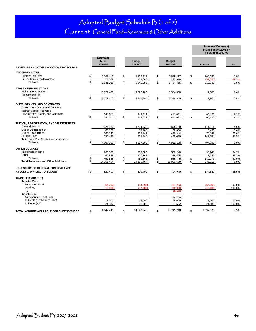### Adopted Budget Schedule B (1 of 2) Current General Fund—Revenues & Other Additions

|                                             |                                              |                             |                          | Increase/(Decrease)<br>From Budget 2006-07<br><b>To Budget 2007-08</b> |               |
|---------------------------------------------|----------------------------------------------|-----------------------------|--------------------------|------------------------------------------------------------------------|---------------|
| REVENUES AND OTHER ADDITIONS BY SOURCE      | <b>Estimated</b><br><b>Actual</b><br>2006-07 | <b>Budget</b><br>2006-07    | <b>Budget</b><br>2007-08 | <b>Amount</b>                                                          | %             |
| <b>PROPERTY TAXES</b>                       |                                              |                             |                          |                                                                        |               |
| Primary Tax Levy                            | \$<br>5,362,417                              | \$<br>5,362,417             | 5,628,497                | 266,080<br>\$                                                          | 5.0%          |
| In-Lieu tax & uncollectables                | 178,668                                      | 178.668                     | 125,918                  | (52.750)                                                               | $-29.5%$      |
| Subtotal                                    | 5,541,085                                    | \$<br>5,541,085             | 5,754,415                | 213,330<br>\$                                                          | 3.8%          |
| <b>STATE APPROPRIATIONS</b>                 |                                              |                             |                          |                                                                        |               |
| Maintenance Support                         | 3,322,400                                    | 3,322,400                   | 3,334,300                | 11,900                                                                 | 0.4%          |
| <b>Equalization Aid</b>                     |                                              |                             |                          |                                                                        |               |
| Subtotal                                    | 3,322,400                                    | 3.322.400                   | 3,334,300                | 11,900                                                                 | 0.4%          |
| GIFTS, GRANTS, AND CONTRACTS                |                                              |                             |                          |                                                                        |               |
| Government Grants and Contracts             |                                              |                             |                          |                                                                        |               |
| <b>Indirect Costs Recovered</b>             |                                              |                             |                          |                                                                        |               |
| Private Gifts, Grants, and Contracts        | 344,611                                      | 344,611                     | 411,031                  | 66.420                                                                 | 19.3%         |
| Subtotal                                    | 344.611                                      | 344,611                     | 411,031                  | 66,420                                                                 | 19.3%         |
| TUITION, REGISTRATION, AND STUDENT FEES     |                                              |                             |                          |                                                                        |               |
| <b>General Tuition</b>                      | 3,724,039                                    | 3,724,039                   | 3,895,150                | 171,111                                                                | 4.6%          |
| Out-of-District Tuition                     | 83.168                                       | 83.168                      | 98.664                   | 15.496                                                                 | 18.6%         |
| Out-of-State Tuition<br><b>Student Fees</b> | 365,147                                      | 365,147                     | 440.344                  | 75,197                                                                 | 20.6%         |
| Tuition and Fee Remissions or Waivers       | 335,446                                      | 335,446                     | 478,030                  | 142,584                                                                | 42.5%         |
| Subtotal                                    | 4,507,800                                    | 4,507,800                   | 4,912,188                | 404,388                                                                | 9.0%          |
|                                             |                                              |                             |                          |                                                                        |               |
| <b>OTHER SOURCES</b>                        |                                              |                             |                          |                                                                        |               |
| Investment Income                           | 260,000                                      | 260,000                     | 350,240                  | 90,240                                                                 | 34.7%         |
| Other<br>Subtotal                           | 190,568                                      | 190,568<br>\$               | 239,505                  | 48,937                                                                 | 25.7%         |
| <b>Total Revenues and Other Additions</b>   | 450,568<br>14.166.464                        | 450,568<br>\$<br>14.166.464 | 589,745<br>15,001,679    | 139,177<br>835.215<br>\$                                               | 30.9%<br>5.9% |
|                                             |                                              |                             |                          |                                                                        |               |
| UNRESTRICTED GENERAL FUND BALANCE           |                                              |                             |                          |                                                                        |               |
| AT JULY 1, APPLIED TO BUDGET                | 520,400                                      | \$<br>520,400               | 704,940<br>\$            | 184,540<br>\$                                                          | 35.5%         |
| <b>TRANSFERS IN/(OUT)</b>                   |                                              |                             |                          |                                                                        |               |
| Transfer Out -                              |                                              |                             |                          |                                                                        |               |
| <b>Restricted Fund</b>                      | (64, 203)                                    | (64, 203)                   | (64, 203)                | (64, 203)                                                              | 100.0%        |
| Auxiliary                                   | (12.000)                                     | (12.000)                    | (12.000)                 | (12.000)                                                               | 100.0%        |
| To<br>Transfers In -                        |                                              |                             | (6.540)                  |                                                                        |               |
| Unexpended Plant Fund                       |                                              |                             |                          |                                                                        |               |
| Indirects (Tech Prep/Basic)                 | 15,000                                       | 15,000                      | 84,760<br>15,000         | 15,000                                                                 | 100.0%        |
| Indirects (AE)                              | 21.582                                       | 21.582                      | 21.582                   | 21.582                                                                 | 100.0%        |
|                                             |                                              |                             |                          |                                                                        |               |
| TOTAL AMOUNT AVAILABLE FOR EXPENDITURES     | 14,647,243<br>\$                             | 14,647,243<br>\$            | 15,745,218<br>\$         | 1,097,975<br>\$                                                        | 7.5%          |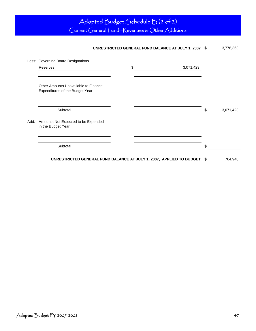# Adopted Budget Schedule B (2 of 2)

Current General Fund—Revenues & Other Additions

# UNRESTRICTED GENERAL FUND BALANCE AT JULY 1, 2007 \$3,776,363 Less: Governing Board Designations  $\$\,3,071,423$  $\text{Subtotal}$   $\$$  3,071,423 Add: Amounts Not Expected to be Expended  ${\small \mathsf{Subtotal}} \hspace{1.5cm} \$$ **UNRESTRICTED GENERAL FUND BALANCE AT JULY 1, 2007, APPLIED TO BUDGET** \$ 704,940 Other Amounts Unavailable to Finance Expenditures of the Budget Year in the Budget Year Reserves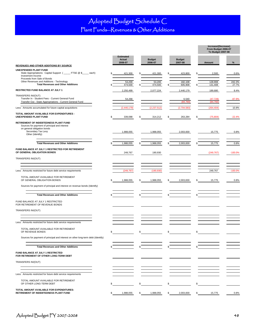# Adopted Budget Schedule C

Plant Funds—Revenues & Other Additions

|                                                                                                                                       |    |                                       |                          |    |                          |    | Increase/(Decrease)<br>From Budget 2006-07<br>To Budget 2007-08 |                 |
|---------------------------------------------------------------------------------------------------------------------------------------|----|---------------------------------------|--------------------------|----|--------------------------|----|-----------------------------------------------------------------|-----------------|
| <b>REVENUES AND OTHER ADDITIONS BY SOURCE</b>                                                                                         |    | <b>Estimated</b><br>Actual<br>2006-07 | <b>Budget</b><br>2006-07 |    | <b>Budget</b><br>2007-08 |    | Amount                                                          | %               |
|                                                                                                                                       |    |                                       |                          |    |                          |    |                                                                 |                 |
| UNEXPENDED PLANT FUND<br>State Appropriations: Capital Support (_____ FTSE @ \$____ each)<br>Investment Income                        |    | 421,300                               | 421,300                  |    | 423.800                  |    | 2,500                                                           | 0.6%            |
| Proceeds from Sale of Bonds<br>Other Revenues and Additions - Technology<br><b>Total Revenues and Other Additions</b>                 |    | 53,200<br>474,500                     | 53,200<br>474,500        |    | 182,108<br>605,908       |    | 128,908<br>131,408                                              | 242.3%<br>27.7% |
| RESTRICTED FUND BALANCE AT JULY 1                                                                                                     |    | 2,250,499                             | 2,077,224                |    | 2,440,179                |    | 189,680                                                         | 8.4%            |
| TRANSFERS IN/(OUT)<br>Transfer In - Student Fees - Current General Fund<br>Transfer Out - State Appropriations - Current General Fund |    | 54,268                                |                          |    | 6,540<br>(84, 760)       |    | (47, 728)<br>(84, 760)                                          | $-87.9%$        |
| Less: Amounts accumulated for future capital acquisitions                                                                             |    | (2,440,179)                           | (2, 237, 512)            |    | (2,704,583)              |    | (264, 404)                                                      | 10.8%           |
| TOTAL AMOUNT AVAILABLE FOR EXPENDITURES -<br><b>UNEXPENDED PLANT FUND</b>                                                             | S  | 339,088                               | \$<br>314,212            | S  | 263,284                  | S  | (75, 804)                                                       | $-22.4%$        |
| RETIREMENT OF INDEBTEDNESS PLANT FUND<br>Sources for payment of principal and interest<br>on general obligation bonds                 |    |                                       |                          |    |                          |    |                                                                 |                 |
| Secondary Tax Levy<br>Other (Identify)                                                                                                |    | 1,988,055                             | 1,988,055                |    | 2,003,830                |    | 15,775                                                          | 0.8%            |
| <b>Total Revenues and Other Additions</b>                                                                                             |    | 1,988,055                             | \$<br>1,988,055          |    | 2,003,830                |    | 15,775                                                          | 0.8%            |
| FUND BALANCE AT JULY 1 RESTRICTED FOR RETIREMENT<br>OF GENERAL OBLIGATION BONDS                                                       |    | 249,767                               | 190,930                  |    |                          |    | (249, 767)                                                      | $-100.0%$       |
| TRANSFERS IN/(OUT)                                                                                                                    |    |                                       |                          |    |                          |    |                                                                 |                 |
|                                                                                                                                       |    |                                       |                          |    |                          |    |                                                                 |                 |
| Less: Amounts restricted for future debt service requirements                                                                         |    | (249, 767)                            | (190, 930)               |    |                          |    | 249,767                                                         | $-100.0%$       |
| TOTAL AMOUNT AVAILABLE FOR RETIREMENT<br>OF GENERAL OBLIGATION BONDS                                                                  | \$ | 1,988,055                             | \$<br>1,988,055          |    | 2,003,830                |    | 15,775                                                          | 0.8%            |
| Sources for payment of principal and interest on revenue bonds (Identify)                                                             |    |                                       |                          |    |                          |    |                                                                 |                 |
| <b>Total Revenues and Other Additions</b>                                                                                             |    |                                       |                          |    |                          |    |                                                                 |                 |
| FUND BALANCE AT JULY 1 RESTRICTED<br>FOR RETIREMENT OF REVENUE BONDS                                                                  |    |                                       |                          |    |                          |    |                                                                 |                 |
| TRANSFERS IN/(OUT)                                                                                                                    |    |                                       |                          |    |                          |    |                                                                 |                 |
| Less: Amounts restricted for future debt service requirements                                                                         |    |                                       |                          |    |                          |    |                                                                 |                 |
| TOTAL AMOUNT AVAILABLE FOR RETIREMENT                                                                                                 |    |                                       |                          |    |                          |    |                                                                 |                 |
| OF REVENUE BONDS                                                                                                                      | \$ |                                       | \$                       | \$ |                          | \$ |                                                                 |                 |
| Sources for payment of principal and interest on other long-term debt (Identify)                                                      |    |                                       |                          |    |                          |    |                                                                 |                 |
| <b>Total Revenues and Other Additions</b>                                                                                             |    |                                       |                          |    |                          |    |                                                                 |                 |
| FUND BALANCE AT JULY 1 RESTRICTED<br>FOR RETIREMENT OF OTHER LONG-TERM DEBT                                                           |    |                                       |                          |    |                          |    |                                                                 |                 |
| TRANSFERS IN/(OUT)                                                                                                                    |    |                                       |                          |    |                          |    |                                                                 |                 |
|                                                                                                                                       |    |                                       |                          |    |                          |    |                                                                 |                 |
| Less: Amounts restricted for future debt service requirements                                                                         |    |                                       |                          |    |                          |    |                                                                 |                 |
| TOTAL AMOUNT AVAILABLE FOR RETIREMENT<br>OF OTHER LONG-TERM DEBT                                                                      |    |                                       | \$                       |    |                          |    |                                                                 |                 |
| TOTAL AMOUNT AVAILABLE FOR EXPENDITURES-<br>RETIREMENT OF INDEBTEDNESS PLANT FUND                                                     | \$ | 1,988,055                             | \$<br>1,988,055          | \$ | 2,003,830                | \$ | 15,775                                                          | 0.8%            |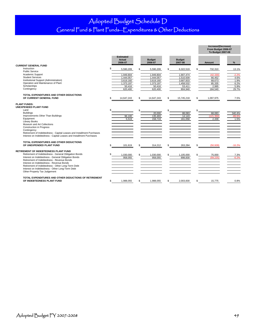### Adopted Budget Schedule D General Fund & Plant Funds—Expenditures & Other Deductions

#### **Estimated Actual Budget Budget 2006-07 2006-07 2007-08 Amount % CURRENT GENERAL FUND**  $\frac{1}{2}$  5,590,209 \$ 5,590,209 \$ 6,322,519 \$ 732,310 13.1% 1,949,804 1,949,804 1,907,474 (42,330) -2.2% 1,444,057 1,444,057 1,510,509 66,452 4.6% 3,619,160 3,619,160 3,687,833 3,687,835 3,619,197 3,373,197 3,373,197 3,458,532 3,619,197 3,619,197 3,619,197 3,619,197 3,619,197 3,619,197 3,619,197 3,619,197 3,619,197 3,619,197 3,619,197 3,62% 3,62% 3,62% 3,62% 3,62% 3, 1,373,197 50,416 50,416 53,411 2,995 5.9% 620,400 620,400 804,940 184,540 29.7% 14,647,243 \$ 14,647,243 \$ 15,745,218 \$ 1,097,975 7.5%  $\overline{\text{S}}$   $\overline{\text{S}}$   $\overline{\text{S}}$   $\overline{\text{S}}$   $\overline{\text{S}}$   $\overline{\text{S}}$   $\overline{\text{S}}$   $\overline{\text{S}}$  $\overline{20,000}$  88,083 68,083 340.4%<br>135.493 14,143 (121,350) -89.6% 96,100 135,493 14,143 (121,350) -89.6% 5,519 158,719 161,058 2,339 1.5% \$ 101,619 \$ 314,212 \$ 263,284 \$ (50,928) -16.2% \$ 1,030,000 \$ 1,030,000 \$ 1,105,000 \$ 75,000 7.3% 958,055 958,055 898,830 (59,225) -6.2% \$ 1,988,055 \$ 1,988,055 \$ 2,003,830 \$ 15,775 0.8% Other-Property Tax Judgement **TOTAL EXPENDITURES AND OTHER DEDUCTIONS OF CURRENT GENERAL FUND TOTAL EXPENDITURES AND OTHER DEDUCTIONS OF UNEXPENDED PLANT FUND TOTAL EXPENDITURES AND OTHER DEDUCTIONS OF RETIREMENT OF INDEBTEDNESS PLANT FUND** Museum and Art Collections Construction in Progress **Contingency** Retirement of Indebtedness - Capital Leases and Installment Purchases Interest on Indebtedness - Capital Leases and Installment Purchases Retirement of Indebtedness - Other Long-Term Debt Interest on Indebtedness - Other Long-Term Debt **Increase/(Decrease) From Budget 2006-07 To Budget 2007-08** Library Books Improvements Other Than Buildings Equipment Institutional Support (Administration) Operation and Maintenance of Plant Scholarships Contingency Instruction Public Service Academic Support Student Services **RETIREMENT OF INDEBTEDNESS PLANT FUND** Retirement of Indebtedness - Revenue Bonds Interest on Indebtedness - Revenue Bonds Retirement of Indebtedness - General Obligation Bonds Interest on Indebtedness - General Obligation Bonds **PLANT FUNDS: UNEXPENDED PLANT FUND** Land Buildings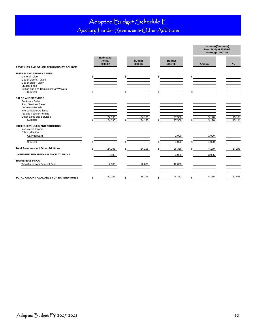### Adopted Budget Schedule E Auxiliary Funds—Revenues & Other Additions

|                                                                                                                                                                                                               |                                              |                          |     |                          |                      | Increase/(Decrease)<br>From Budget 2006-07<br><b>To Budget 2007-08</b> |                |
|---------------------------------------------------------------------------------------------------------------------------------------------------------------------------------------------------------------|----------------------------------------------|--------------------------|-----|--------------------------|----------------------|------------------------------------------------------------------------|----------------|
| REVENUES AND OTHER ADDITIONS BY SOURCE                                                                                                                                                                        | <b>Estimated</b><br><b>Actual</b><br>2006-07 | <b>Budget</b><br>2006-07 |     | <b>Budget</b><br>2007-08 |                      | Amount                                                                 | %              |
| <b>TUITION AND STUDENT FEES</b><br><b>General Tuition</b><br>Out-of-District Tuition<br>Out-of-State Tuition<br><b>Student Fees</b><br>Tuition and Fee Remissions or Waivers<br>Subtotal                      | \$                                           | \$                       | \$  |                          | $\frac{1}{\sqrt{2}}$ |                                                                        |                |
| <b>SALES AND SERVICES</b><br><b>Bookstore Sales</b><br><b>Food Services Sales</b><br><b>Dormitory Rentals</b><br>Intercollegiate Athletics<br>Parking Fees or Permits<br>Other Sales and Services<br>Subtotal | 24.196<br>24,196                             | 24.196<br>24,196         |     | 27,366<br>27,366         |                      | 3.170<br>3,170                                                         | 13.1%<br>13.1% |
| OTHER REVENUES AND ADDITIONS<br>Investment Income<br>Other (Identify)<br>Carry forward                                                                                                                        |                                              |                          |     | 1,000                    |                      | 1,000                                                                  |                |
| Subtotal                                                                                                                                                                                                      |                                              |                          |     | 1,000                    |                      | 1,000                                                                  |                |
| <b>Total Revenues and Other Additions</b>                                                                                                                                                                     | 24,196                                       | \$<br>24,196             | \$. | 28,366                   | \$                   | 4,170                                                                  | 17.2%          |
| UNRESTRICTED FUND BALANCE AT JULY 1                                                                                                                                                                           | 3,985                                        |                          |     | 3,985                    |                      | 3,985                                                                  |                |
| <b>TRANSFERS IN/(OUT)</b><br>Transfer In from General Fund                                                                                                                                                    | 12,000                                       | 12,000                   |     | 12,000                   |                      |                                                                        |                |
| TOTAL AMOUNT AVAILABLE FOR EXPENDITURES                                                                                                                                                                       | \$<br>40,181                                 | \$<br>36,196             | \$  | 44,351                   | \$                   | 8,155                                                                  | 22.5%          |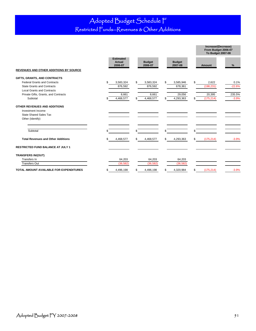### Adopted Budget Schedule F Restricted Funds—Revenues & Other Additions

|                                                   |                                       |                          |                          | Increase/(Decrease)<br>From Budget 2006-07<br><b>To Budget 2007-08</b> |          |
|---------------------------------------------------|---------------------------------------|--------------------------|--------------------------|------------------------------------------------------------------------|----------|
| REVENUES AND OTHER ADDITIONS BY SOURCE            | <b>Estimated</b><br>Actual<br>2006-07 | <b>Budget</b><br>2006-07 | <b>Budget</b><br>2007-08 | <b>Amount</b>                                                          | %        |
| GIFTS, GRANTS, AND CONTRACTS                      |                                       |                          |                          |                                                                        |          |
| <b>Federal Grants and Contracts</b>               | \$<br>3,583,324                       | \$<br>3,583,324          | \$<br>3,585,946          | \$<br>2,622                                                            | 0.1%     |
| <b>State Grants and Contracts</b>                 | 876,592                               | 876,592                  | 678,361                  | (198, 231)                                                             | $-22.6%$ |
| <b>Local Grants and Contracts</b>                 |                                       |                          |                          |                                                                        |          |
| Private Gifts, Grants, and Contracts              | 8,661                                 | 8,661                    | 29,056                   | 20,395                                                                 | 235.5%   |
| Subtotal                                          | 4,468,577<br>\$                       | 4,468,577<br>\$          | 4,293,363                | (175, 214)<br>\$                                                       | $-3.9%$  |
| OTHER REVENUES AND ADDITIONS<br>Investment Income |                                       |                          |                          |                                                                        |          |
| <b>State Shared Sales Tax</b>                     |                                       |                          |                          |                                                                        |          |
| Other (Identify)                                  |                                       |                          |                          |                                                                        |          |
|                                                   |                                       |                          |                          |                                                                        |          |
| Subtotal                                          | \$.                                   | \$                       | \$                       | \$                                                                     |          |
| <b>Total Revenues and Other Additions</b>         | 4,468,577<br>\$                       | \$<br>4,468,577          | \$<br>4,293,363          | \$<br>(175, 214)                                                       | $-3.9%$  |
| <b>RESTRICTED FUND BALANCE AT JULY 1</b>          |                                       |                          |                          |                                                                        |          |
| <b>TRANSFERS IN/(OUT)</b>                         |                                       |                          |                          |                                                                        |          |
| Transfers In                                      | 64,203                                | 64,203                   | 64,203                   |                                                                        |          |
| <b>Transfers Out</b>                              | (36, 582)                             | (36, 582)                | (36, 582)                |                                                                        |          |
| TOTAL AMOUNT AVAILABLE FOR EXPENDITURES           | \$<br>4,496,198                       | 4,496,198<br>\$          | 4,320,984<br>\$          | (175, 214)<br>\$                                                       | $-3.9%$  |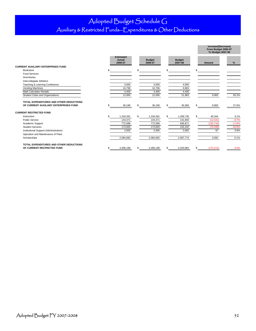### Adopted Budget Schedule G

# Auxiliary & Restricted Funds—Expenditures & Other Deductions

|                                                                                  |     |                                       |    |                          |     |                          | Increase/(Decrease)<br>From Budget 2006-07<br>To Budget 2007-08 |          |
|----------------------------------------------------------------------------------|-----|---------------------------------------|----|--------------------------|-----|--------------------------|-----------------------------------------------------------------|----------|
|                                                                                  |     | <b>Estimated</b><br>Actual<br>2006-07 |    | <b>Budget</b><br>2006-07 |     | <b>Budget</b><br>2007-08 | <b>Amount</b>                                                   | %        |
| <b>CURRENT AUXILIARY ENTERPRISES FUND</b>                                        |     |                                       |    |                          |     |                          |                                                                 |          |
| Bookstore                                                                        |     |                                       | £. |                          | £.  |                          | \$                                                              |          |
| <b>Food Services</b>                                                             |     |                                       |    |                          |     |                          |                                                                 |          |
| Dormitories                                                                      |     |                                       |    |                          |     |                          |                                                                 |          |
| Intercollegiate Athletics                                                        |     |                                       |    |                          |     |                          |                                                                 |          |
| Teaching & Learning Conference                                                   |     | 3,000                                 |    | 3,000                    |     | 4,000                    |                                                                 |          |
| Vending Machines                                                                 |     | 16,796                                |    | 16,796                   |     | 9,983                    |                                                                 |          |
| <b>Math Calculator Rentals</b>                                                   |     | 4,400                                 |    | 4,400                    |     | 4,400                    |                                                                 |          |
| Student Clubs and Organizations                                                  |     | 12,000                                |    | 12,000                   |     | 21,983                   | 9,983                                                           | 83.2%    |
|                                                                                  |     |                                       |    |                          |     |                          |                                                                 |          |
| TOTAL EXPENDITURES AND OTHER DEDUCTIONS<br>OF CURRENT AUXILIARY ENTERPRISES FUND |     | 36,196                                | S  | 36,196                   | \$. | 40,366                   | \$<br>9,983                                                     | 27.6%    |
|                                                                                  |     |                                       |    |                          |     |                          |                                                                 |          |
| <b>CURRENT RESTRICTED FUND</b>                                                   |     |                                       |    |                          |     |                          |                                                                 |          |
| Instruction                                                                      |     | 1,318,391                             | \$ | 1,318,391                | s.  | 1,358,735                | \$<br>40,344                                                    | 3.1%     |
| <b>Public Service</b>                                                            |     | 144,371                               |    | 144,371                  |     | 131,840                  | (12, 531)                                                       | $-8.7%$  |
| Academic Support                                                                 |     | 772,589                               |    | 772,589                  |     | 636,871                  | (135, 718)                                                      | $-17.6%$ |
| <b>Student Services</b>                                                          |     | 173,600                               |    | 173,600                  |     | 103,102                  | (70, 498)                                                       | $-40.6%$ |
| Institutional Support (Administration)                                           |     | 2,565                                 |    | 2,565                    |     | 2,662                    | 97                                                              | 3.8%     |
| Operation and Maintenance of Plant                                               |     |                                       |    |                          |     |                          |                                                                 |          |
| Scholarships                                                                     |     | 2,084,682                             |    | 2,084,682                |     | 2,087,774                | 3,092                                                           | 0.1%     |
| TOTAL EXPENDITURES AND OTHER DEDUCTIONS                                          |     |                                       |    |                          |     |                          |                                                                 |          |
| OF CURRENT RESTRICTED FUND                                                       | \$. | 4,496,198                             | S  | 4,496,198                | S   | 4,320,984                | \$<br>(175, 214)                                                | $-3.9%$  |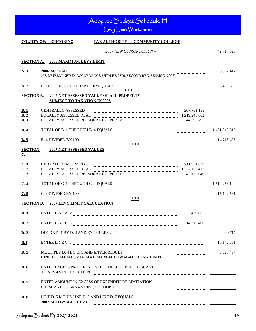|                               | Adopted Budget Schedule H<br>Levy Limit Worksheet                                                                                                                                                                                                                                                                                                                                                                                                                                                                                                                                   |                             |               |
|-------------------------------|-------------------------------------------------------------------------------------------------------------------------------------------------------------------------------------------------------------------------------------------------------------------------------------------------------------------------------------------------------------------------------------------------------------------------------------------------------------------------------------------------------------------------------------------------------------------------------------|-----------------------------|---------------|
|                               | TAX AUTHORITY: COMMUNITY COLLEGE<br><b>COUNTY OF: COCONINO</b>                                                                                                                                                                                                                                                                                                                                                                                                                                                                                                                      |                             |               |
|                               | $2007$ NEW CONSTRUCTION =                                                                                                                                                                                                                                                                                                                                                                                                                                                                                                                                                           |                             | 42,717,525    |
|                               | SECTION A. 2006 MAXIMUM LEVY LIMIT                                                                                                                                                                                                                                                                                                                                                                                                                                                                                                                                                  |                             |               |
|                               |                                                                                                                                                                                                                                                                                                                                                                                                                                                                                                                                                                                     |                             |               |
| <u>A.1</u>                    | 2006 ACTUAL<br>(AS DETERMINED IN ACCORDANCE WITH HB 2876, SECOND REG. SESSION, 2006)                                                                                                                                                                                                                                                                                                                                                                                                                                                                                                |                             | 5,362,417     |
| A.2                           | LINE A. 1 MULTIPLIED BY 1.02 EQUALS                                                                                                                                                                                                                                                                                                                                                                                                                                                                                                                                                 |                             | 5,469,665     |
| <b>SECTION B.</b>             | * * *<br>2007 NET ASSESSED VALUE OF ALL PROPERTY<br><b>SUBJECT TO TAXATION IN 2006</b>                                                                                                                                                                                                                                                                                                                                                                                                                                                                                              |                             |               |
| B.1                           | <b>CENTRALLY ASSESSED</b>                                                                                                                                                                                                                                                                                                                                                                                                                                                                                                                                                           | 207,701,158                 |               |
| B.2<br>B.3                    | <b>LOCALLY ASSESSED REAL</b><br><b>LOCALLY ASSESSED PERSONAL PROPERTY</b>                                                                                                                                                                                                                                                                                                                                                                                                                                                                                                           | 1,219,248,662<br>44,590,795 |               |
|                               |                                                                                                                                                                                                                                                                                                                                                                                                                                                                                                                                                                                     |                             |               |
| <u>B.4</u>                    | TOTAL OF B. 1 THROUGH B. 4 EQUALS                                                                                                                                                                                                                                                                                                                                                                                                                                                                                                                                                   |                             | 1,471,540,615 |
| B.5                           | B. 4 DIVIDED BY 100<br>* * *                                                                                                                                                                                                                                                                                                                                                                                                                                                                                                                                                        |                             | 14,715,406    |
| <b>SECTION</b><br>$C_{\cdot}$ | <b>2007 NET ASSESSED VALUES</b>                                                                                                                                                                                                                                                                                                                                                                                                                                                                                                                                                     |                             |               |
|                               | <b>CENTRALLY ASSESSED</b>                                                                                                                                                                                                                                                                                                                                                                                                                                                                                                                                                           | 211,951,679                 |               |
| $\frac{C.1}{C.2}$             | <b>LOCALLY ASSESSED REAL</b><br><b>LOCALLY ASSESSED PERSONAL PROPERTY</b>                                                                                                                                                                                                                                                                                                                                                                                                                                                                                                           | 1,257,167,412<br>45,139,049 |               |
| C.4                           | TOTAL OF C. 1 THROUGH C. 4 EQUALS                                                                                                                                                                                                                                                                                                                                                                                                                                                                                                                                                   |                             | 1,514,258,140 |
| C.5                           | C. 4 DIVIDED BY 100                                                                                                                                                                                                                                                                                                                                                                                                                                                                                                                                                                 |                             | 15, 142, 581  |
| <b>SECTION D.</b>             | * * *<br><b>2007 LEVY LIMIT CALCULATION</b>                                                                                                                                                                                                                                                                                                                                                                                                                                                                                                                                         |                             |               |
| <u>D. 1</u>                   | $\text{ENTER LINE A. 2 \textcolor{red}{\textcolor{red}{\textbf{min}}}\textcolor{red}{\textcolor{red}{\textbf{min}}}\textcolor{red}{\textcolor{red}{\textbf{min}}}\textcolor{red}{\textcolor{red}{\textbf{min}}}\textcolor{red}{\textcolor{red}{\textbf{min}}}\textcolor{red}{\textcolor{red}{\textbf{min}}}\textcolor{red}{\textcolor{red}{\textbf{min}}}\textcolor{red}{\textcolor{red}{\textbf{min}}}\textcolor{red}{\textcolor{red}{\textbf{min}}}\textcolor{red}{\textcolor{red}{\textbf{min}}}\textcolor{red}{\textcolor{red}{\textbf{min}}}\textcolor{red}{\textcolor{red}{\$ | 5,469,665                   |               |
| D.2                           | $\text{ENTER LINE B. 5} \label{eq:1}$                                                                                                                                                                                                                                                                                                                                                                                                                                                                                                                                               | 14,715,406                  |               |
| D.3                           | DIVIDE D. 1 BY D. 2 AND ENTER RESULT                                                                                                                                                                                                                                                                                                                                                                                                                                                                                                                                                |                             | 0.3717        |
| D.4                           | $\text{ENTER LINE C. 5} \label{eq:1} \begin{minipage}{14cm} \textbf{ENTER LINE C. 5} \end{minipage}$                                                                                                                                                                                                                                                                                                                                                                                                                                                                                |                             | 15, 142, 581  |
| D.5                           | MULTIPLY D. 4 BY D. 3 AND ENTER RESULT<br>LINE D. 5 EQUALS 2007 MAXIMUM ALLOWABALE LEVY LIMIT                                                                                                                                                                                                                                                                                                                                                                                                                                                                                       |                             | 5,628,497     |
| D.6                           | ENTER EXCESS PROPERTY TAXES COLLECTIBLE PURSUANT<br>TO ARS 42-17051, SECTION                                                                                                                                                                                                                                                                                                                                                                                                                                                                                                        |                             |               |
| D.7                           | ENTER AMOUNT IN EXCESS OF EXPENDITURE LIMITATION<br>PURSUANT TO ARS 42-17051, SECTION C                                                                                                                                                                                                                                                                                                                                                                                                                                                                                             |                             |               |
| D.8                           | LINE D. 5 MINUS LINE D. 6 AND LINE D. 7 EQUALS<br><b>2007 ALLOWABLE LEVY</b>                                                                                                                                                                                                                                                                                                                                                                                                                                                                                                        |                             |               |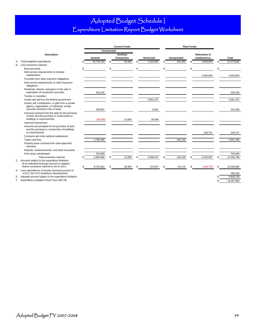### Adopted Budget Schedule I Expenditure Limitation Report Budget Worksheet

|                    |                                                                                                                                         |    | <b>Current Funds</b> |     |                    |     |                   | <b>Plant Funds</b> |            |                |                      |     |            |
|--------------------|-----------------------------------------------------------------------------------------------------------------------------------------|----|----------------------|-----|--------------------|-----|-------------------|--------------------|------------|----------------|----------------------|-----|------------|
|                    |                                                                                                                                         |    | <b>Unrestricted</b>  |     |                    |     |                   |                    |            |                |                      |     |            |
| <b>Description</b> |                                                                                                                                         |    | Auxiliary            |     |                    |     |                   |                    |            |                | <b>Retirement of</b> |     |            |
|                    |                                                                                                                                         |    | General              |     | <b>Enterprises</b> |     | <b>Restricted</b> |                    | Unexpended |                | <b>Indebtedness</b>  |     | Total      |
| А.                 | Total budgeted expenditures                                                                                                             |    | 15,745,218           | \$. | 40,366             | \$. | 4,320,984         |                    | 263,284    |                | 2,003,830            |     | 22,373,682 |
| В.                 | Less exclusions claimed:                                                                                                                |    |                      |     |                    |     |                   |                    |            |                |                      |     |            |
|                    | Bond proceeds<br>Debt service requirements on bonded<br>indebtedness                                                                    | £. |                      | \$  |                    | \$  |                   | \$                 |            | $\mathfrak{s}$ | 2,003,830            | \$  | 2.003.830  |
|                    | Proceeds from other long-term obligations                                                                                               |    |                      |     |                    |     |                   |                    |            |                |                      |     |            |
|                    | Debt service requirements on other long-term<br>obligations                                                                             |    |                      |     |                    |     |                   |                    |            |                |                      |     |            |
|                    | Dividends, interest, and gains on the sale or<br>redemption of investment securities                                                    |    | 350,240              |     |                    |     |                   |                    |            |                |                      |     | 350.240    |
|                    | Trustee or custodian                                                                                                                    |    |                      |     |                    |     |                   |                    |            |                |                      |     |            |
|                    | Grants and aid from the federal government                                                                                              |    |                      |     |                    |     | 3,561,157         |                    |            |                |                      |     | 3,561,157  |
|                    | Grants, aid, contributions, or gifts from a private<br>agency, organization, or individual, except<br>amounts received in lieu of taxes |    | 206,697              |     |                    |     | 8,661             |                    |            |                |                      |     | 215,358    |
|                    | Amounts received from the state for the purchase<br>of land, and the purchase or construction of<br>buildings or improvements           |    | (38, 599)            |     | 12,000             |     | 26,599            |                    |            |                |                      |     |            |
|                    | Interfund transactions                                                                                                                  |    |                      |     |                    |     |                   |                    |            |                |                      |     |            |
|                    | Amounts accumulated for the purchase of land,<br>and the purchase or construction of buildings<br>or improvements                       |    |                      |     |                    |     |                   |                    |            |                | 249,767              |     | 249,767    |
|                    | Contracts with other political subdivisions                                                                                             |    |                      |     |                    |     |                   |                    |            |                |                      |     |            |
|                    | Tuition and fees                                                                                                                        |    | 4,769,388            |     |                    |     |                   |                    | 182,108    |                |                      |     | 4,951,496  |
|                    | Property taxes received from voter-approved<br>overrides                                                                                |    |                      |     |                    |     |                   |                    |            |                |                      |     |            |
|                    | Refunds, reimbursements, and other recoveries                                                                                           |    |                      |     |                    |     |                   |                    |            |                |                      |     |            |
|                    | Prior years carryforward                                                                                                                |    | 704,940              |     |                    |     |                   |                    |            |                |                      |     | 704,940    |
|                    | Total exclusions claimed<br>C. Amounts subject to the expenditure limitation<br>(If an individual fund type amount is negative,         |    | 5,992,666            | \$  | 12,000             | S   | 3,596,417         | \$                 | 182,108    | \$             | 2,253,597            | \$. | 12,036,788 |
|                    | reduce exclusions claimed to net to zero.)                                                                                              | \$ | 9,752,552            | \$  | 28,366             | \$  | 724,567           | \$                 | 81,176     | $\mathfrak{s}$ | (249, 767)           | \$. | 10.336.894 |
| D.                 | Less expenditures of monies received pursuant to<br>A.R.S. §15-1472 (workforce development)                                             |    |                      |     |                    |     |                   |                    |            |                |                      |     | 498,189    |
|                    | E. Adjusted amount subject to the expenditure limitation                                                                                |    |                      |     |                    |     |                   |                    |            |                |                      | \$. | 9.838.705  |

F. Expenditure Limitation Fiscal Year 2007-08 \$ 13,287,083

9,838,705<br>13,287,083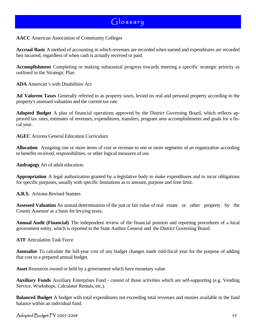**AACC** American Association of Community Colleges

**Accrual Basis** A method of accounting in which revenues are recorded when earned and expenditures are recorded hen incurred, regardless of when cash is actually received or paid.

**Accomplishment** Completing or making substantial progress towards meeting a specific strategic priority as outlined in the Strategic Plan

**ADA** American's with Disabilities Act

**Ad Valorem Taxes** Generally referred to as property taxes, levied on real and personal property according to the property's assessed valuation and the current tax rate.

**Adopted Budget** A plan of financial operations approved by the District Governing Board, which reflects approved tax rates, estimates of revenues, expenditures, transfers, program area accomplishments and goals for a fiscal year.

**AGEC** Arizona General Education Curriculum

**Allocation** Assigning one or more items of cost or revenue to one or more segments of an organization according to benefits received, responsibilities, or other logical measures of use.

**Andragogy** Art of adult education.

**Appropriation** A legal authorization granted by a legislative body to make expenditures and to incur obligations for specific purposes, usually with specific limitations as to amount, purpose and time limit.

**A.R.S.** Arizona Revised Statutes

**Assessed Valuation** An annual determination of the just or fair value of real estate or other property by the County Assessor as a basis for levying taxes.

**Annual Audit (Financial)** The independent review of the financial position and reporting procedures of a local government entity, which is reported to the State Auditor General and the District Governing Board.

**ATF** Articulation Task Force

**Annualize** To calculate the full-year cost of any budget changes made mid-fiscal year for the purpose of adding that cost to a prepared annual budget.

**Asset** Resources owned or held by a government which have monetary value.

**Auxiliary Funds** Auxiliary Enterprises Fund - consist of those activities which are self-supporting (e.g. Vending Service, Workshops, Calculator Rentals, etc.).

**Balanced Budget** A budget with total expenditures not exceeding total revenues and monies available in the fund balance within an individual fund.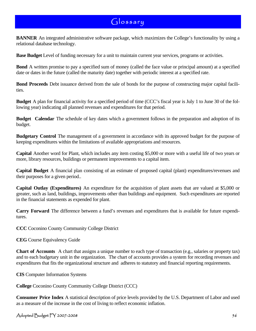**BANNER** An integrated administrative software package, which maximizes the College's functionality by using a relational database technology.

**Base Budget** Level of funding necessary for a unit to maintain current year services, programs or activities.

**Bond** A written promise to pay a specified sum of money (called the face value or principal amount) at a specified date or dates in the future (called the maturity date) together with periodic interest at a specified rate.

**Bond Proceeds** Debt issuance derived from the sale of bonds for the purpose of constructing major capital facilities.

**Budget** A plan for financial activity for a specified period of time (CCC's fiscal year is July 1 to June 30 of the following year) indicating all planned revenues and expenditures for that period.

**Budget Calendar** The schedule of key dates which a government follows in the preparation and adoption of its budget.

**Budgetary Control** The management of a government in accordance with its approved budget for the purpose of keeping expenditures within the limitations of available appropriations and resources.

**Capital** Another word for Plant, which includes any item costing \$5,000 or more with a useful life of two years or more, library resources, buildings or permanent improvements to a capital item.

**Capital Budget** A financial plan consisting of an estimate of proposed capital (plant) expenditures/revenues and their purposes for a given period..

**Capital Outlay (Expenditures)** An expenditure for the acquisition of plant assets that are valued at \$5,000 or greater, such as land, buildings, improvements other than buildings and equipment. Such expenditures are reported in the financial statements as expended for plant.

**Carry Forward** The difference between a fund's revenues and expenditures that is available for future expenditures.

**CCC** Coconino County Community College District

**CEG** Course Equivalency Guide

**Chart of Accounts** A chart that assigns a unique number to each type of transaction (e.g., salaries or property tax) and to each budgetary unit in the organization. The chart of accounts provides a system for recording revenues and expenditures that fits the organizational structure and adheres to statutory and financial reporting requirements.

**CIS** Computer Information Systems

**College** Coconino County Community College District (CCC)

**Consumer Price Index** A statistical description of price levels provided by the U.S. Department of Labor and used as a measure of the increase in the cost of living to reflect economic inflation.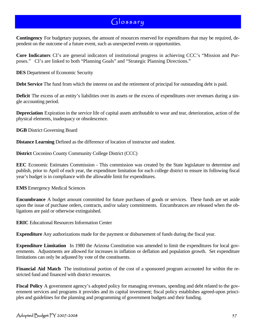**Contingency** For budgetary purposes, the amount of resources reserved for expenditures that may be required, dependent on the outcome of a future event, such as unexpected events or opportunities.

**Core Indicators** CI's are general indicators of institutional progress in achieving CCC's "Mission and Purposes." CI's are linked to both "Planning Goals" and "Strategic Planning Directions."

**DES** Department of Economic Security

**Debt Service** The fund from which the interest on and the retirement of principal for outstanding debt is paid.

**Deficit** The excess of an entity's liabilities over its assets or the excess of expenditures over revenues during a single accounting period.

**Depreciation** Expiration in the service life of capital assets attributable to wear and tear, deterioration, action of the physical elements, inadequacy or obsolescence.

**DGB** District Governing Board

**Distance Learning** Defined as the difference of location of instructor and student.

**District** Coconino County Community College District (CCC)

**EEC** Economic Estimates Commission - This commission was created by the State legislature to determine and publish, prior to April of each year, the expenditure limitation for each college district to ensure its following fiscal year's budget is in compliance with the allowable limit for expenditures.

**EMS** Emergency Medical Sciences

**Encumbrance** A budget amount committed for future purchases of goods or services. These funds are set aside upon the issue of purchase orders, contracts, and/or salary commitments. Encumbrances are released when the obligations are paid or otherwise extinguished.

**ERIC** Educational Resources Information Center

**Expenditure** Any authorizations made for the payment or disbursement of funds during the fiscal year.

**Expenditure Limitation** In 1980 the Arizona Constitution was amended to limit the expenditures for local governments. Adjustments are allowed for increases in inflation or deflation and population growth. Set expenditure limitations can only be adjusted by vote of the constituents.

**Financial Aid Match** The institutional portion of the cost of a sponsored program accounted for within the restricted fund and financed with district resources.

**Fiscal Policy** A government agency's adopted policy for managing revenues, spending and debt related to the government services and programs it provides and its capital investment; fiscal policy establishes agreed-upon principles and guidelines for the planning and programming of government budgets and their funding.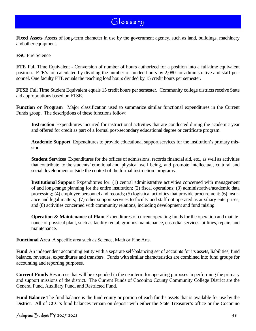**Fixed Assets** Assets of long-term character in use by the government agency, such as land, buildings, machinery and other equipment.

**FSC** Fire Science

**FTE** Full Time Equivalent - Conversion of number of hours authorized for a position into a full-time equivalent position. FTE's are calculated by dividing the number of funded hours by 2,080 for administrative and staff personnel. One faculty FTE equals the teaching load hours divided by 15 credit hours per semester.

**FTSE** Full Time Student Equivalent equals 15 credit hours per semester. Community college districts receive State aid appropriations based on FTSE.

**Function or Program** Major classification used to summarize similar functional expenditures in the Current Funds group. The descriptions of these functions follow:

**Instruction** Expenditures incurred for instructional activities that are conducted during the academic year and offered for credit as part of a formal post-secondary educational degree or certificate program.

**Academic Support** Expenditures to provide educational support services for the institution's primary mission.

**Student Services** Expenditures for the offices of admissions, records financial aid, etc., as well as activities that contribute to the students' emotional and physical well being, and promote intellectual, cultural and social development outside the context of the formal instruction programs.

**Institutional Support** Expenditures for: (1) central administrative activities concerned with management of and long-range planning for the entire institution; (2) fiscal operations; (3) administrative/academic data processing; (4) employee personnel and records; (5) logistical activities that provide procurement; (6) insurance and legal matters; (7) other support services to faculty and staff not operated as auxiliary enterprises; and (8) activities concerned with community relations, including development and fund raising.

**Operation & Maintenance of Plant** Expenditures of current operating funds for the operation and maintenance of physical plant, such as facility rental, grounds maintenance, custodial services, utilities, repairs and maintenance.

**Functional Area** A specific area such as Science, Math or Fine Arts.

**Fund** An independent accounting entity with a separate self-balancing set of accounts for its assets, liabilities, fund balance, revenues, expenditures and transfers. Funds with similar characteristics are combined into fund groups for accounting and reporting purposes.

**Current Funds** Resources that will be expended in the near term for operating purposes in performing the primary and support missions of the district. The Current Funds of Coconino County Community College District are the General Fund, Auxiliary Fund, and Restricted Fund.

**Fund Balance** The fund balance is the fund equity or portion of each fund's assets that is available for use by the District. All of CCC's fund balances remain on deposit with either the State Treasurer's office or the Coconino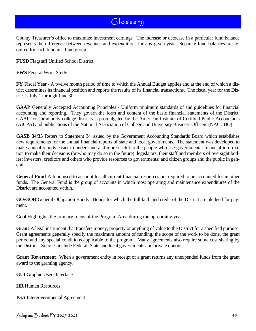County Treasurer's office to maximize investment earnings. The increase or decrease in a particular fund balance represents the difference between revenues and expenditures for any given year. Separate fund balances are required for each fund in a fund group.

**FUSD** Flagstaff Unified School District

**FWS** Federal Work Study

**FY** Fiscal Year - A twelve month period of time to which the Annual Budget applies and at the end of which a district determines its financial position and reports the results of its financial transactions. The fiscal year for the District is July 1 through June 30.

**GAAP** Generally Accepted Accounting Principles - Uniform minimum standards of and guidelines for financial accounting and reporting. They govern the form and content of the basic financial statements of the District. GAAP for community college districts is promulgated by the American Institute of Certified Public Accountants (AICPA) and publications of the National Association of College and University Business Officers (NACUBO).

**GASB 34/35** Refers to Statement 34 issued by the Government Accounting Standards Board which establishes new requirements for the annual financial reports of state and local governments. The statement was developed to make annual reports easier to understand and more useful to the people who use governmental financial information to make their decisions (or who may do so in the future): legislators, their staff and members of oversight bodies; investors, creditors and others who provide resources to governments; and citizen groups and the public in general.

**General Fund** A fund used to account for all current financial resources not required to be accounted for in other funds. The General Fund is the group of accounts in which most operating and maintenance expenditures of the District are accounted within.

**GO/GOB** General Obligation Bonds - Bonds for which the full faith and credit of the District are pledged for payment.

**Goal** Highlights the primary focus of the Program Area during the up-coming year.

**Grant** A legal instrument that transfers money, property or anything of value to the District for a specified purpose. Grant agreements generally specify the maximum amount of funding, the scope of the work to be done, the grant period and any special conditions applicable to the program. Many agreements also require some cost sharing by the District. Sources include Federal, State and local governments and private donors.

**Grant Revertment** When a government entity in receipt of a grant returns any unexpended funds from the grant award to the granting agency.

**GUI** Graphic Users Interface

**HR** Human Resources

**IGA** Intergovernmental Agreement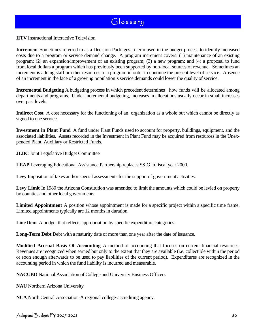**IITV** Instructional Interactive Television

**Increment** Sometimes referred to as a Decision Packages, a term used in the budget process to identify increased costs due to a program or service demand change. A program increment covers: (1) maintenance of an existing program; (2) an expansion/improvement of an existing program; (3) a new program; and (4) a proposal to fund from local dollars a program which has previously been supported by non-local sources of revenue. Sometimes an increment is adding staff or other resources to a program in order to continue the present level of service. Absence of an increment in the face of a growing population's service demands could lower the quality of service.

**Incremental Budgeting** A budgeting process in which precedent determines how funds will be allocated among departments and programs. Under incremental budgeting, increases in allocations usually occur in small increases over past levels.

**Indirect Cost** A cost necessary for the functioning of an organization as a whole but which cannot be directly as signed to one service.

**Investment in Plant Fund** A fund under Plant Funds used to account for property, buildings, equipment, and the associated liabilities. Assets recorded in the Investment in Plant Fund may be acquired from resources in the Unexpended Plant, Auxiliary or Restricted Funds.

**JLBC** Joint Legislative Budget Committee

**LEAP** Leveraging Educational Assistance Partnership replaces SSIG in fiscal year 2000.

**Levy** Imposition of taxes and/or special assessments for the support of government activities.

Levy Limit In 1980 the Arizona Constitution was amended to limit the amounts which could be levied on property by counties and other local governments.

**Limited Appointment** A position whose appointment is made for a specific project within a specific time frame. Limited appointments typically are 12 months in duration.

**Line Item** A budget that reflects appropriation by specific expenditure categories.

**Long-Term Debt** Debt with a maturity date of more than one year after the date of issuance.

**Modified Accrual Basis Of Accounting** A method of accounting that focuses on current financial resources. Revenues are recognized when earned but only to the extent that they are available (i.e. collectible within the period or soon enough afterwards to be used to pay liabilities of the current period). Expenditures are recognized in the accounting period in which the fund liability is incurred and measurable.

**NACUBO** National Association of College and University Business Officers

**NAU** Northern Arizona University

**NCA** North Central Association-A regional college-accrediting agency.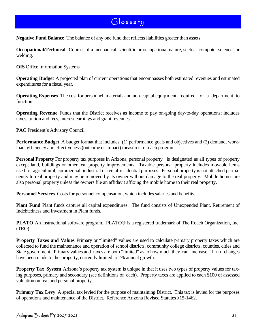**Negative Fund Balance** The balance of any one fund that reflects liabilities greater than assets.

**Occupational/Technical** Courses of a mechanical, scientific or occupational nature, such as computer sciences or welding.

**OIS** Office Information Systems

**Operating Budget** A projected plan of current operations that encompasses both estimated revenues and estimated expenditures for a fiscal year.

**Operating Expenses** The cost for personnel, materials and non-capital equipment required for a department to function.

**Operating Revenue** Funds that the District receives as income to pay on-going day-to-day operations; includes taxes, tuition and fees, interest earnings and grant revenues.

**PAC** President's Advisory Council

**Performance Budget** A budget format that includes: (1) performance goals and objectives and (2) demand, workload, efficiency and effectiveness (outcome or impact) measures for each program.

**Personal Property** For property tax purposes in Arizona, personal property is designated as all types of property except land, buildings or other real property improvements. Taxable personal property includes movable items used for agricultural, commercial, industrial or rental-residential purposes. Personal property is not attached permanently to real property and may be removed by its owner without damage to the real property. Mobile homes are also personal property unless the owners file an affidavit affixing the mobile home to their real property.

**Personnel Services** Costs for personnel compensation, which includes salaries and benefits.

**Plant Fund** Plant funds capture all capital expenditures. The fund consists of Unexpended Plant, Retirement of Indebtedness and Investment in Plant funds.

**PLATO** An instructional software program. PLATO® is a registered trademark of The Roach Organization, Inc. (TRO).

**Property Taxes and Values** Primary or "limited" values are used to calculate primary property taxes which are collected to fund the maintenance and operation of school districts, community college districts, counties, cities and State government. Primary values and taxes are both "limited" as to how much they can increase if no changes have been made to the property, currently limited to 2% annual growth.

**Property Tax System** Arizona's property tax system is unique in that it uses two types of property values for taxing purposes, primary and secondary (see definitions of each). Property taxes are applied to each \$100 of assessed valuation on real and personal property.

**Primary Tax Levy** A special tax levied for the purpose of maintaining District. This tax is levied for the purposes of operations and maintenance of the District. Reference Arizona Revised Statutes §15-1462.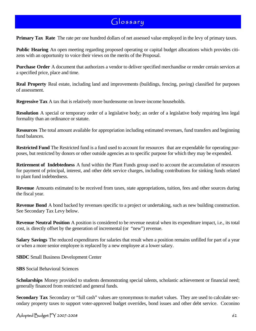**Primary Tax Rate** The rate per one hundred dollars of net assessed value employed in the levy of primary taxes.

**Public Hearing** An open meeting regarding proposed operating or capital budget allocations which provides citizens with an opportunity to voice their views on the merits of the Proposal.

**Purchase Order** A document that authorizes a vendor to deliver specified merchandise or render certain services at a specified price, place and time.

**Real Property** Real estate, including land and improvements (buildings, fencing, paving) classified for purposes of assessment.

**Regressive Tax** A tax that is relatively more burdensome on lower-income households.

**Resolution** A special or temporary order of a legislative body; an order of a legislative body requiring less legal formality than an ordinance or statute.

**Resources** The total amount available for appropriation including estimated revenues, fund transfers and beginning fund balances.

**Restricted Fund** The Restricted fund is a fund used to account for resources that are expendable for operating purposes, but restricted by donors or other outside agencies as to specific purpose for which they may be expended.

**Retirement of Indebtedness** A fund within the Plant Funds group used to account the accumulation of resources for payment of principal, interest, and other debt service charges, including contributions for sinking funds related to plant fund indebtedness.

**Revenue** Amounts estimated to be received from taxes, state appropriations, tuition, fees and other sources during the fiscal year.

**Revenue Bond** A bond backed by revenues specific to a project or undertaking, such as new building construction. See Secondary Tax Levy below.

**Revenue Neutral Position** A position is considered to be revenue neutral when its expenditure impact, i.e., its total cost, is directly offset by the generation of incremental (or "new") revenue.

**Salary Savings** The reduced expenditures for salaries that result when a position remains unfilled for part of a year or when a more senior employee is replaced by a new employee at a lower salary.

**SBDC** Small Business Development Center

**SBS** Social Behavioral Sciences

**Scholarships** Money provided to students demonstrating special talents, scholastic achievement or financial need; generally financed from restricted and general funds.

**Secondary Tax** Secondary or "full cash" values are synonymous to market values. They are used to calculate secondary property taxes to support voter-approved budget overrides, bond issues and other debt service. Coconino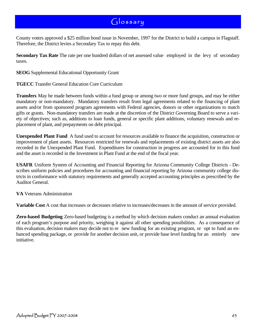County voters approved a \$25 million bond issue in November, 1997 for the District to build a campus in Flagstaff. Therefore, the District levies a Secondary Tax to repay this debt.

**Secondary Tax Rate** The rate per one hundred dollars of net assessed value employed in the levy of secondary taxes.

**SEOG** Supplemental Educational Opportunity Grant

#### **TGECC** Transfer General Education Core Curriculum

**Transfers** May be made between funds within a fund group or among two or more fund groups, and may be either mandatory or non-mandatory. Mandatory transfers result from legal agreements related to the financing of plant assets and/or from sponsored program agreements with Federal agencies, donors or other organizations to match gifts or grants. Non-mandatory transfers are made at the discretion of the District Governing Board to serve a variety of objectives; such as, additions to loan funds, general or specific plant additions, voluntary renewals and replacement of plant, and prepayments on debt principal.

**Unexpended Plant Fund** A fund used to account for resources available to finance the acquisition, construction or improvement of plant assets. Resources restricted for renewals and replacements of existing district assets are also recorded in the Unexpended Plant Fund. Expenditures for construction in progress are accounted for in this fund and the asset is recorded in the Investment in Plant Fund at the end of the fiscal year.

**USAFR** Uniform System of Accounting and Financial Reporting for Arizona Community College Districts - Describes uniform policies and procedures for accounting and financial reporting by Arizona community college districts in conformance with statutory requirements and generally accepted accounting principles as prescribed by the Auditor General.

**VA** Veterans Administration

**Variable Cost** A cost that increases or decreases relative to increases/decreases in the amount of service provided.

**Zero-based Budgeting** Zero-based budgeting is a method by which decision makers conduct an annual evaluation of each program's purpose and priority, weighing it against all other spending possibilities. As a consequence of this evaluation, decision makers may decide not to re new funding for an existing program, or opt to fund an enhanced spending package, or provide for another decision unit, or provide base level funding for an entirely new initiative.